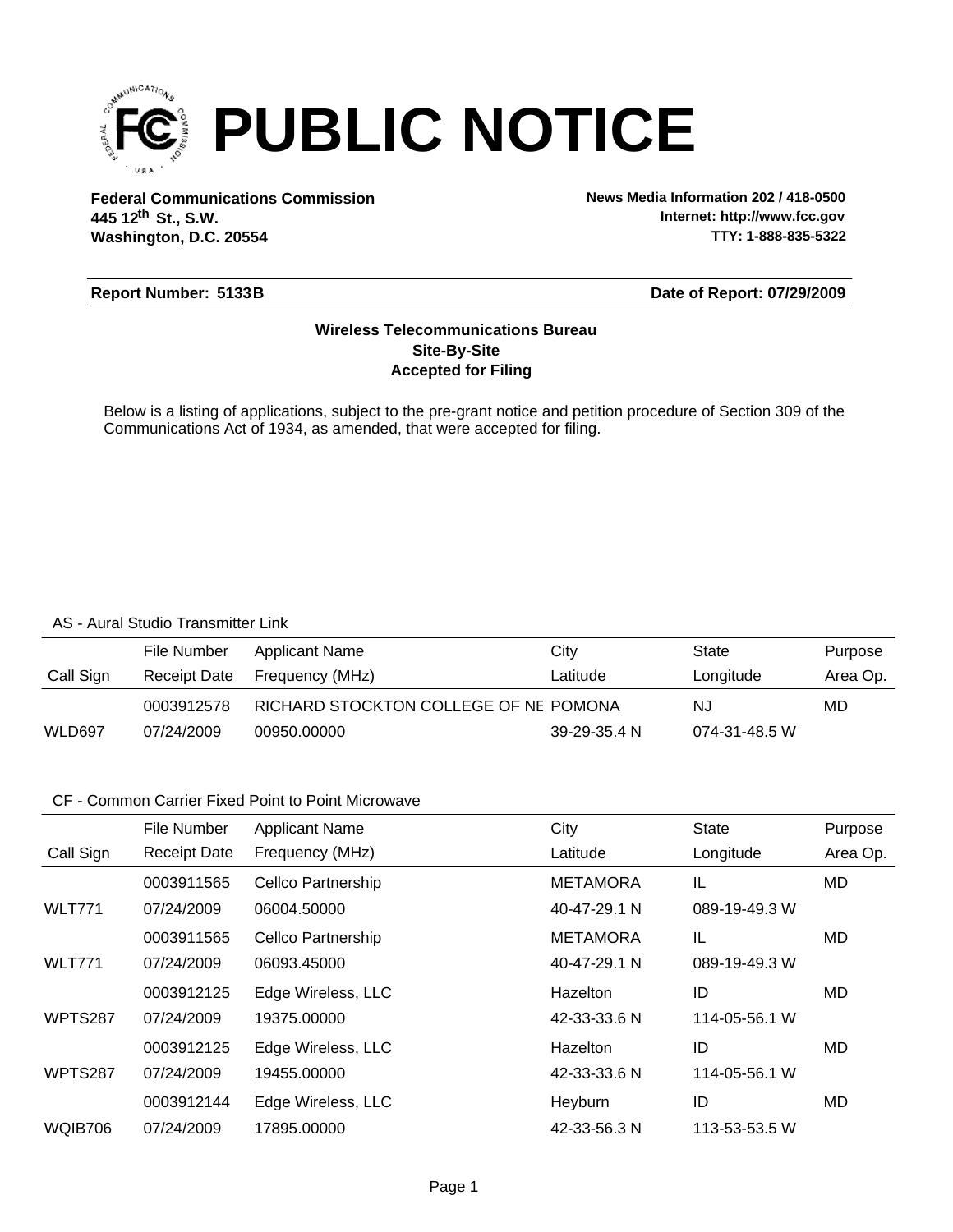

**Federal Communications Commission News Media Information 202 / 418-0500 Washington, D.C. 20554 th 445 12 St., S.W.**

**Internet: http://www.fcc.gov TTY: 1-888-835-5322**

#### **Report Number: 5133B**

#### **Date of Report: 07/29/2009**

#### **Accepted for Filing Site-By-Site Wireless Telecommunications Bureau**

Below is a listing of applications, subject to the pre-grant notice and petition procedure of Section 309 of the Communications Act of 1934, as amended, that were accepted for filing.

#### AS - Aural Studio Transmitter Link

|           | File Number  | Applicant Name                        | City         | State         | Purpose  |
|-----------|--------------|---------------------------------------|--------------|---------------|----------|
| Call Sign | Receipt Date | Frequency (MHz)                       | Latitude     | Longitude     | Area Op. |
|           | 0003912578   | RICHARD STOCKTON COLLEGE OF NE POMONA |              | NJ            | MD       |
| WLD697    | 07/24/2009   | 00950.00000                           | 39-29-35.4 N | 074-31-48.5 W |          |

#### CF - Common Carrier Fixed Point to Point Microwave

|               | File Number         | <b>Applicant Name</b>     | City            | <b>State</b>  | Purpose   |
|---------------|---------------------|---------------------------|-----------------|---------------|-----------|
| Call Sign     | <b>Receipt Date</b> | Frequency (MHz)           | Latitude        | Longitude     | Area Op.  |
|               | 0003911565          | <b>Cellco Partnership</b> | <b>METAMORA</b> | IL            | <b>MD</b> |
| <b>WLT771</b> | 07/24/2009          | 06004.50000               | 40-47-29.1 N    | 089-19-49.3 W |           |
|               | 0003911565          | <b>Cellco Partnership</b> | <b>METAMORA</b> | IL            | MD        |
| <b>WLT771</b> | 07/24/2009          | 06093.45000               | 40-47-29.1 N    | 089-19-49.3 W |           |
|               | 0003912125          | Edge Wireless, LLC        | Hazelton        | ID            | MD        |
| WPTS287       | 07/24/2009          | 19375.00000               | 42-33-33.6 N    | 114-05-56.1 W |           |
|               | 0003912125          | Edge Wireless, LLC        | Hazelton        | ID            | MD        |
| WPTS287       | 07/24/2009          | 19455.00000               | 42-33-33.6 N    | 114-05-56.1 W |           |
|               | 0003912144          | Edge Wireless, LLC        | Heyburn         | ID            | MD        |
| WQIB706       | 07/24/2009          | 17895.00000               | 42-33-56.3 N    | 113-53-53.5 W |           |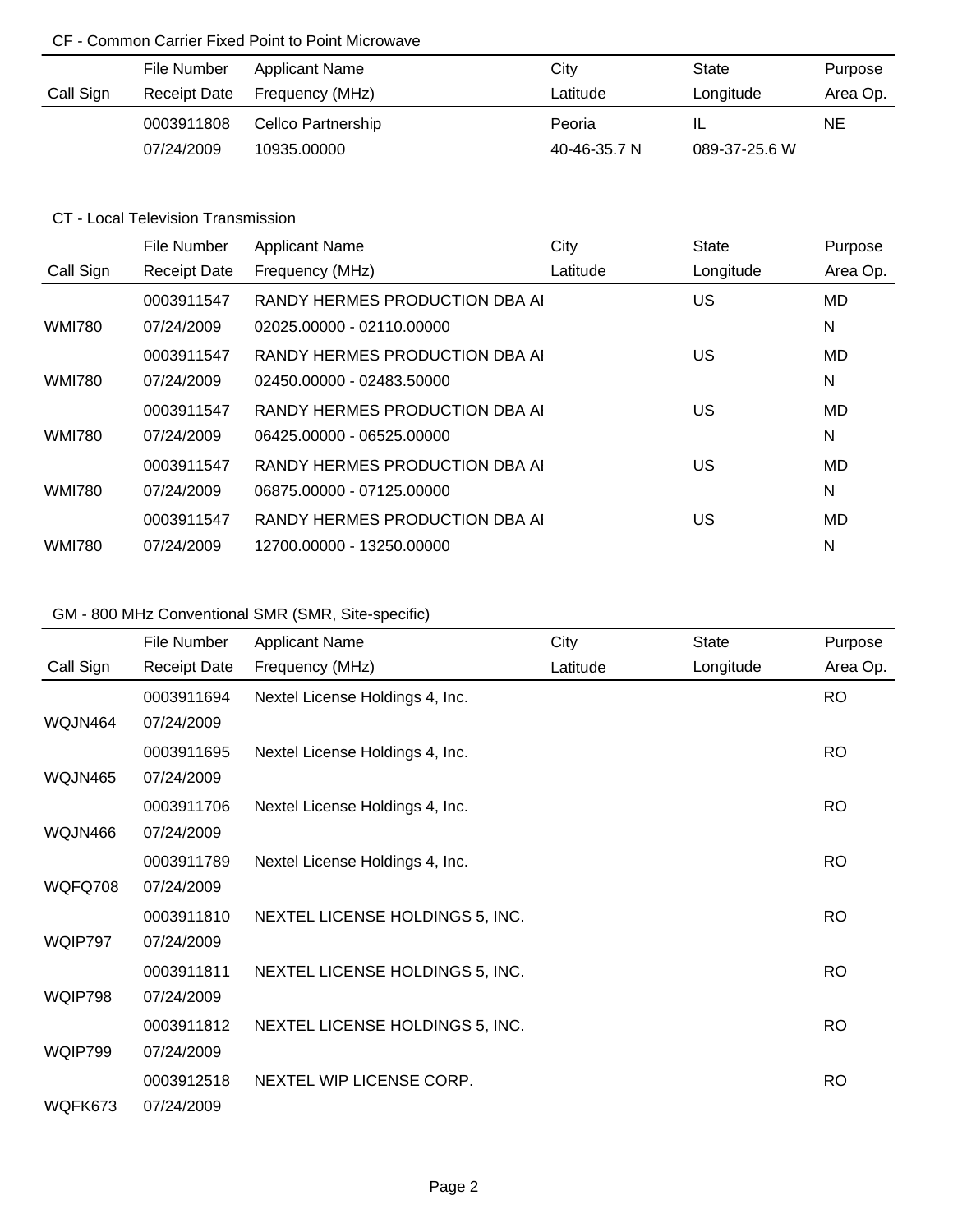### CF - Common Carrier Fixed Point to Point Microwave

|           | File Number  | <b>Applicant Name</b> | City         | State         | Purpose  |
|-----------|--------------|-----------------------|--------------|---------------|----------|
| Call Sign | Receipt Date | Frequency (MHz)       | Latitude     | Longitude     | Area Op. |
|           | 0003911808   | Cellco Partnership    | Peoria       | IL            | NE.      |
|           | 07/24/2009   | 10935.00000           | 40-46-35.7 N | 089-37-25.6 W |          |

### CT - Local Television Transmission

|               | File Number         | <b>Applicant Name</b>          | City     | <b>State</b> | Purpose   |
|---------------|---------------------|--------------------------------|----------|--------------|-----------|
| Call Sign     | <b>Receipt Date</b> | Frequency (MHz)                | Latitude | Longitude    | Area Op.  |
|               | 0003911547          | RANDY HERMES PRODUCTION DBA AI |          | US           | <b>MD</b> |
| <b>WMI780</b> | 07/24/2009          | 02025.00000 - 02110.00000      |          |              | N         |
|               | 0003911547          | RANDY HERMES PRODUCTION DBA AI |          | US           | MD        |
| <b>WMI780</b> | 07/24/2009          | 02450.00000 - 02483.50000      |          |              | N         |
|               | 0003911547          | RANDY HERMES PRODUCTION DBA AI |          | US           | MD        |
| <b>WMI780</b> | 07/24/2009          | 06425.00000 - 06525.00000      |          |              | N         |
|               | 0003911547          | RANDY HERMES PRODUCTION DBA AI |          | US           | MD        |
| <b>WMI780</b> | 07/24/2009          | 06875.00000 - 07125.00000      |          |              | N         |
|               | 0003911547          | RANDY HERMES PRODUCTION DBA AL |          | US           | MD        |
| <b>WMI780</b> | 07/24/2009          | 12700.00000 - 13250.00000      |          |              | N         |

# GM - 800 MHz Conventional SMR (SMR, Site-specific)

|                | File Number         | <b>Applicant Name</b>           | City     | <b>State</b> | Purpose   |
|----------------|---------------------|---------------------------------|----------|--------------|-----------|
| Call Sign      | <b>Receipt Date</b> | Frequency (MHz)                 | Latitude | Longitude    | Area Op.  |
|                | 0003911694          | Nextel License Holdings 4, Inc. |          |              | <b>RO</b> |
| WQJN464        | 07/24/2009          |                                 |          |              |           |
|                | 0003911695          | Nextel License Holdings 4, Inc. |          |              | <b>RO</b> |
| <b>WQJN465</b> | 07/24/2009          |                                 |          |              |           |
|                | 0003911706          | Nextel License Holdings 4, Inc. |          |              | <b>RO</b> |
| WQJN466        | 07/24/2009          |                                 |          |              |           |
|                | 0003911789          | Nextel License Holdings 4, Inc. |          |              | <b>RO</b> |
| WQFQ708        | 07/24/2009          |                                 |          |              |           |
|                | 0003911810          | NEXTEL LICENSE HOLDINGS 5, INC. |          |              | <b>RO</b> |
| WQIP797        | 07/24/2009          |                                 |          |              |           |
|                | 0003911811          | NEXTEL LICENSE HOLDINGS 5, INC. |          |              | <b>RO</b> |
| WQIP798        | 07/24/2009          |                                 |          |              |           |
|                | 0003911812          | NEXTEL LICENSE HOLDINGS 5, INC. |          |              | <b>RO</b> |
| WQIP799        | 07/24/2009          |                                 |          |              |           |
|                | 0003912518          | NEXTEL WIP LICENSE CORP.        |          |              | <b>RO</b> |
| WQFK673        | 07/24/2009          |                                 |          |              |           |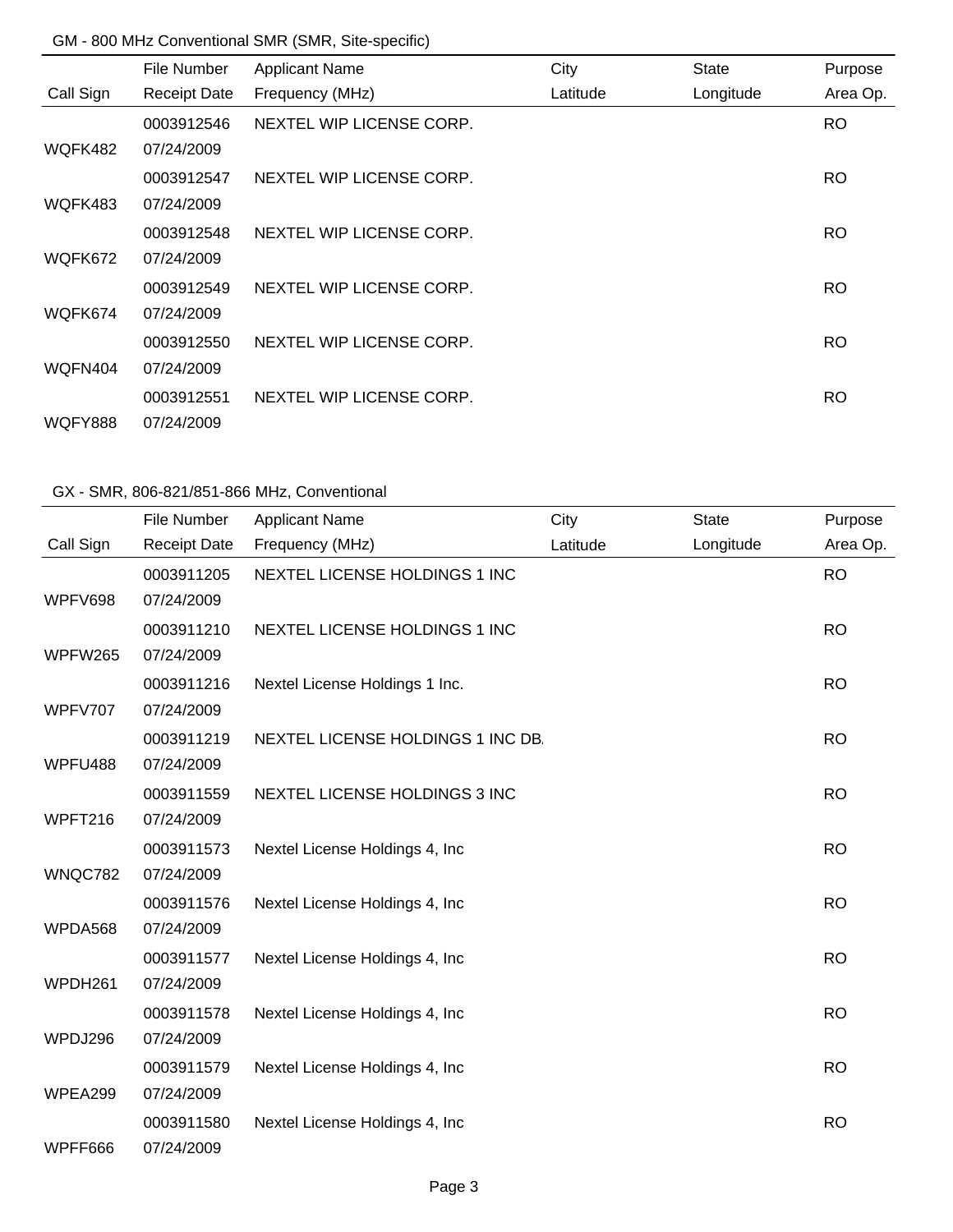#### GM - 800 MHz Conventional SMR (SMR, Site-specific)

|           | File Number         | <b>Applicant Name</b>    | City     | <b>State</b> | Purpose   |
|-----------|---------------------|--------------------------|----------|--------------|-----------|
| Call Sign | <b>Receipt Date</b> | Frequency (MHz)          | Latitude | Longitude    | Area Op.  |
|           | 0003912546          | NEXTEL WIP LICENSE CORP. |          |              | <b>RO</b> |
| WQFK482   | 07/24/2009          |                          |          |              |           |
|           | 0003912547          | NEXTEL WIP LICENSE CORP. |          |              | <b>RO</b> |
| WQFK483   | 07/24/2009          |                          |          |              |           |
|           | 0003912548          | NEXTEL WIP LICENSE CORP. |          |              | <b>RO</b> |
| WQFK672   | 07/24/2009          |                          |          |              |           |
|           | 0003912549          | NEXTEL WIP LICENSE CORP. |          |              | RO.       |
| WQFK674   | 07/24/2009          |                          |          |              |           |
|           | 0003912550          | NEXTEL WIP LICENSE CORP. |          |              | RO.       |
| WQFN404   | 07/24/2009          |                          |          |              |           |
|           | 0003912551          | NEXTEL WIP LICENSE CORP. |          |              | <b>RO</b> |
| WQFY888   | 07/24/2009          |                          |          |              |           |

|           | File Number         | <b>Applicant Name</b>             | City     | <b>State</b> | Purpose   |
|-----------|---------------------|-----------------------------------|----------|--------------|-----------|
| Call Sign | <b>Receipt Date</b> | Frequency (MHz)                   | Latitude | Longitude    | Area Op.  |
|           | 0003911205          | NEXTEL LICENSE HOLDINGS 1 INC     |          |              | <b>RO</b> |
| WPFV698   | 07/24/2009          |                                   |          |              |           |
|           | 0003911210          | NEXTEL LICENSE HOLDINGS 1 INC     |          |              | <b>RO</b> |
| WPFW265   | 07/24/2009          |                                   |          |              |           |
|           | 0003911216          | Nextel License Holdings 1 Inc.    |          |              | <b>RO</b> |
| WPFV707   | 07/24/2009          |                                   |          |              |           |
|           | 0003911219          | NEXTEL LICENSE HOLDINGS 1 INC DB. |          |              | <b>RO</b> |
| WPFU488   | 07/24/2009          |                                   |          |              |           |
|           | 0003911559          | NEXTEL LICENSE HOLDINGS 3 INC     |          |              | <b>RO</b> |
| WPFT216   | 07/24/2009          |                                   |          |              |           |
|           | 0003911573          | Nextel License Holdings 4, Inc    |          |              | <b>RO</b> |
| WNQC782   | 07/24/2009          |                                   |          |              |           |
|           | 0003911576          | Nextel License Holdings 4, Inc    |          |              | <b>RO</b> |
| WPDA568   | 07/24/2009          |                                   |          |              |           |
|           | 0003911577          | Nextel License Holdings 4, Inc.   |          |              | <b>RO</b> |
| WPDH261   | 07/24/2009          |                                   |          |              |           |
|           | 0003911578          | Nextel License Holdings 4, Inc.   |          |              | <b>RO</b> |
| WPDJ296   | 07/24/2009          |                                   |          |              |           |
|           | 0003911579          | Nextel License Holdings 4, Inc    |          |              | <b>RO</b> |
| WPEA299   | 07/24/2009          |                                   |          |              |           |
|           | 0003911580          | Nextel License Holdings 4, Inc.   |          |              | <b>RO</b> |
| WPFF666   | 07/24/2009          |                                   |          |              |           |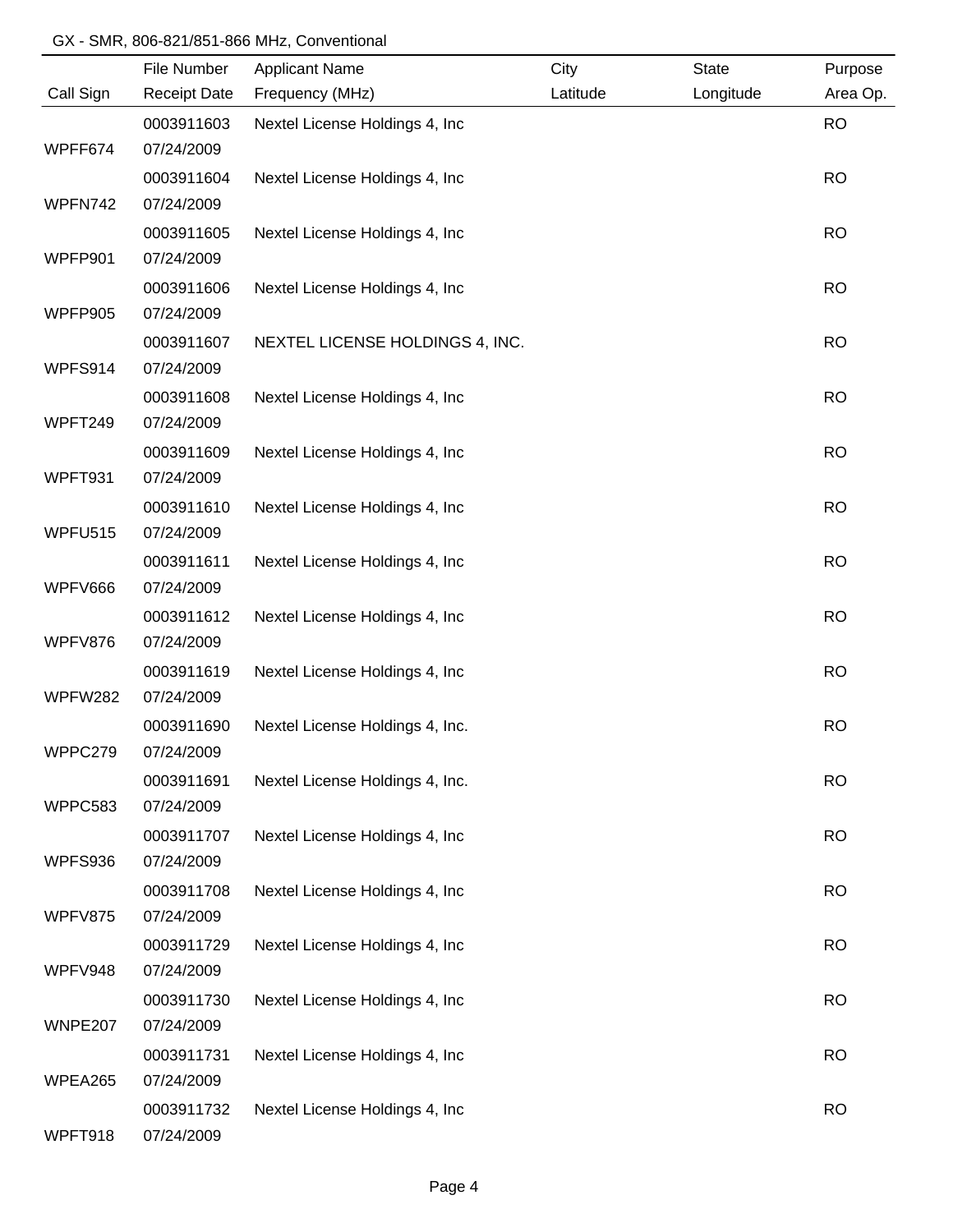|           | File Number         | <b>Applicant Name</b>           | City     | <b>State</b> | Purpose   |
|-----------|---------------------|---------------------------------|----------|--------------|-----------|
| Call Sign | <b>Receipt Date</b> | Frequency (MHz)                 | Latitude | Longitude    | Area Op.  |
|           | 0003911603          | Nextel License Holdings 4, Inc  |          |              | <b>RO</b> |
| WPFF674   | 07/24/2009          |                                 |          |              |           |
|           | 0003911604          | Nextel License Holdings 4, Inc  |          |              | <b>RO</b> |
| WPFN742   | 07/24/2009          |                                 |          |              |           |
|           | 0003911605          | Nextel License Holdings 4, Inc  |          |              | <b>RO</b> |
| WPFP901   | 07/24/2009          |                                 |          |              |           |
|           | 0003911606          | Nextel License Holdings 4, Inc  |          |              | <b>RO</b> |
| WPFP905   | 07/24/2009          |                                 |          |              |           |
|           | 0003911607          | NEXTEL LICENSE HOLDINGS 4, INC. |          |              | <b>RO</b> |
| WPFS914   | 07/24/2009          |                                 |          |              |           |
|           | 0003911608          | Nextel License Holdings 4, Inc  |          |              | <b>RO</b> |
| WPFT249   | 07/24/2009          |                                 |          |              |           |
|           | 0003911609          | Nextel License Holdings 4, Inc  |          |              | <b>RO</b> |
| WPFT931   | 07/24/2009          |                                 |          |              |           |
|           | 0003911610          | Nextel License Holdings 4, Inc  |          |              | <b>RO</b> |
| WPFU515   | 07/24/2009          |                                 |          |              |           |
|           | 0003911611          | Nextel License Holdings 4, Inc  |          |              | <b>RO</b> |
| WPFV666   | 07/24/2009          |                                 |          |              |           |
|           | 0003911612          | Nextel License Holdings 4, Inc  |          |              | <b>RO</b> |
| WPFV876   | 07/24/2009          |                                 |          |              |           |
|           | 0003911619          | Nextel License Holdings 4, Inc  |          |              | <b>RO</b> |
| WPFW282   | 07/24/2009          |                                 |          |              |           |
|           | 0003911690          | Nextel License Holdings 4, Inc. |          |              | <b>RO</b> |
| WPPC279   | 07/24/2009          |                                 |          |              |           |
|           | 0003911691          | Nextel License Holdings 4, Inc. |          |              | <b>RO</b> |
| WPPC583   | 07/24/2009          |                                 |          |              |           |
|           | 0003911707          | Nextel License Holdings 4, Inc  |          |              | <b>RO</b> |
| WPFS936   | 07/24/2009          |                                 |          |              |           |
|           | 0003911708          | Nextel License Holdings 4, Inc  |          |              | <b>RO</b> |
| WPFV875   | 07/24/2009          |                                 |          |              |           |
|           | 0003911729          | Nextel License Holdings 4, Inc  |          |              | <b>RO</b> |
| WPFV948   | 07/24/2009          |                                 |          |              |           |
|           | 0003911730          | Nextel License Holdings 4, Inc  |          |              | <b>RO</b> |
| WNPE207   | 07/24/2009          |                                 |          |              |           |
|           | 0003911731          | Nextel License Holdings 4, Inc  |          |              | <b>RO</b> |
| WPEA265   | 07/24/2009          |                                 |          |              |           |
|           | 0003911732          | Nextel License Holdings 4, Inc  |          |              | <b>RO</b> |
| WPFT918   | 07/24/2009          |                                 |          |              |           |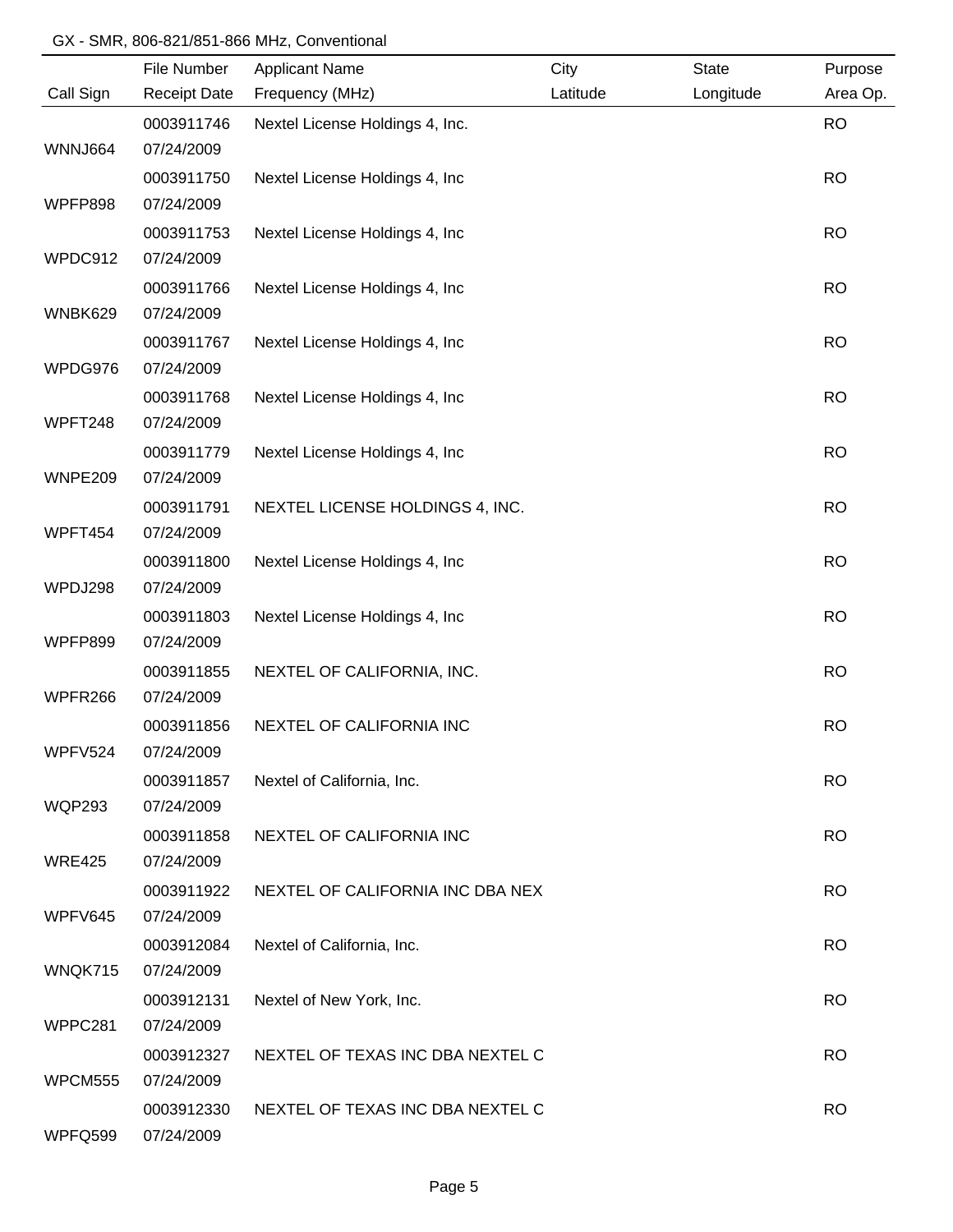| Call Sign<br><b>Receipt Date</b><br>Frequency (MHz)<br>Latitude<br>Longitude<br>0003911746<br>Nextel License Holdings 4, Inc.<br>WNNJ664<br>07/24/2009<br>0003911750<br>Nextel License Holdings 4, Inc.<br>WPFP898<br>07/24/2009<br>0003911753<br>Nextel License Holdings 4, Inc.<br>WPDC912<br>07/24/2009<br>0003911766 | Area Op.<br><b>RO</b><br><b>RO</b><br><b>RO</b><br><b>RO</b> |
|--------------------------------------------------------------------------------------------------------------------------------------------------------------------------------------------------------------------------------------------------------------------------------------------------------------------------|--------------------------------------------------------------|
|                                                                                                                                                                                                                                                                                                                          |                                                              |
|                                                                                                                                                                                                                                                                                                                          |                                                              |
|                                                                                                                                                                                                                                                                                                                          |                                                              |
|                                                                                                                                                                                                                                                                                                                          |                                                              |
|                                                                                                                                                                                                                                                                                                                          |                                                              |
|                                                                                                                                                                                                                                                                                                                          |                                                              |
|                                                                                                                                                                                                                                                                                                                          |                                                              |
| Nextel License Holdings 4, Inc                                                                                                                                                                                                                                                                                           |                                                              |
| WNBK629<br>07/24/2009                                                                                                                                                                                                                                                                                                    |                                                              |
| Nextel License Holdings 4, Inc<br>0003911767                                                                                                                                                                                                                                                                             | <b>RO</b>                                                    |
| WPDG976<br>07/24/2009                                                                                                                                                                                                                                                                                                    |                                                              |
| Nextel License Holdings 4, Inc<br>0003911768                                                                                                                                                                                                                                                                             | <b>RO</b>                                                    |
| WPFT248<br>07/24/2009                                                                                                                                                                                                                                                                                                    |                                                              |
| 0003911779<br>Nextel License Holdings 4, Inc                                                                                                                                                                                                                                                                             | <b>RO</b>                                                    |
| WNPE209<br>07/24/2009                                                                                                                                                                                                                                                                                                    |                                                              |
| 0003911791<br>NEXTEL LICENSE HOLDINGS 4, INC.                                                                                                                                                                                                                                                                            | <b>RO</b>                                                    |
| WPFT454<br>07/24/2009                                                                                                                                                                                                                                                                                                    |                                                              |
| 0003911800<br>Nextel License Holdings 4, Inc                                                                                                                                                                                                                                                                             | <b>RO</b>                                                    |
| 07/24/2009<br>WPDJ298                                                                                                                                                                                                                                                                                                    |                                                              |
| Nextel License Holdings 4, Inc<br>0003911803                                                                                                                                                                                                                                                                             | <b>RO</b>                                                    |
| WPFP899<br>07/24/2009                                                                                                                                                                                                                                                                                                    |                                                              |
| 0003911855<br>NEXTEL OF CALIFORNIA, INC.                                                                                                                                                                                                                                                                                 | <b>RO</b>                                                    |
| 07/24/2009<br>WPFR266                                                                                                                                                                                                                                                                                                    |                                                              |
| NEXTEL OF CALIFORNIA INC<br>0003911856                                                                                                                                                                                                                                                                                   | <b>RO</b>                                                    |
| WPFV524<br>07/24/2009                                                                                                                                                                                                                                                                                                    |                                                              |
| 0003911857<br>Nextel of California, Inc.                                                                                                                                                                                                                                                                                 | <b>RO</b>                                                    |
| <b>WQP293</b><br>07/24/2009                                                                                                                                                                                                                                                                                              |                                                              |
| 0003911858<br>NEXTEL OF CALIFORNIA INC                                                                                                                                                                                                                                                                                   | <b>RO</b>                                                    |
| 07/24/2009<br><b>WRE425</b>                                                                                                                                                                                                                                                                                              |                                                              |
| 0003911922<br>NEXTEL OF CALIFORNIA INC DBA NEX                                                                                                                                                                                                                                                                           | <b>RO</b>                                                    |
| WPFV645<br>07/24/2009                                                                                                                                                                                                                                                                                                    |                                                              |
| 0003912084<br>Nextel of California, Inc.                                                                                                                                                                                                                                                                                 | <b>RO</b>                                                    |
| WNQK715<br>07/24/2009                                                                                                                                                                                                                                                                                                    |                                                              |
| Nextel of New York, Inc.<br>0003912131                                                                                                                                                                                                                                                                                   | <b>RO</b>                                                    |
| WPPC281<br>07/24/2009                                                                                                                                                                                                                                                                                                    |                                                              |
| NEXTEL OF TEXAS INC DBA NEXTEL C<br>0003912327                                                                                                                                                                                                                                                                           | <b>RO</b>                                                    |
| <b>WPCM555</b><br>07/24/2009                                                                                                                                                                                                                                                                                             |                                                              |
| NEXTEL OF TEXAS INC DBA NEXTEL C<br>0003912330                                                                                                                                                                                                                                                                           | <b>RO</b>                                                    |
| WPFQ599<br>07/24/2009                                                                                                                                                                                                                                                                                                    |                                                              |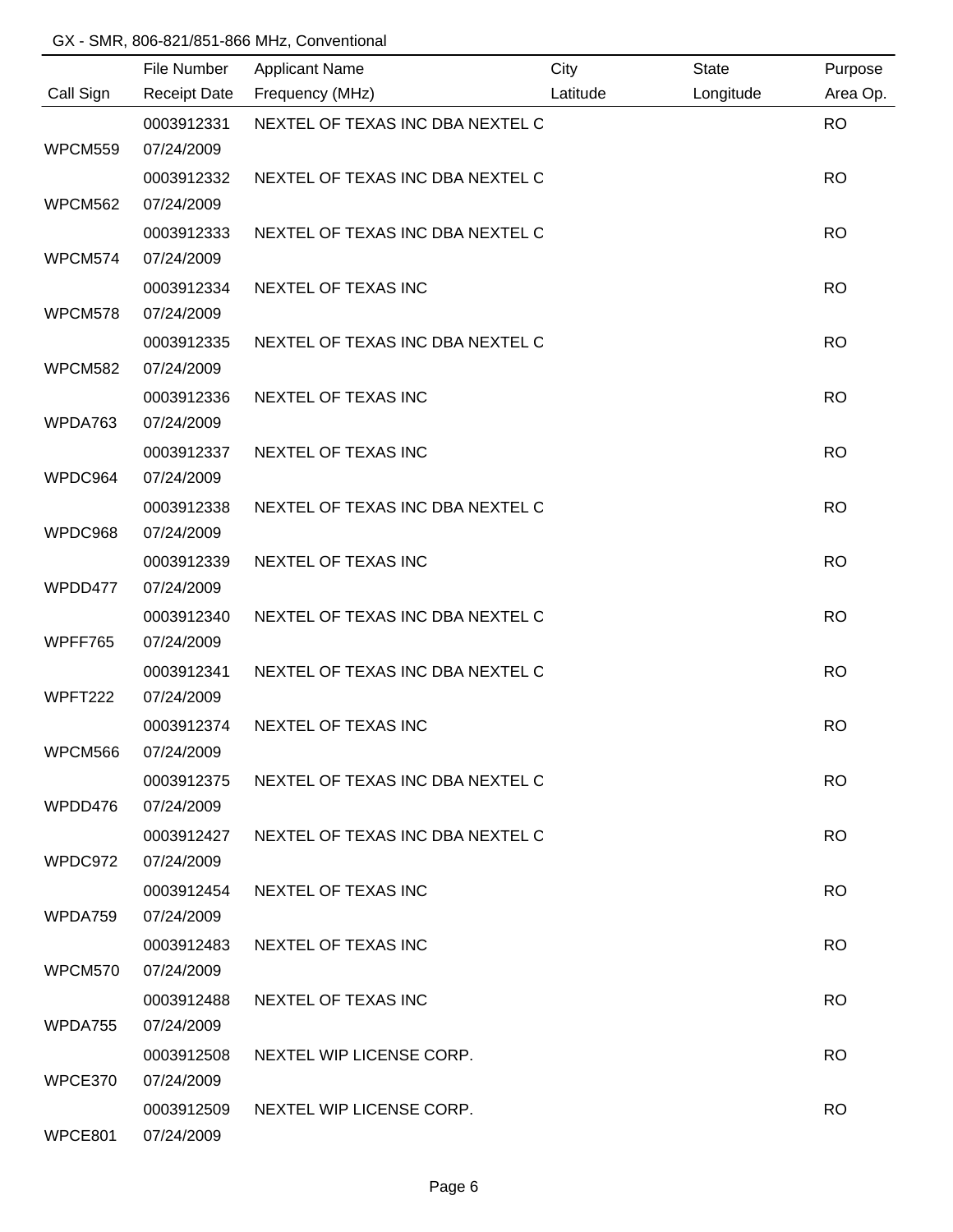|           | File Number              | <b>Applicant Name</b>            | City     | State     | Purpose   |
|-----------|--------------------------|----------------------------------|----------|-----------|-----------|
| Call Sign | <b>Receipt Date</b>      | Frequency (MHz)                  | Latitude | Longitude | Area Op.  |
| WPCM559   | 0003912331<br>07/24/2009 | NEXTEL OF TEXAS INC DBA NEXTEL C |          |           | <b>RO</b> |
|           |                          | NEXTEL OF TEXAS INC DBA NEXTEL C |          |           | <b>RO</b> |
| WPCM562   | 0003912332<br>07/24/2009 |                                  |          |           |           |
|           | 0003912333               | NEXTEL OF TEXAS INC DBA NEXTEL C |          |           | <b>RO</b> |
| WPCM574   | 07/24/2009               |                                  |          |           |           |
|           | 0003912334               | NEXTEL OF TEXAS INC              |          |           | <b>RO</b> |
| WPCM578   | 07/24/2009               |                                  |          |           |           |
|           | 0003912335               | NEXTEL OF TEXAS INC DBA NEXTEL C |          |           | <b>RO</b> |
| WPCM582   | 07/24/2009               |                                  |          |           |           |
|           | 0003912336               | NEXTEL OF TEXAS INC              |          |           | <b>RO</b> |
| WPDA763   | 07/24/2009               |                                  |          |           |           |
|           | 0003912337               | NEXTEL OF TEXAS INC              |          |           | <b>RO</b> |
| WPDC964   | 07/24/2009               |                                  |          |           |           |
|           | 0003912338               | NEXTEL OF TEXAS INC DBA NEXTEL C |          |           | <b>RO</b> |
| WPDC968   | 07/24/2009               |                                  |          |           |           |
|           | 0003912339               | NEXTEL OF TEXAS INC              |          |           | <b>RO</b> |
| WPDD477   | 07/24/2009               |                                  |          |           |           |
|           | 0003912340               | NEXTEL OF TEXAS INC DBA NEXTEL C |          |           | <b>RO</b> |
| WPFF765   | 07/24/2009               |                                  |          |           |           |
|           | 0003912341               | NEXTEL OF TEXAS INC DBA NEXTEL C |          |           | <b>RO</b> |
| WPFT222   | 07/24/2009               |                                  |          |           |           |
| WPCM566   | 0003912374<br>07/24/2009 | <b>NEXTEL OF TEXAS INC</b>       |          |           | <b>RO</b> |
|           | 0003912375               | NEXTEL OF TEXAS INC DBA NEXTEL C |          |           | <b>RO</b> |
| WPDD476   | 07/24/2009               |                                  |          |           |           |
|           | 0003912427               | NEXTEL OF TEXAS INC DBA NEXTEL C |          |           | RO.       |
| WPDC972   | 07/24/2009               |                                  |          |           |           |
|           | 0003912454               | NEXTEL OF TEXAS INC              |          |           | <b>RO</b> |
| WPDA759   | 07/24/2009               |                                  |          |           |           |
|           | 0003912483               | NEXTEL OF TEXAS INC              |          |           | <b>RO</b> |
| WPCM570   | 07/24/2009               |                                  |          |           |           |
|           | 0003912488               | NEXTEL OF TEXAS INC              |          |           | RO.       |
| WPDA755   | 07/24/2009               |                                  |          |           |           |
|           | 0003912508               | NEXTEL WIP LICENSE CORP.         |          |           | RO.       |
| WPCE370   | 07/24/2009               |                                  |          |           |           |
|           | 0003912509               | NEXTEL WIP LICENSE CORP.         |          |           | <b>RO</b> |
| WPCE801   | 07/24/2009               |                                  |          |           |           |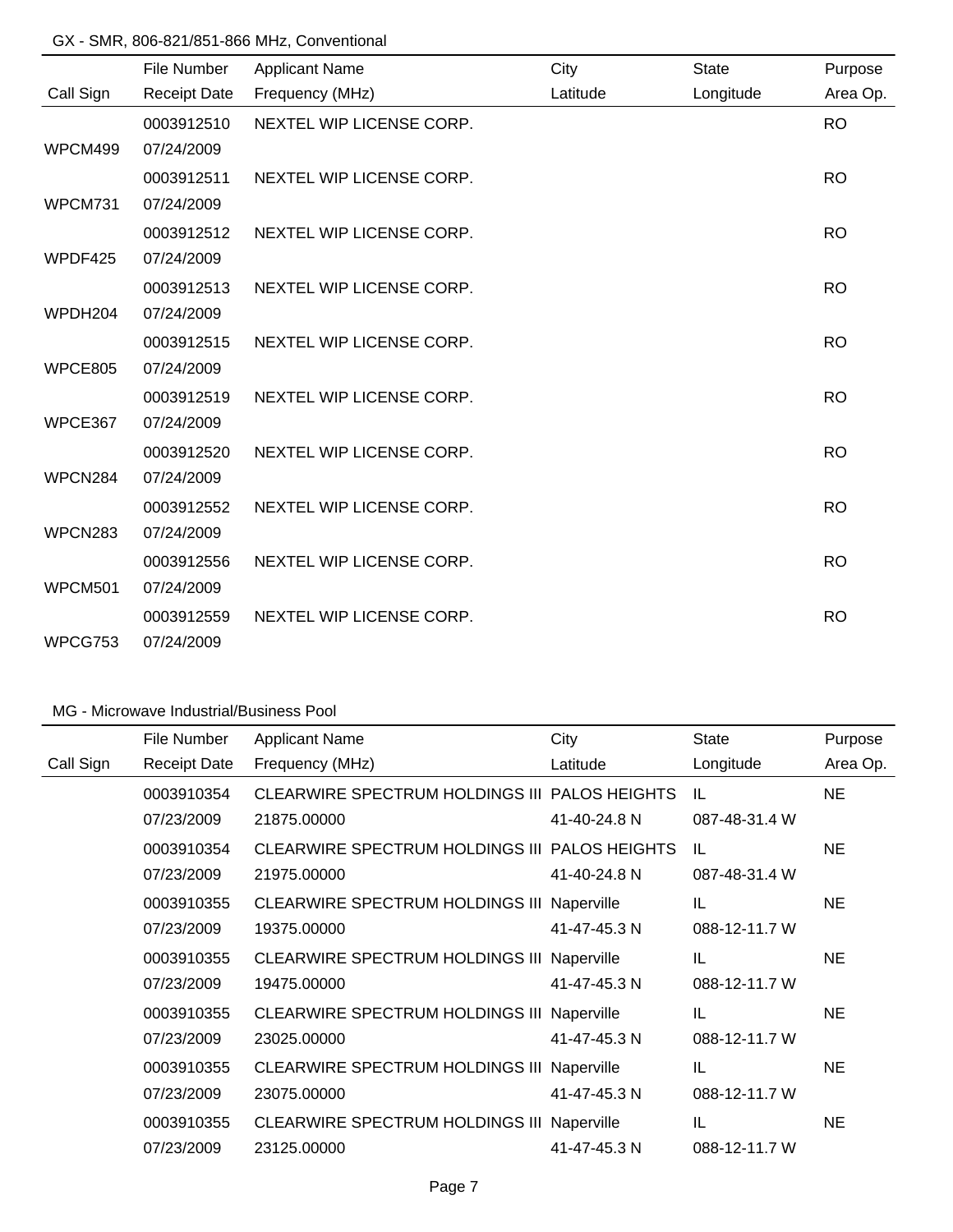|                | File Number         | <b>Applicant Name</b>    | City     | <b>State</b> | Purpose   |
|----------------|---------------------|--------------------------|----------|--------------|-----------|
| Call Sign      | <b>Receipt Date</b> | Frequency (MHz)          | Latitude | Longitude    | Area Op.  |
|                | 0003912510          | NEXTEL WIP LICENSE CORP. |          |              | <b>RO</b> |
| WPCM499        | 07/24/2009          |                          |          |              |           |
|                | 0003912511          | NEXTEL WIP LICENSE CORP. |          |              | <b>RO</b> |
| WPCM731        | 07/24/2009          |                          |          |              |           |
|                | 0003912512          | NEXTEL WIP LICENSE CORP. |          |              | <b>RO</b> |
| WPDF425        | 07/24/2009          |                          |          |              |           |
|                | 0003912513          | NEXTEL WIP LICENSE CORP. |          |              | <b>RO</b> |
| WPDH204        | 07/24/2009          |                          |          |              |           |
|                | 0003912515          | NEXTEL WIP LICENSE CORP. |          |              | <b>RO</b> |
| <b>WPCE805</b> | 07/24/2009          |                          |          |              |           |
|                | 0003912519          | NEXTEL WIP LICENSE CORP. |          |              | <b>RO</b> |
| WPCE367        | 07/24/2009          |                          |          |              |           |
|                | 0003912520          | NEXTEL WIP LICENSE CORP. |          |              | <b>RO</b> |
| WPCN284        | 07/24/2009          |                          |          |              |           |
|                | 0003912552          | NEXTEL WIP LICENSE CORP. |          |              | <b>RO</b> |
| WPCN283        | 07/24/2009          |                          |          |              |           |
|                | 0003912556          | NEXTEL WIP LICENSE CORP. |          |              | <b>RO</b> |
| <b>WPCM501</b> | 07/24/2009          |                          |          |              |           |
|                | 0003912559          | NEXTEL WIP LICENSE CORP. |          |              | <b>RO</b> |
| WPCG753        | 07/24/2009          |                          |          |              |           |

### MG - Microwave Industrial/Business Pool

|           | File Number         | <b>Applicant Name</b>                             | City         | <b>State</b>  | Purpose   |
|-----------|---------------------|---------------------------------------------------|--------------|---------------|-----------|
| Call Sign | <b>Receipt Date</b> | Frequency (MHz)                                   | Latitude     | Longitude     | Area Op.  |
|           | 0003910354          | CLEARWIRE SPECTRUM HOLDINGS III PALOS HEIGHTS     |              | IL            | <b>NE</b> |
|           | 07/23/2009          | 21875.00000                                       | 41-40-24.8 N | 087-48-31.4 W |           |
|           | 0003910354          | CLEARWIRE SPECTRUM HOLDINGS III PALOS HEIGHTS     |              | IL            | NE.       |
|           | 07/23/2009          | 21975.00000                                       | 41-40-24.8 N | 087-48-31.4 W |           |
|           | 0003910355          | <b>CLEARWIRE SPECTRUM HOLDINGS III Naperville</b> |              | IL            | NE.       |
|           | 07/23/2009          | 19375.00000                                       | 41-47-45.3 N | 088-12-11.7 W |           |
|           | 0003910355          | <b>CLEARWIRE SPECTRUM HOLDINGS III Naperville</b> |              | IL            | <b>NE</b> |
|           | 07/23/2009          | 19475.00000                                       | 41-47-45.3 N | 088-12-11.7 W |           |
|           | 0003910355          | <b>CLEARWIRE SPECTRUM HOLDINGS III Naperville</b> |              | IL            | <b>NE</b> |
|           | 07/23/2009          | 23025.00000                                       | 41-47-45.3 N | 088-12-11.7 W |           |
|           | 0003910355          | <b>CLEARWIRE SPECTRUM HOLDINGS III Naperville</b> |              | IL            | <b>NE</b> |
|           | 07/23/2009          | 23075.00000                                       | 41-47-45.3 N | 088-12-11.7 W |           |
|           | 0003910355          | <b>CLEARWIRE SPECTRUM HOLDINGS III Naperville</b> |              | IL            | NE.       |
|           | 07/23/2009          | 23125.00000                                       | 41-47-45.3 N | 088-12-11.7 W |           |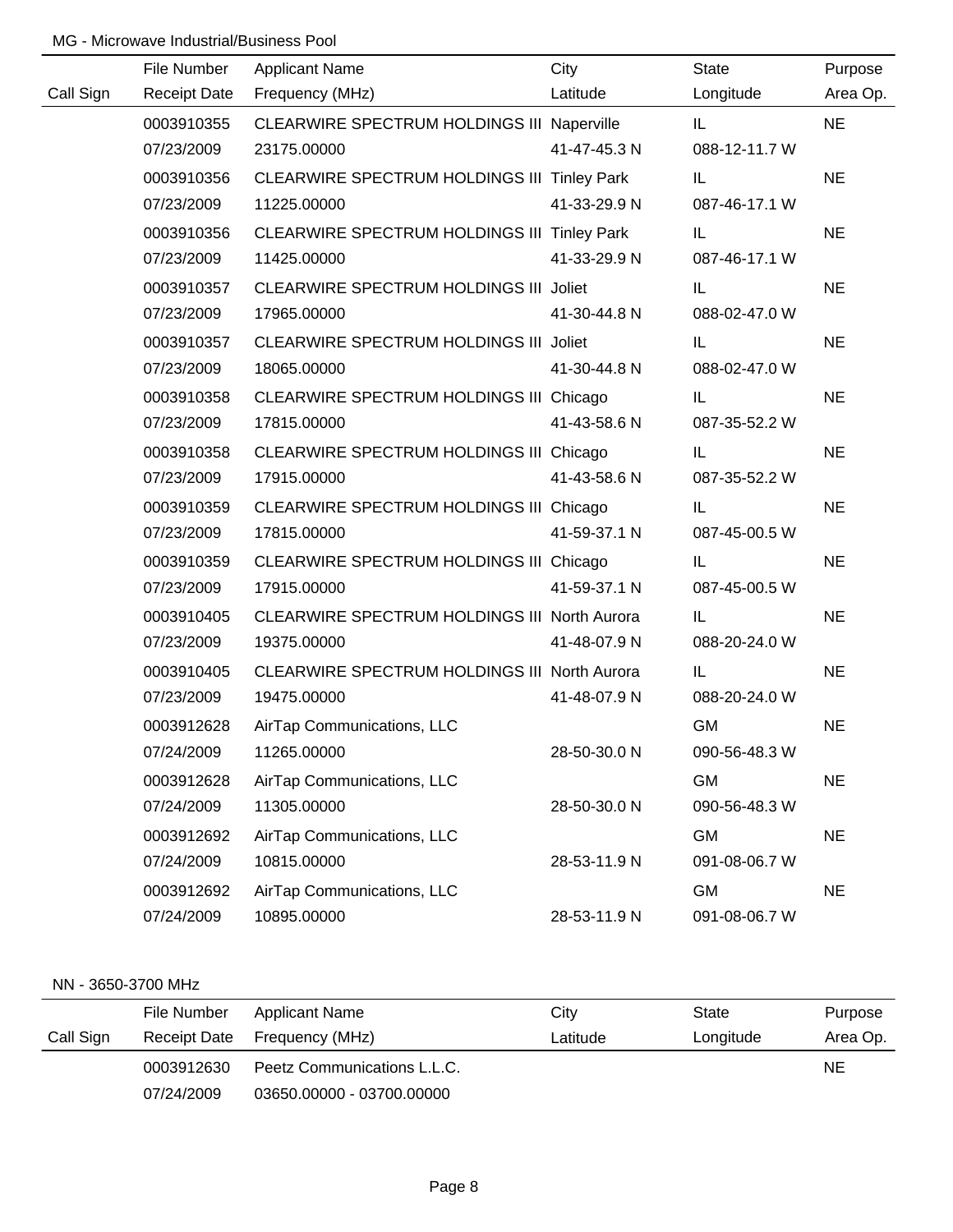### MG - Microwave Industrial/Business Pool

|           | File Number | <b>Applicant Name</b>                             | City         | State         | Purpose   |
|-----------|-------------|---------------------------------------------------|--------------|---------------|-----------|
| Call Sign |             | Receipt Date Frequency (MHz)                      | Latitude     | Longitude     | Area Op.  |
|           | 0003910355  | <b>CLEARWIRE SPECTRUM HOLDINGS III Naperville</b> |              | IL.           | <b>NE</b> |
|           | 07/23/2009  | 23175.00000                                       | 41-47-45.3 N | 088-12-11.7 W |           |
|           | 0003910356  | CLEARWIRE SPECTRUM HOLDINGS III Tinley Park       |              | IL            | <b>NE</b> |
|           | 07/23/2009  | 11225.00000                                       | 41-33-29.9 N | 087-46-17.1 W |           |
|           | 0003910356  | CLEARWIRE SPECTRUM HOLDINGS III Tinley Park       |              | IL            | <b>NE</b> |
|           | 07/23/2009  | 11425.00000                                       | 41-33-29.9 N | 087-46-17.1 W |           |
|           | 0003910357  | CLEARWIRE SPECTRUM HOLDINGS III Joliet            |              | IL.           | <b>NE</b> |
|           | 07/23/2009  | 17965.00000                                       | 41-30-44.8 N | 088-02-47.0 W |           |
|           | 0003910357  | CLEARWIRE SPECTRUM HOLDINGS III Joliet            |              | IL.           | <b>NE</b> |
|           | 07/23/2009  | 18065.00000                                       | 41-30-44.8 N | 088-02-47.0 W |           |
|           | 0003910358  | CLEARWIRE SPECTRUM HOLDINGS III Chicago           |              | IL.           | <b>NE</b> |
|           | 07/23/2009  | 17815.00000                                       | 41-43-58.6 N | 087-35-52.2 W |           |
|           | 0003910358  | CLEARWIRE SPECTRUM HOLDINGS III Chicago           |              | IL.           | <b>NE</b> |
|           | 07/23/2009  | 17915.00000                                       | 41-43-58.6 N | 087-35-52.2 W |           |
|           | 0003910359  | CLEARWIRE SPECTRUM HOLDINGS III Chicago           |              | IL.           | <b>NE</b> |
|           | 07/23/2009  | 17815.00000                                       | 41-59-37.1 N | 087-45-00.5 W |           |
|           | 0003910359  | CLEARWIRE SPECTRUM HOLDINGS III Chicago           |              | IL.           | <b>NE</b> |
|           | 07/23/2009  | 17915.00000                                       | 41-59-37.1 N | 087-45-00.5 W |           |
|           | 0003910405  | CLEARWIRE SPECTRUM HOLDINGS III North Aurora      |              | IL            | <b>NE</b> |
|           | 07/23/2009  | 19375.00000                                       | 41-48-07.9 N | 088-20-24.0 W |           |
|           | 0003910405  | CLEARWIRE SPECTRUM HOLDINGS III North Aurora      |              | IL.           | <b>NE</b> |
|           | 07/23/2009  | 19475.00000                                       | 41-48-07.9 N | 088-20-24.0 W |           |
|           | 0003912628  | AirTap Communications, LLC                        |              | <b>GM</b>     | <b>NE</b> |
|           | 07/24/2009  | 11265.00000                                       | 28-50-30.0 N | 090-56-48.3 W |           |
|           | 0003912628  | AirTap Communications, LLC                        |              | <b>GM</b>     | <b>NE</b> |
|           | 07/24/2009  | 11305.00000                                       | 28-50-30.0 N | 090-56-48.3 W |           |
|           | 0003912692  | AirTap Communications, LLC                        |              | <b>GM</b>     | <b>NE</b> |
|           | 07/24/2009  | 10815.00000                                       | 28-53-11.9 N | 091-08-06.7 W |           |
|           | 0003912692  | AirTap Communications, LLC                        |              | <b>GM</b>     | <b>NE</b> |
|           | 07/24/2009  | 10895.00000                                       | 28-53-11.9 N | 091-08-06.7 W |           |

#### NN - 3650-3700 MHz

|           | File Number | Applicant Name               | City     | State     | Purpose  |
|-----------|-------------|------------------------------|----------|-----------|----------|
| Call Sign |             | Receipt Date Frequency (MHz) | Latitude | Longitude | Area Op. |
|           | 0003912630  | Peetz Communications L.L.C.  |          |           | NE.      |
|           | 07/24/2009  | 03650.00000 - 03700.00000    |          |           |          |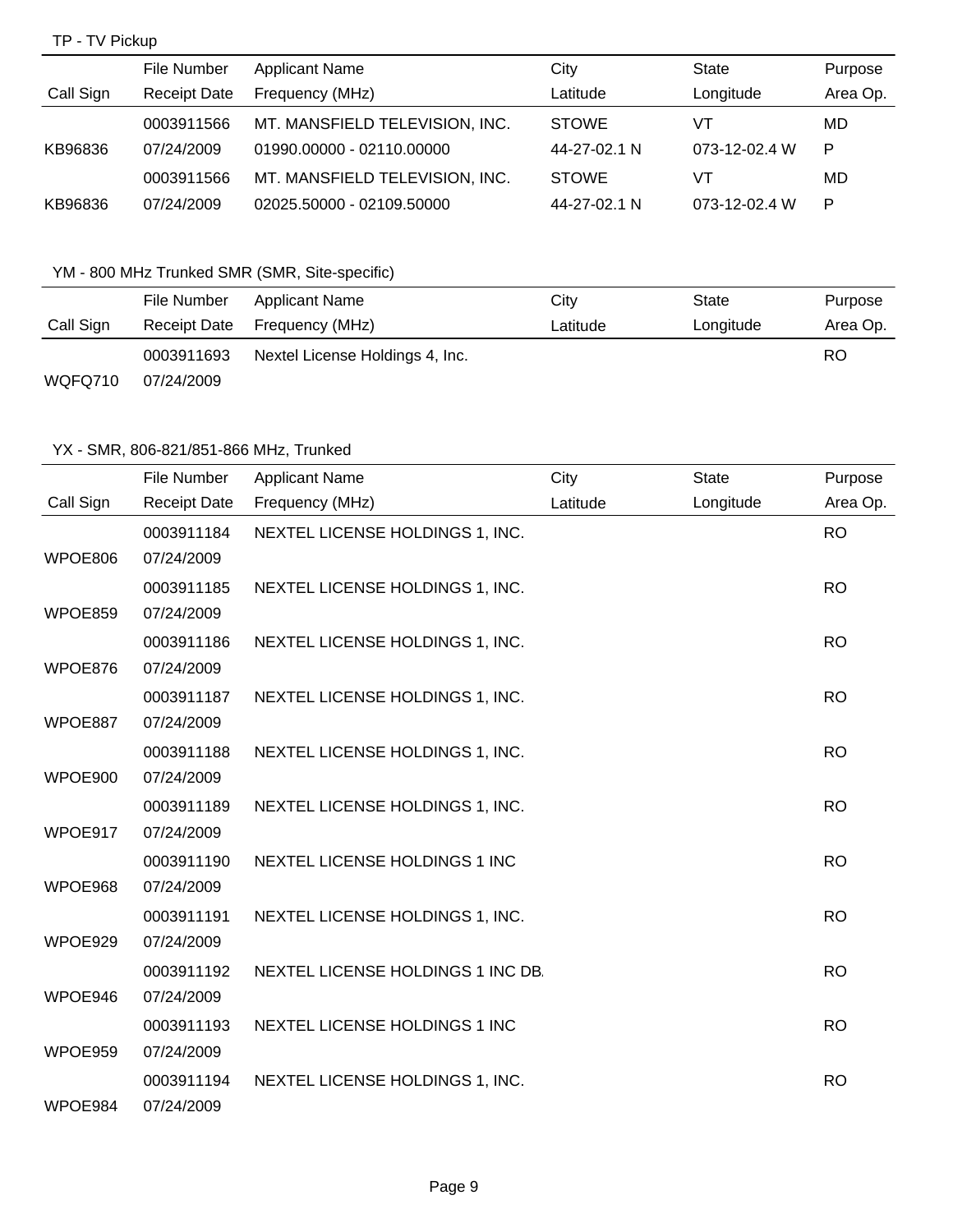# TP - TV Pickup

|           | File Number         | <b>Applicant Name</b>          | City         | State         | Purpose  |
|-----------|---------------------|--------------------------------|--------------|---------------|----------|
| Call Sign | <b>Receipt Date</b> | Frequency (MHz)                | Latitude     | Longitude     | Area Op. |
|           | 0003911566          | MT. MANSFIELD TELEVISION, INC. | <b>STOWE</b> | VT            | MD       |
| KB96836   | 07/24/2009          | 01990.00000 - 02110.00000      | 44-27-02.1 N | 073-12-02.4 W | P        |
|           | 0003911566          | MT. MANSFIELD TELEVISION, INC. | <b>STOWE</b> | VT            | MD       |
| KB96836   | 07/24/2009          | 02025.50000 - 02109.50000      | 44-27-02.1 N | 073-12-02.4 W | P        |

# YM - 800 MHz Trunked SMR (SMR, Site-specific)

|           | File Number  | Applicant Name                  | City     | State     | Purpose  |
|-----------|--------------|---------------------------------|----------|-----------|----------|
| Call Sign | Receipt Date | Frequency (MHz)                 | Latitude | Longitude | Area Op. |
|           | 0003911693   | Nextel License Holdings 4, Inc. |          |           | RO       |
| WQFQ710   | 07/24/2009   |                                 |          |           |          |

|           | File Number              | <b>Applicant Name</b>             | City     | <b>State</b> | Purpose   |
|-----------|--------------------------|-----------------------------------|----------|--------------|-----------|
| Call Sign | <b>Receipt Date</b>      | Frequency (MHz)                   | Latitude | Longitude    | Area Op.  |
|           | 0003911184               | NEXTEL LICENSE HOLDINGS 1, INC.   |          |              | <b>RO</b> |
| WPOE806   | 07/24/2009               |                                   |          |              |           |
|           | 0003911185               | NEXTEL LICENSE HOLDINGS 1, INC.   |          |              | <b>RO</b> |
| WPOE859   | 07/24/2009               |                                   |          |              |           |
|           | 0003911186               | NEXTEL LICENSE HOLDINGS 1, INC.   |          |              | <b>RO</b> |
| WPOE876   | 07/24/2009               |                                   |          |              |           |
|           | 0003911187               | NEXTEL LICENSE HOLDINGS 1, INC.   |          |              | <b>RO</b> |
| WPOE887   | 07/24/2009               |                                   |          |              |           |
|           | 0003911188               | NEXTEL LICENSE HOLDINGS 1, INC.   |          |              | <b>RO</b> |
| WPOE900   | 07/24/2009               |                                   |          |              |           |
|           | 0003911189               | NEXTEL LICENSE HOLDINGS 1, INC.   |          |              | <b>RO</b> |
| WPOE917   | 07/24/2009               |                                   |          |              |           |
|           | 0003911190               | NEXTEL LICENSE HOLDINGS 1 INC     |          |              | <b>RO</b> |
| WPOE968   | 07/24/2009               |                                   |          |              |           |
|           | 0003911191<br>07/24/2009 | NEXTEL LICENSE HOLDINGS 1, INC.   |          |              | <b>RO</b> |
| WPOE929   |                          |                                   |          |              |           |
| WPOE946   | 0003911192<br>07/24/2009 | NEXTEL LICENSE HOLDINGS 1 INC DB. |          |              | <b>RO</b> |
|           | 0003911193               | NEXTEL LICENSE HOLDINGS 1 INC     |          |              | <b>RO</b> |
| WPOE959   | 07/24/2009               |                                   |          |              |           |
|           | 0003911194               | NEXTEL LICENSE HOLDINGS 1, INC.   |          |              | <b>RO</b> |
| WPOE984   | 07/24/2009               |                                   |          |              |           |
|           |                          |                                   |          |              |           |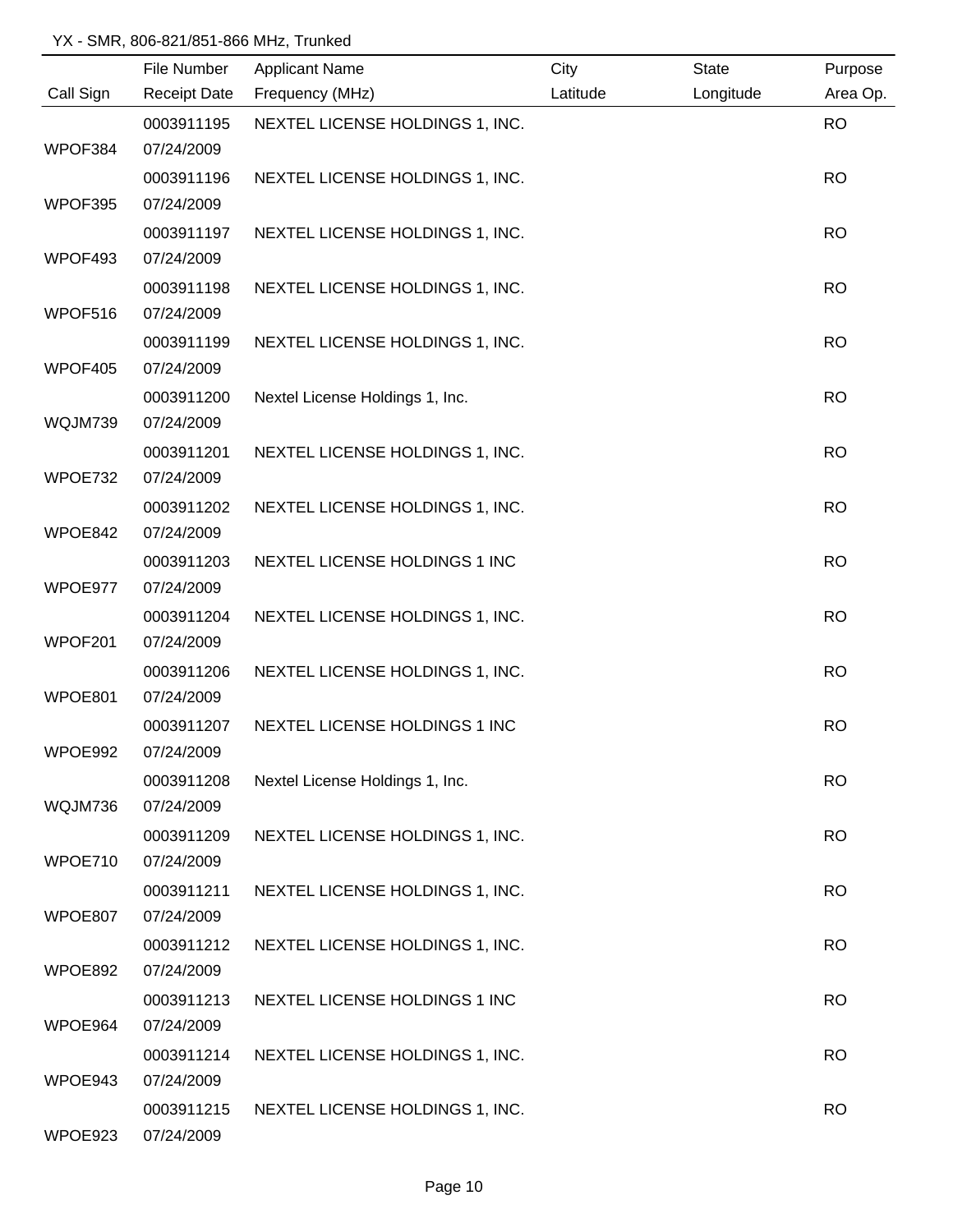|           | File Number | <b>Applicant Name</b>           | City     | <b>State</b> | Purpose   |
|-----------|-------------|---------------------------------|----------|--------------|-----------|
| Call Sign |             | Receipt Date Frequency (MHz)    | Latitude | Longitude    | Area Op.  |
|           | 0003911195  | NEXTEL LICENSE HOLDINGS 1, INC. |          |              | <b>RO</b> |
| WPOF384   | 07/24/2009  |                                 |          |              |           |
|           | 0003911196  | NEXTEL LICENSE HOLDINGS 1, INC. |          |              | <b>RO</b> |
| WPOF395   | 07/24/2009  |                                 |          |              |           |
|           | 0003911197  | NEXTEL LICENSE HOLDINGS 1, INC. |          |              | <b>RO</b> |
| WPOF493   | 07/24/2009  |                                 |          |              |           |
|           | 0003911198  | NEXTEL LICENSE HOLDINGS 1, INC. |          |              | <b>RO</b> |
| WPOF516   | 07/24/2009  |                                 |          |              |           |
|           | 0003911199  | NEXTEL LICENSE HOLDINGS 1, INC. |          |              | <b>RO</b> |
| WPOF405   | 07/24/2009  |                                 |          |              |           |
|           | 0003911200  | Nextel License Holdings 1, Inc. |          |              | <b>RO</b> |
| WQJM739   | 07/24/2009  |                                 |          |              |           |
|           | 0003911201  | NEXTEL LICENSE HOLDINGS 1, INC. |          |              | <b>RO</b> |
| WPOE732   | 07/24/2009  |                                 |          |              |           |
|           | 0003911202  | NEXTEL LICENSE HOLDINGS 1, INC. |          |              | <b>RO</b> |
| WPOE842   | 07/24/2009  |                                 |          |              |           |
|           | 0003911203  | NEXTEL LICENSE HOLDINGS 1 INC   |          |              | <b>RO</b> |
| WPOE977   | 07/24/2009  |                                 |          |              |           |
|           | 0003911204  | NEXTEL LICENSE HOLDINGS 1, INC. |          |              | <b>RO</b> |
| WPOF201   | 07/24/2009  |                                 |          |              |           |
|           | 0003911206  | NEXTEL LICENSE HOLDINGS 1, INC. |          |              | <b>RO</b> |
| WPOE801   | 07/24/2009  |                                 |          |              |           |
|           | 0003911207  | NEXTEL LICENSE HOLDINGS 1 INC   |          |              | <b>RO</b> |
| WPOE992   | 07/24/2009  |                                 |          |              |           |
|           | 0003911208  | Nextel License Holdings 1, Inc. |          |              | <b>RO</b> |
| WQJM736   | 07/24/2009  |                                 |          |              |           |
|           | 0003911209  | NEXTEL LICENSE HOLDINGS 1, INC. |          |              | <b>RO</b> |
| WPOE710   | 07/24/2009  |                                 |          |              |           |
|           | 0003911211  | NEXTEL LICENSE HOLDINGS 1, INC. |          |              | <b>RO</b> |
| WPOE807   | 07/24/2009  |                                 |          |              |           |
|           | 0003911212  | NEXTEL LICENSE HOLDINGS 1, INC. |          |              | <b>RO</b> |
| WPOE892   | 07/24/2009  |                                 |          |              |           |
|           | 0003911213  | NEXTEL LICENSE HOLDINGS 1 INC   |          |              | <b>RO</b> |
| WPOE964   | 07/24/2009  |                                 |          |              |           |
|           | 0003911214  | NEXTEL LICENSE HOLDINGS 1, INC. |          |              | <b>RO</b> |
| WPOE943   | 07/24/2009  |                                 |          |              |           |
|           | 0003911215  | NEXTEL LICENSE HOLDINGS 1, INC. |          |              | <b>RO</b> |
| WPOE923   | 07/24/2009  |                                 |          |              |           |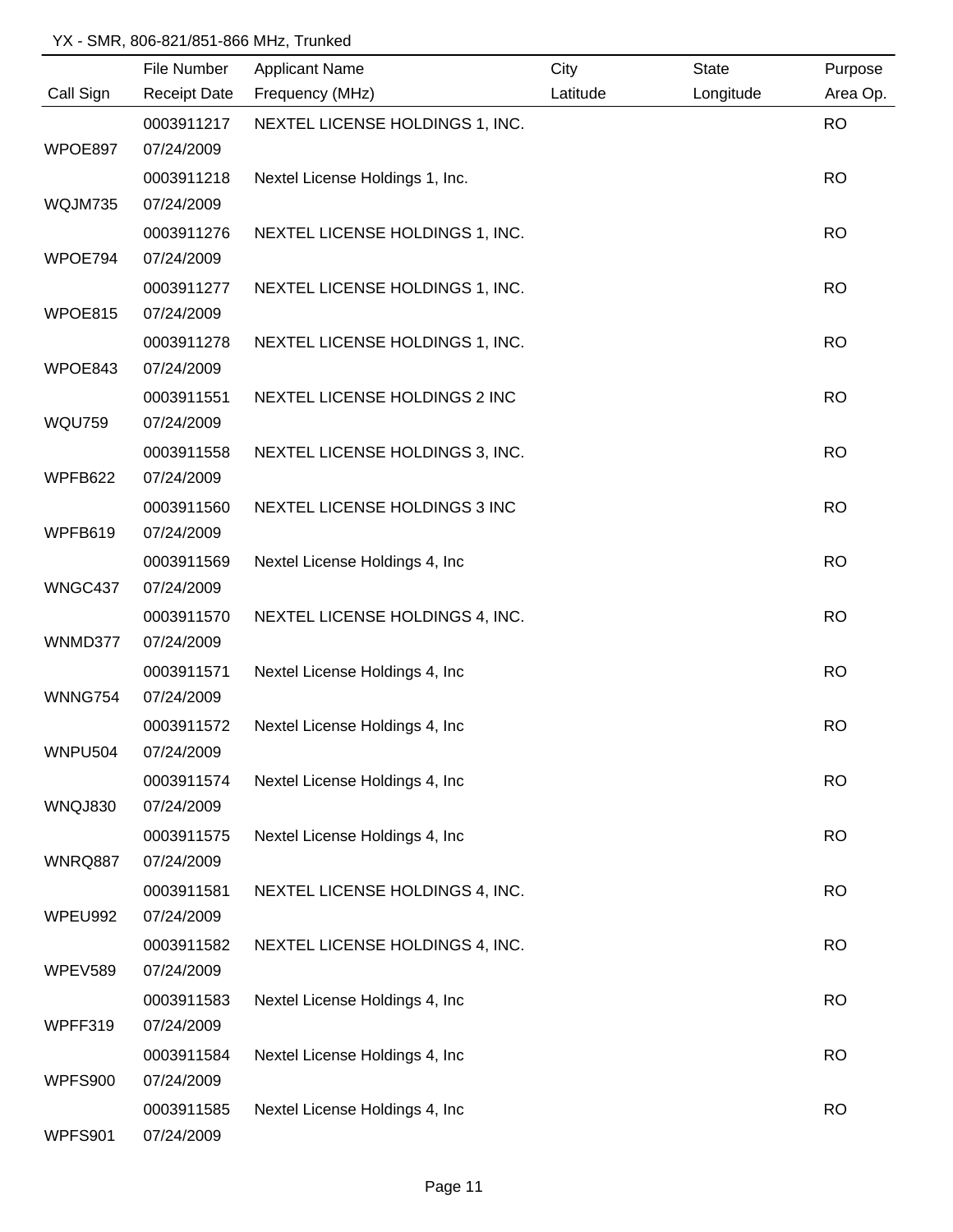|                | File Number         | <b>Applicant Name</b>           | City     | <b>State</b> | Purpose   |
|----------------|---------------------|---------------------------------|----------|--------------|-----------|
| Call Sign      | <b>Receipt Date</b> | Frequency (MHz)                 | Latitude | Longitude    | Area Op.  |
|                | 0003911217          | NEXTEL LICENSE HOLDINGS 1, INC. |          |              | <b>RO</b> |
| WPOE897        | 07/24/2009          |                                 |          |              |           |
|                | 0003911218          | Nextel License Holdings 1, Inc. |          |              | <b>RO</b> |
| WQJM735        | 07/24/2009          |                                 |          |              |           |
|                | 0003911276          | NEXTEL LICENSE HOLDINGS 1, INC. |          |              | <b>RO</b> |
| WPOE794        | 07/24/2009          |                                 |          |              |           |
|                | 0003911277          | NEXTEL LICENSE HOLDINGS 1, INC. |          |              | <b>RO</b> |
| WPOE815        | 07/24/2009          |                                 |          |              |           |
|                | 0003911278          | NEXTEL LICENSE HOLDINGS 1, INC. |          |              | <b>RO</b> |
| WPOE843        | 07/24/2009          |                                 |          |              |           |
|                | 0003911551          | NEXTEL LICENSE HOLDINGS 2 INC   |          |              | <b>RO</b> |
| <b>WQU759</b>  | 07/24/2009          |                                 |          |              |           |
|                | 0003911558          | NEXTEL LICENSE HOLDINGS 3, INC. |          |              | <b>RO</b> |
| WPFB622        | 07/24/2009          |                                 |          |              |           |
|                | 0003911560          | NEXTEL LICENSE HOLDINGS 3 INC   |          |              | <b>RO</b> |
| WPFB619        | 07/24/2009          |                                 |          |              |           |
|                | 0003911569          | Nextel License Holdings 4, Inc  |          |              | <b>RO</b> |
| WNGC437        | 07/24/2009          |                                 |          |              |           |
|                | 0003911570          | NEXTEL LICENSE HOLDINGS 4, INC. |          |              | <b>RO</b> |
| WNMD377        | 07/24/2009          |                                 |          |              |           |
|                | 0003911571          | Nextel License Holdings 4, Inc  |          |              | <b>RO</b> |
| <b>WNNG754</b> | 07/24/2009          |                                 |          |              |           |
|                | 0003911572          | Nextel License Holdings 4, Inc  |          |              | <b>RO</b> |
| <b>WNPU504</b> | 07/24/2009          |                                 |          |              |           |
|                | 0003911574          | Nextel License Holdings 4, Inc. |          |              | <b>RO</b> |
| <b>WNQJ830</b> | 07/24/2009          |                                 |          |              |           |
|                | 0003911575          | Nextel License Holdings 4, Inc  |          |              | <b>RO</b> |
| WNRQ887        | 07/24/2009          |                                 |          |              |           |
|                | 0003911581          | NEXTEL LICENSE HOLDINGS 4, INC. |          |              | <b>RO</b> |
| WPEU992        | 07/24/2009          |                                 |          |              |           |
|                | 0003911582          | NEXTEL LICENSE HOLDINGS 4, INC. |          |              | <b>RO</b> |
| WPEV589        | 07/24/2009          |                                 |          |              |           |
|                | 0003911583          | Nextel License Holdings 4, Inc  |          |              | <b>RO</b> |
| WPFF319        | 07/24/2009          |                                 |          |              |           |
|                | 0003911584          | Nextel License Holdings 4, Inc. |          |              | <b>RO</b> |
| <b>WPFS900</b> | 07/24/2009          |                                 |          |              |           |
|                | 0003911585          | Nextel License Holdings 4, Inc  |          |              | <b>RO</b> |
| WPFS901        | 07/24/2009          |                                 |          |              |           |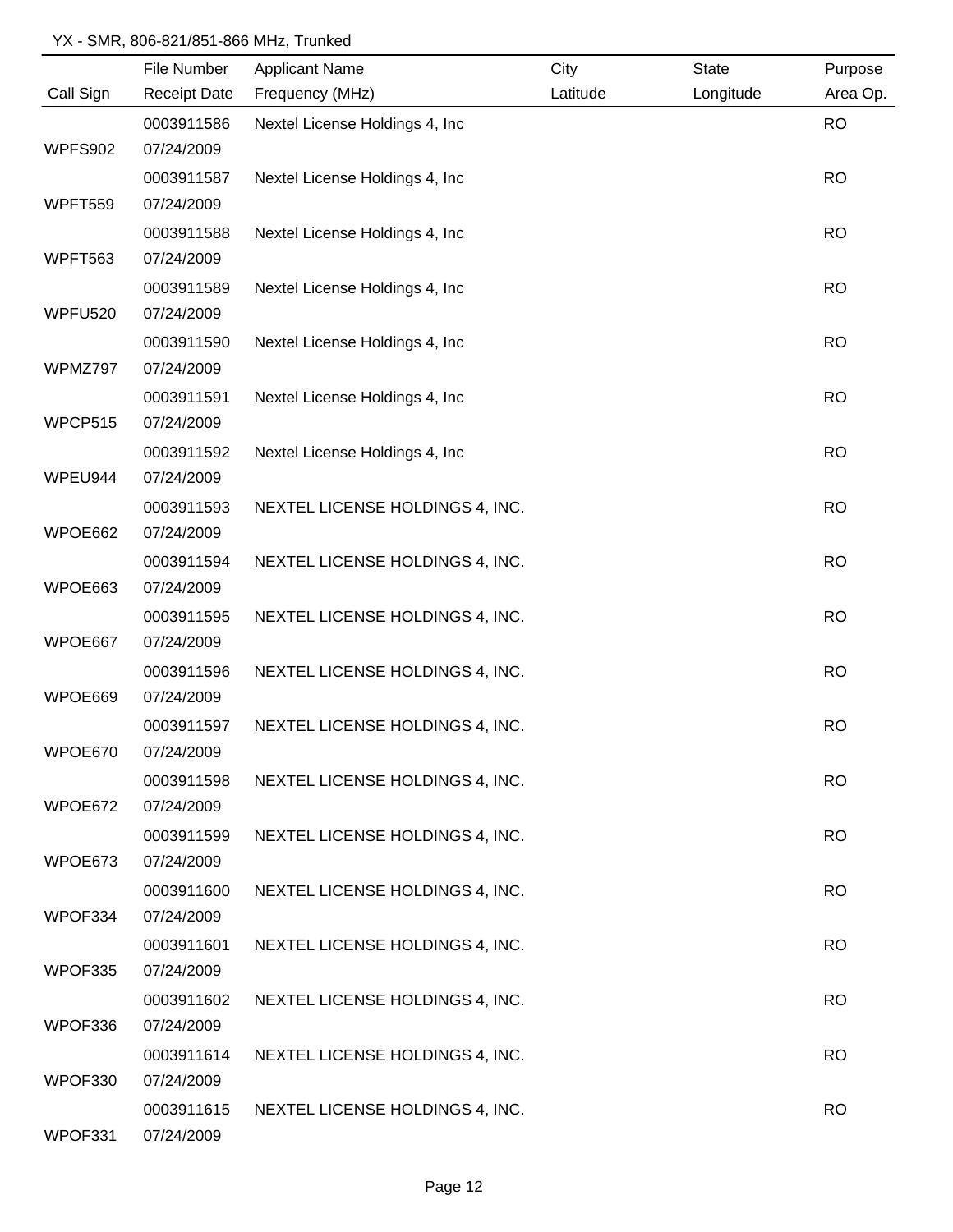|                | File Number         | <b>Applicant Name</b>           | City     | <b>State</b> | Purpose   |
|----------------|---------------------|---------------------------------|----------|--------------|-----------|
| Call Sign      | <b>Receipt Date</b> | Frequency (MHz)                 | Latitude | Longitude    | Area Op.  |
|                | 0003911586          | Nextel License Holdings 4, Inc  |          |              | <b>RO</b> |
| WPFS902        | 07/24/2009          |                                 |          |              |           |
|                | 0003911587          | Nextel License Holdings 4, Inc. |          |              | <b>RO</b> |
| <b>WPFT559</b> | 07/24/2009          |                                 |          |              |           |
|                | 0003911588          | Nextel License Holdings 4, Inc  |          |              | <b>RO</b> |
| <b>WPFT563</b> | 07/24/2009          |                                 |          |              |           |
|                | 0003911589          | Nextel License Holdings 4, Inc  |          |              | <b>RO</b> |
| WPFU520        | 07/24/2009          |                                 |          |              |           |
|                | 0003911590          | Nextel License Holdings 4, Inc. |          |              | <b>RO</b> |
| WPMZ797        | 07/24/2009          |                                 |          |              |           |
|                | 0003911591          | Nextel License Holdings 4, Inc  |          |              | <b>RO</b> |
| WPCP515        | 07/24/2009          |                                 |          |              |           |
|                | 0003911592          | Nextel License Holdings 4, Inc. |          |              | <b>RO</b> |
| WPEU944        | 07/24/2009          |                                 |          |              |           |
|                | 0003911593          | NEXTEL LICENSE HOLDINGS 4, INC. |          |              | <b>RO</b> |
| WPOE662        | 07/24/2009          |                                 |          |              |           |
|                | 0003911594          | NEXTEL LICENSE HOLDINGS 4, INC. |          |              | <b>RO</b> |
| WPOE663        | 07/24/2009          |                                 |          |              |           |
|                | 0003911595          | NEXTEL LICENSE HOLDINGS 4, INC. |          |              | <b>RO</b> |
| WPOE667        | 07/24/2009          |                                 |          |              |           |
|                | 0003911596          | NEXTEL LICENSE HOLDINGS 4, INC. |          |              | <b>RO</b> |
| WPOE669        | 07/24/2009          |                                 |          |              |           |
|                | 0003911597          | NEXTEL LICENSE HOLDINGS 4, INC. |          |              | <b>RO</b> |
| WPOE670        | 07/24/2009          |                                 |          |              |           |
|                | 0003911598          | NEXTEL LICENSE HOLDINGS 4, INC. |          |              | <b>RO</b> |
| WPOE672        | 07/24/2009          |                                 |          |              |           |
|                | 0003911599          | NEXTEL LICENSE HOLDINGS 4, INC. |          |              | <b>RO</b> |
| WPOE673        | 07/24/2009          |                                 |          |              |           |
|                | 0003911600          | NEXTEL LICENSE HOLDINGS 4, INC. |          |              | <b>RO</b> |
| WPOF334        | 07/24/2009          |                                 |          |              |           |
|                | 0003911601          | NEXTEL LICENSE HOLDINGS 4, INC. |          |              | <b>RO</b> |
| WPOF335        | 07/24/2009          |                                 |          |              |           |
|                | 0003911602          | NEXTEL LICENSE HOLDINGS 4, INC. |          |              | <b>RO</b> |
| WPOF336        | 07/24/2009          |                                 |          |              |           |
|                | 0003911614          | NEXTEL LICENSE HOLDINGS 4, INC. |          |              | <b>RO</b> |
| WPOF330        | 07/24/2009          |                                 |          |              |           |
|                | 0003911615          | NEXTEL LICENSE HOLDINGS 4, INC. |          |              | <b>RO</b> |
| WPOF331        | 07/24/2009          |                                 |          |              |           |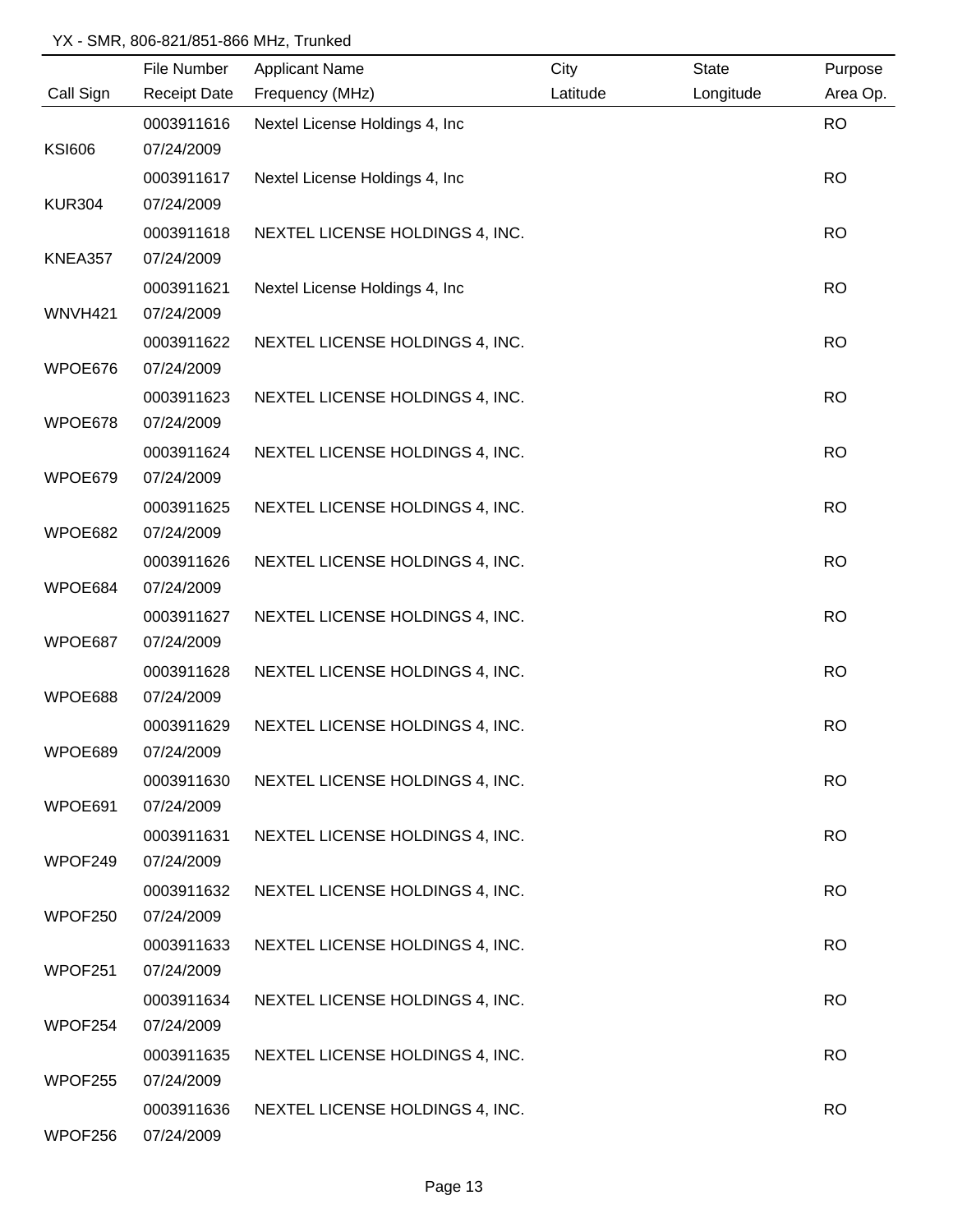|                | File Number         | <b>Applicant Name</b>           | City     | State     | Purpose   |
|----------------|---------------------|---------------------------------|----------|-----------|-----------|
| Call Sign      | <b>Receipt Date</b> | Frequency (MHz)                 | Latitude | Longitude | Area Op.  |
|                | 0003911616          | Nextel License Holdings 4, Inc  |          |           | <b>RO</b> |
| <b>KSI606</b>  | 07/24/2009          |                                 |          |           |           |
|                | 0003911617          | Nextel License Holdings 4, Inc. |          |           | <b>RO</b> |
| <b>KUR304</b>  | 07/24/2009          |                                 |          |           |           |
|                | 0003911618          | NEXTEL LICENSE HOLDINGS 4, INC. |          |           | <b>RO</b> |
| <b>KNEA357</b> | 07/24/2009          |                                 |          |           |           |
|                | 0003911621          | Nextel License Holdings 4, Inc  |          |           | <b>RO</b> |
| WNVH421        | 07/24/2009          |                                 |          |           |           |
|                | 0003911622          | NEXTEL LICENSE HOLDINGS 4, INC. |          |           | <b>RO</b> |
| WPOE676        | 07/24/2009          |                                 |          |           |           |
|                | 0003911623          | NEXTEL LICENSE HOLDINGS 4, INC. |          |           | <b>RO</b> |
| WPOE678        | 07/24/2009          |                                 |          |           |           |
|                | 0003911624          | NEXTEL LICENSE HOLDINGS 4, INC. |          |           | <b>RO</b> |
| WPOE679        | 07/24/2009          |                                 |          |           |           |
|                | 0003911625          | NEXTEL LICENSE HOLDINGS 4, INC. |          |           | <b>RO</b> |
| WPOE682        | 07/24/2009          |                                 |          |           |           |
|                | 0003911626          | NEXTEL LICENSE HOLDINGS 4, INC. |          |           | <b>RO</b> |
| WPOE684        | 07/24/2009          |                                 |          |           |           |
|                | 0003911627          | NEXTEL LICENSE HOLDINGS 4, INC. |          |           | <b>RO</b> |
| WPOE687        | 07/24/2009          |                                 |          |           |           |
|                | 0003911628          | NEXTEL LICENSE HOLDINGS 4, INC. |          |           | <b>RO</b> |
| WPOE688        | 07/24/2009          |                                 |          |           |           |
|                | 0003911629          | NEXTEL LICENSE HOLDINGS 4, INC. |          |           | <b>RO</b> |
| WPOE689        | 07/24/2009          |                                 |          |           |           |
|                | 0003911630          | NEXTEL LICENSE HOLDINGS 4, INC. |          |           | <b>RO</b> |
| WPOE691        | 07/24/2009          |                                 |          |           |           |
|                | 0003911631          | NEXTEL LICENSE HOLDINGS 4, INC. |          |           | <b>RO</b> |
| WPOF249        | 07/24/2009          |                                 |          |           |           |
|                | 0003911632          | NEXTEL LICENSE HOLDINGS 4, INC. |          |           | <b>RO</b> |
| WPOF250        | 07/24/2009          |                                 |          |           |           |
|                | 0003911633          | NEXTEL LICENSE HOLDINGS 4, INC. |          |           | <b>RO</b> |
| WPOF251        | 07/24/2009          |                                 |          |           |           |
|                | 0003911634          | NEXTEL LICENSE HOLDINGS 4, INC. |          |           | <b>RO</b> |
| WPOF254        | 07/24/2009          |                                 |          |           |           |
|                | 0003911635          | NEXTEL LICENSE HOLDINGS 4, INC. |          |           | <b>RO</b> |
| WPOF255        | 07/24/2009          |                                 |          |           |           |
|                | 0003911636          | NEXTEL LICENSE HOLDINGS 4, INC. |          |           | <b>RO</b> |
| WPOF256        | 07/24/2009          |                                 |          |           |           |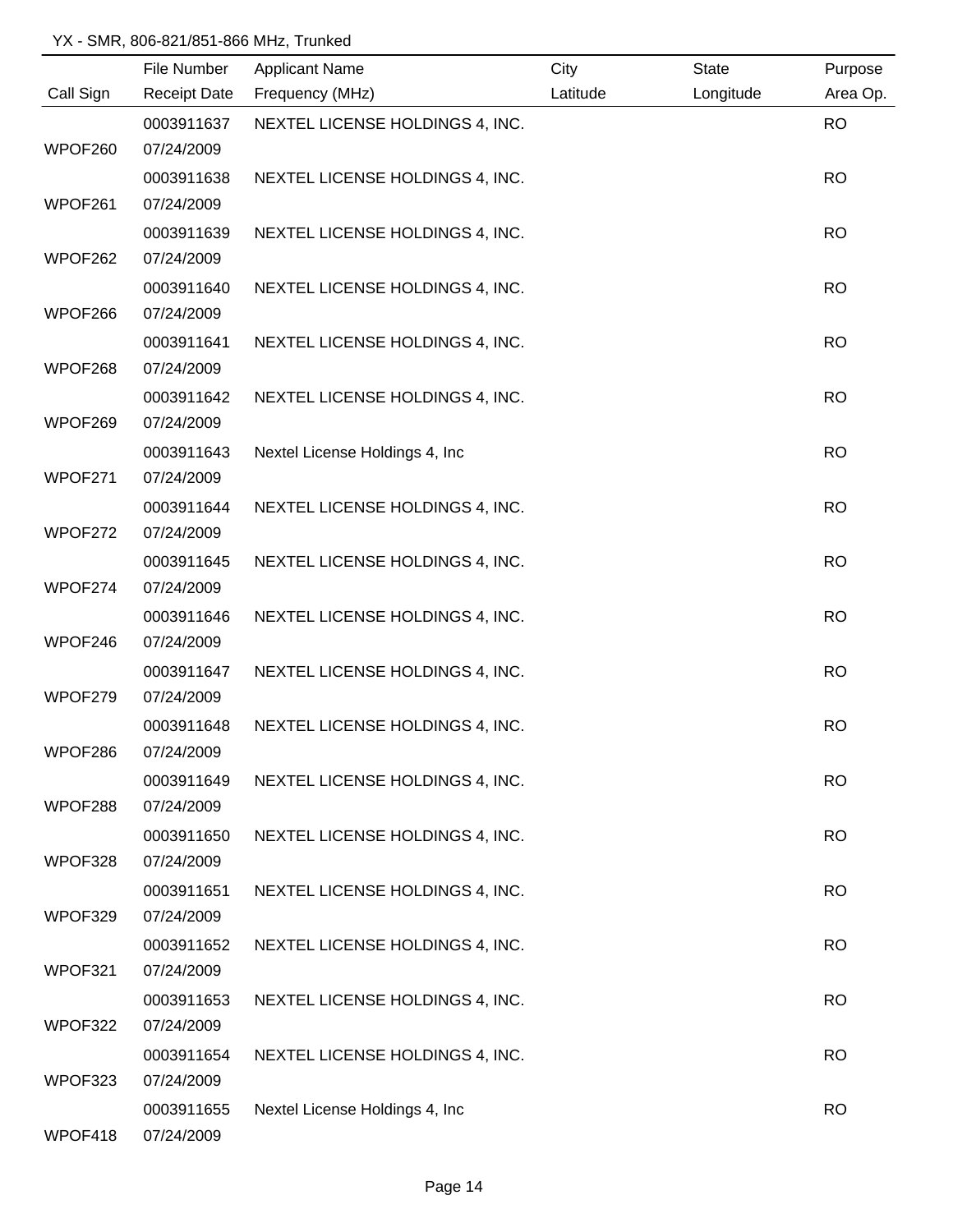|           | File Number              | <b>Applicant Name</b>           | City     | State     | Purpose   |
|-----------|--------------------------|---------------------------------|----------|-----------|-----------|
| Call Sign | <b>Receipt Date</b>      | Frequency (MHz)                 | Latitude | Longitude | Area Op.  |
|           | 0003911637               | NEXTEL LICENSE HOLDINGS 4, INC. |          |           | <b>RO</b> |
| WPOF260   | 07/24/2009               |                                 |          |           |           |
|           | 0003911638               | NEXTEL LICENSE HOLDINGS 4, INC. |          |           | <b>RO</b> |
| WPOF261   | 07/24/2009               |                                 |          |           |           |
|           | 0003911639               | NEXTEL LICENSE HOLDINGS 4, INC. |          |           | <b>RO</b> |
| WPOF262   | 07/24/2009               |                                 |          |           |           |
|           | 0003911640               | NEXTEL LICENSE HOLDINGS 4, INC. |          |           | <b>RO</b> |
| WPOF266   | 07/24/2009               |                                 |          |           |           |
|           | 0003911641               | NEXTEL LICENSE HOLDINGS 4, INC. |          |           | <b>RO</b> |
| WPOF268   | 07/24/2009               |                                 |          |           |           |
|           | 0003911642               | NEXTEL LICENSE HOLDINGS 4, INC. |          |           | <b>RO</b> |
| WPOF269   | 07/24/2009               |                                 |          |           |           |
|           | 0003911643               | Nextel License Holdings 4, Inc  |          |           | <b>RO</b> |
| WPOF271   | 07/24/2009               |                                 |          |           |           |
| WPOF272   | 0003911644               | NEXTEL LICENSE HOLDINGS 4, INC. |          |           | <b>RO</b> |
|           | 07/24/2009               |                                 |          |           |           |
| WPOF274   | 0003911645<br>07/24/2009 | NEXTEL LICENSE HOLDINGS 4, INC. |          |           | <b>RO</b> |
|           | 0003911646               | NEXTEL LICENSE HOLDINGS 4, INC. |          |           | <b>RO</b> |
| WPOF246   | 07/24/2009               |                                 |          |           |           |
|           | 0003911647               | NEXTEL LICENSE HOLDINGS 4, INC. |          |           | <b>RO</b> |
| WPOF279   | 07/24/2009               |                                 |          |           |           |
|           | 0003911648               | NEXTEL LICENSE HOLDINGS 4, INC. |          |           | <b>RO</b> |
| WPOF286   | 07/24/2009               |                                 |          |           |           |
|           | 0003911649               | NEXTEL LICENSE HOLDINGS 4, INC. |          |           | <b>RO</b> |
| WPOF288   | 07/24/2009               |                                 |          |           |           |
|           | 0003911650               | NEXTEL LICENSE HOLDINGS 4, INC. |          |           | <b>RO</b> |
| WPOF328   | 07/24/2009               |                                 |          |           |           |
|           | 0003911651               | NEXTEL LICENSE HOLDINGS 4, INC. |          |           | <b>RO</b> |
| WPOF329   | 07/24/2009               |                                 |          |           |           |
|           | 0003911652               | NEXTEL LICENSE HOLDINGS 4, INC. |          |           | <b>RO</b> |
| WPOF321   | 07/24/2009               |                                 |          |           |           |
|           | 0003911653               | NEXTEL LICENSE HOLDINGS 4, INC. |          |           | <b>RO</b> |
| WPOF322   | 07/24/2009               |                                 |          |           |           |
|           | 0003911654               | NEXTEL LICENSE HOLDINGS 4, INC. |          |           | <b>RO</b> |
| WPOF323   | 07/24/2009               |                                 |          |           |           |
|           | 0003911655               | Nextel License Holdings 4, Inc  |          |           | <b>RO</b> |
| WPOF418   | 07/24/2009               |                                 |          |           |           |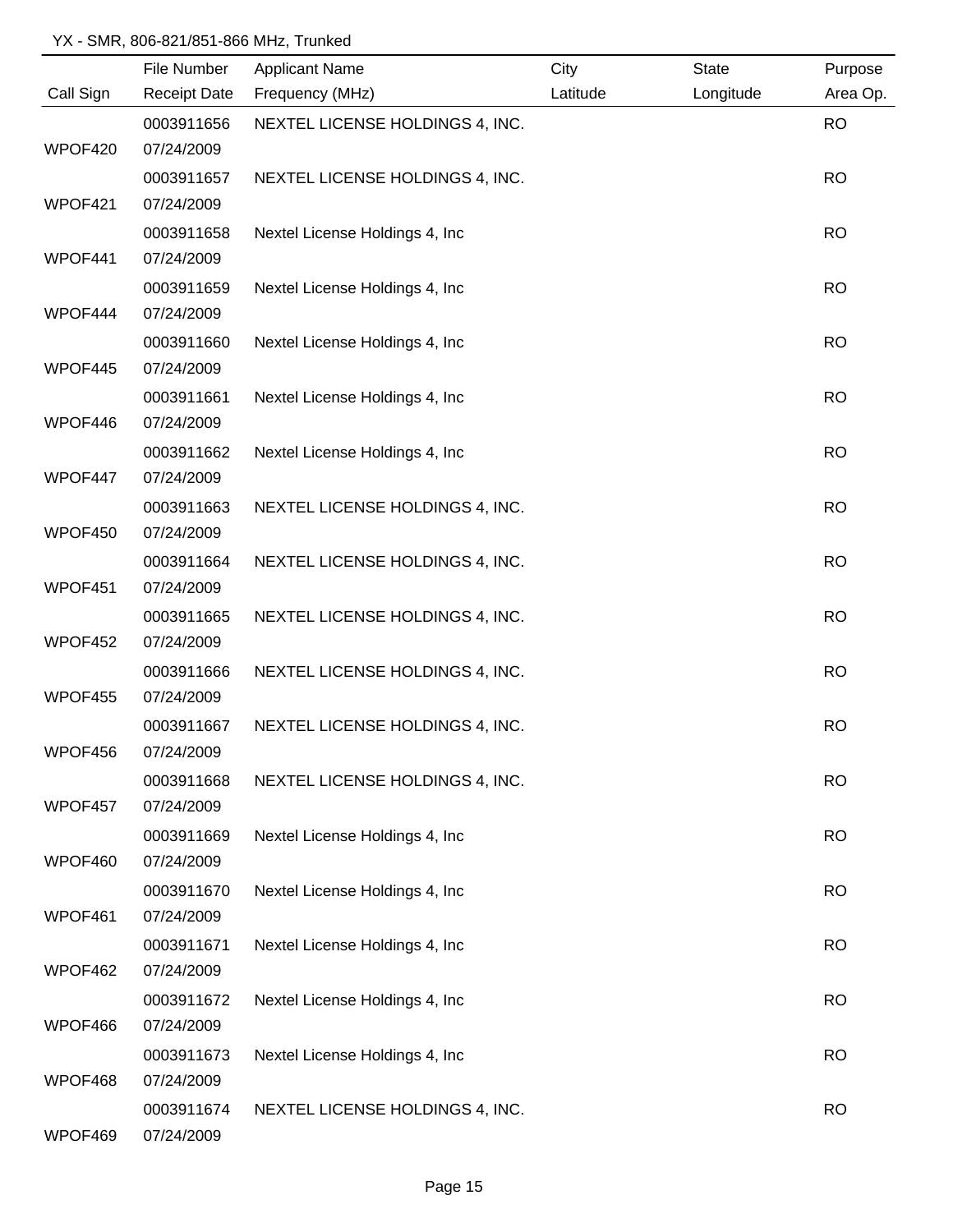|           | File Number         | <b>Applicant Name</b>           | City     | <b>State</b> | Purpose   |
|-----------|---------------------|---------------------------------|----------|--------------|-----------|
| Call Sign | <b>Receipt Date</b> | Frequency (MHz)                 | Latitude | Longitude    | Area Op.  |
|           | 0003911656          | NEXTEL LICENSE HOLDINGS 4, INC. |          |              | <b>RO</b> |
| WPOF420   | 07/24/2009          |                                 |          |              |           |
|           | 0003911657          | NEXTEL LICENSE HOLDINGS 4, INC. |          |              | <b>RO</b> |
| WPOF421   | 07/24/2009          |                                 |          |              |           |
|           | 0003911658          | Nextel License Holdings 4, Inc. |          |              | <b>RO</b> |
| WPOF441   | 07/24/2009          |                                 |          |              |           |
|           | 0003911659          | Nextel License Holdings 4, Inc. |          |              | <b>RO</b> |
| WPOF444   | 07/24/2009          |                                 |          |              |           |
|           | 0003911660          | Nextel License Holdings 4, Inc  |          |              | <b>RO</b> |
| WPOF445   | 07/24/2009          |                                 |          |              |           |
|           | 0003911661          | Nextel License Holdings 4, Inc. |          |              | <b>RO</b> |
| WPOF446   | 07/24/2009          |                                 |          |              |           |
|           | 0003911662          | Nextel License Holdings 4, Inc  |          |              | <b>RO</b> |
| WPOF447   | 07/24/2009          |                                 |          |              |           |
|           | 0003911663          | NEXTEL LICENSE HOLDINGS 4, INC. |          |              | <b>RO</b> |
| WPOF450   | 07/24/2009          |                                 |          |              |           |
|           | 0003911664          | NEXTEL LICENSE HOLDINGS 4, INC. |          |              | <b>RO</b> |
| WPOF451   | 07/24/2009          |                                 |          |              |           |
|           | 0003911665          | NEXTEL LICENSE HOLDINGS 4, INC. |          |              | <b>RO</b> |
| WPOF452   | 07/24/2009          |                                 |          |              |           |
|           | 0003911666          | NEXTEL LICENSE HOLDINGS 4, INC. |          |              | <b>RO</b> |
| WPOF455   | 07/24/2009          |                                 |          |              |           |
|           | 0003911667          | NEXTEL LICENSE HOLDINGS 4, INC. |          |              | <b>RO</b> |
| WPOF456   | 07/24/2009          |                                 |          |              |           |
|           | 0003911668          | NEXTEL LICENSE HOLDINGS 4, INC. |          |              | <b>RO</b> |
| WPOF457   | 07/24/2009          |                                 |          |              |           |
|           | 0003911669          | Nextel License Holdings 4, Inc. |          |              | <b>RO</b> |
| WPOF460   | 07/24/2009          |                                 |          |              |           |
|           | 0003911670          | Nextel License Holdings 4, Inc  |          |              | <b>RO</b> |
| WPOF461   | 07/24/2009          |                                 |          |              |           |
|           | 0003911671          | Nextel License Holdings 4, Inc  |          |              | <b>RO</b> |
| WPOF462   | 07/24/2009          |                                 |          |              |           |
|           | 0003911672          | Nextel License Holdings 4, Inc  |          |              | <b>RO</b> |
| WPOF466   | 07/24/2009          |                                 |          |              |           |
|           | 0003911673          | Nextel License Holdings 4, Inc  |          |              | <b>RO</b> |
| WPOF468   | 07/24/2009          |                                 |          |              |           |
|           | 0003911674          | NEXTEL LICENSE HOLDINGS 4, INC. |          |              | <b>RO</b> |
| WPOF469   | 07/24/2009          |                                 |          |              |           |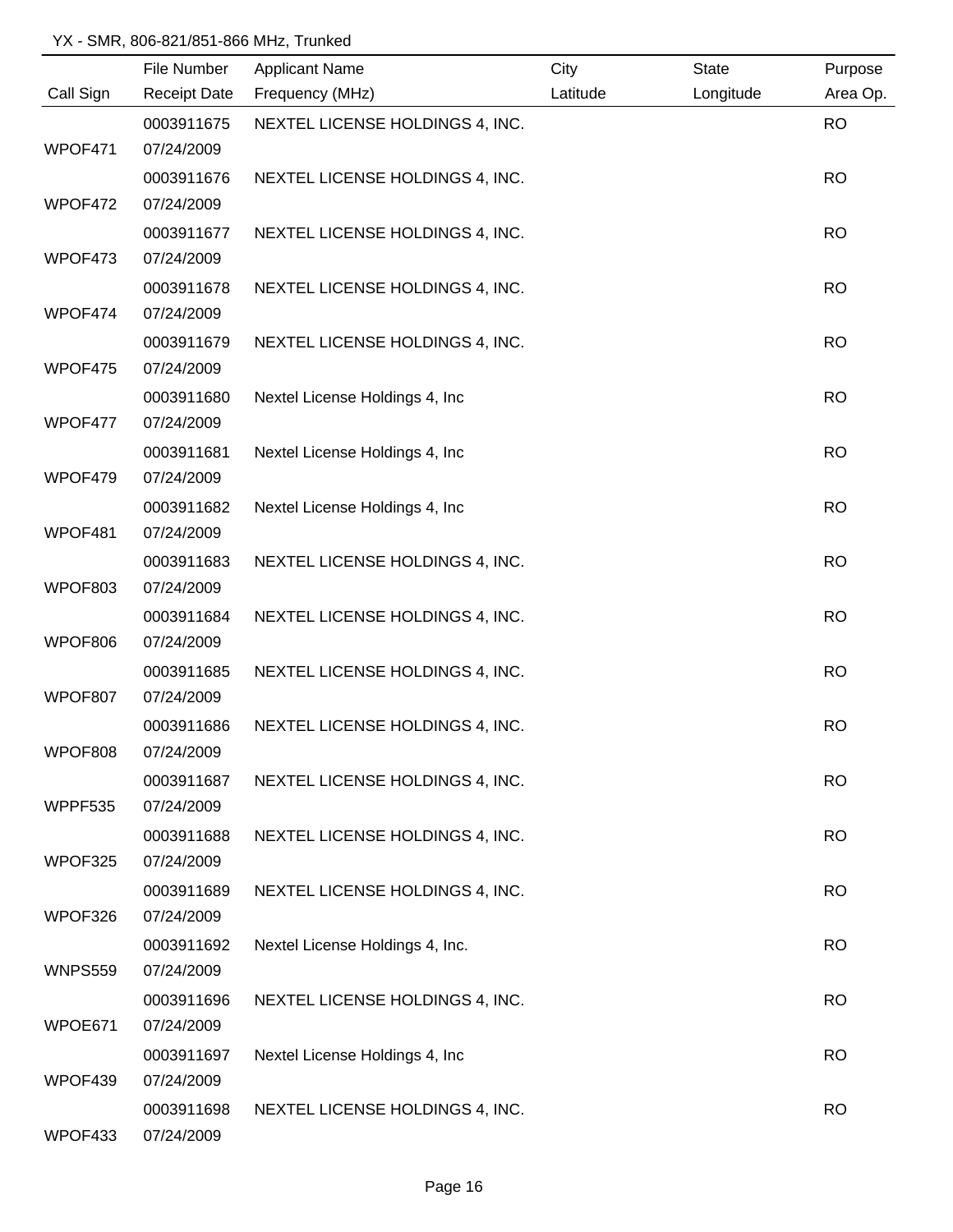|                | File Number         | <b>Applicant Name</b>           | City     | State     | Purpose   |
|----------------|---------------------|---------------------------------|----------|-----------|-----------|
| Call Sign      | <b>Receipt Date</b> | Frequency (MHz)                 | Latitude | Longitude | Area Op.  |
|                | 0003911675          | NEXTEL LICENSE HOLDINGS 4, INC. |          |           | <b>RO</b> |
| WPOF471        | 07/24/2009          |                                 |          |           |           |
|                | 0003911676          | NEXTEL LICENSE HOLDINGS 4, INC. |          |           | <b>RO</b> |
| WPOF472        | 07/24/2009          |                                 |          |           |           |
|                | 0003911677          | NEXTEL LICENSE HOLDINGS 4, INC. |          |           | <b>RO</b> |
| WPOF473        | 07/24/2009          |                                 |          |           |           |
|                | 0003911678          | NEXTEL LICENSE HOLDINGS 4, INC. |          |           | <b>RO</b> |
| WPOF474        | 07/24/2009          |                                 |          |           |           |
|                | 0003911679          | NEXTEL LICENSE HOLDINGS 4, INC. |          |           | <b>RO</b> |
| WPOF475        | 07/24/2009          |                                 |          |           |           |
|                | 0003911680          | Nextel License Holdings 4, Inc. |          |           | <b>RO</b> |
| WPOF477        | 07/24/2009          |                                 |          |           |           |
|                | 0003911681          | Nextel License Holdings 4, Inc. |          |           | <b>RO</b> |
| WPOF479        | 07/24/2009          |                                 |          |           |           |
|                | 0003911682          | Nextel License Holdings 4, Inc  |          |           | <b>RO</b> |
| WPOF481        | 07/24/2009          |                                 |          |           |           |
|                | 0003911683          | NEXTEL LICENSE HOLDINGS 4, INC. |          |           | <b>RO</b> |
| WPOF803        | 07/24/2009          |                                 |          |           |           |
|                | 0003911684          | NEXTEL LICENSE HOLDINGS 4, INC. |          |           | <b>RO</b> |
| WPOF806        | 07/24/2009          |                                 |          |           |           |
|                | 0003911685          | NEXTEL LICENSE HOLDINGS 4, INC. |          |           | <b>RO</b> |
| WPOF807        | 07/24/2009          |                                 |          |           |           |
|                | 0003911686          | NEXTEL LICENSE HOLDINGS 4, INC. |          |           | <b>RO</b> |
| WPOF808        | 07/24/2009          |                                 |          |           |           |
|                | 0003911687          | NEXTEL LICENSE HOLDINGS 4, INC. |          |           | <b>RO</b> |
| WPPF535        | 07/24/2009          |                                 |          |           |           |
|                | 0003911688          | NEXTEL LICENSE HOLDINGS 4, INC. |          |           | <b>RO</b> |
| WPOF325        | 07/24/2009          |                                 |          |           |           |
|                | 0003911689          | NEXTEL LICENSE HOLDINGS 4, INC. |          |           | <b>RO</b> |
| WPOF326        | 07/24/2009          |                                 |          |           |           |
|                | 0003911692          | Nextel License Holdings 4, Inc. |          |           | <b>RO</b> |
| <b>WNPS559</b> | 07/24/2009          |                                 |          |           |           |
|                | 0003911696          | NEXTEL LICENSE HOLDINGS 4, INC. |          |           | <b>RO</b> |
| WPOE671        | 07/24/2009          |                                 |          |           |           |
|                | 0003911697          | Nextel License Holdings 4, Inc  |          |           | <b>RO</b> |
| WPOF439        | 07/24/2009          |                                 |          |           |           |
|                | 0003911698          | NEXTEL LICENSE HOLDINGS 4, INC. |          |           | <b>RO</b> |
| WPOF433        | 07/24/2009          |                                 |          |           |           |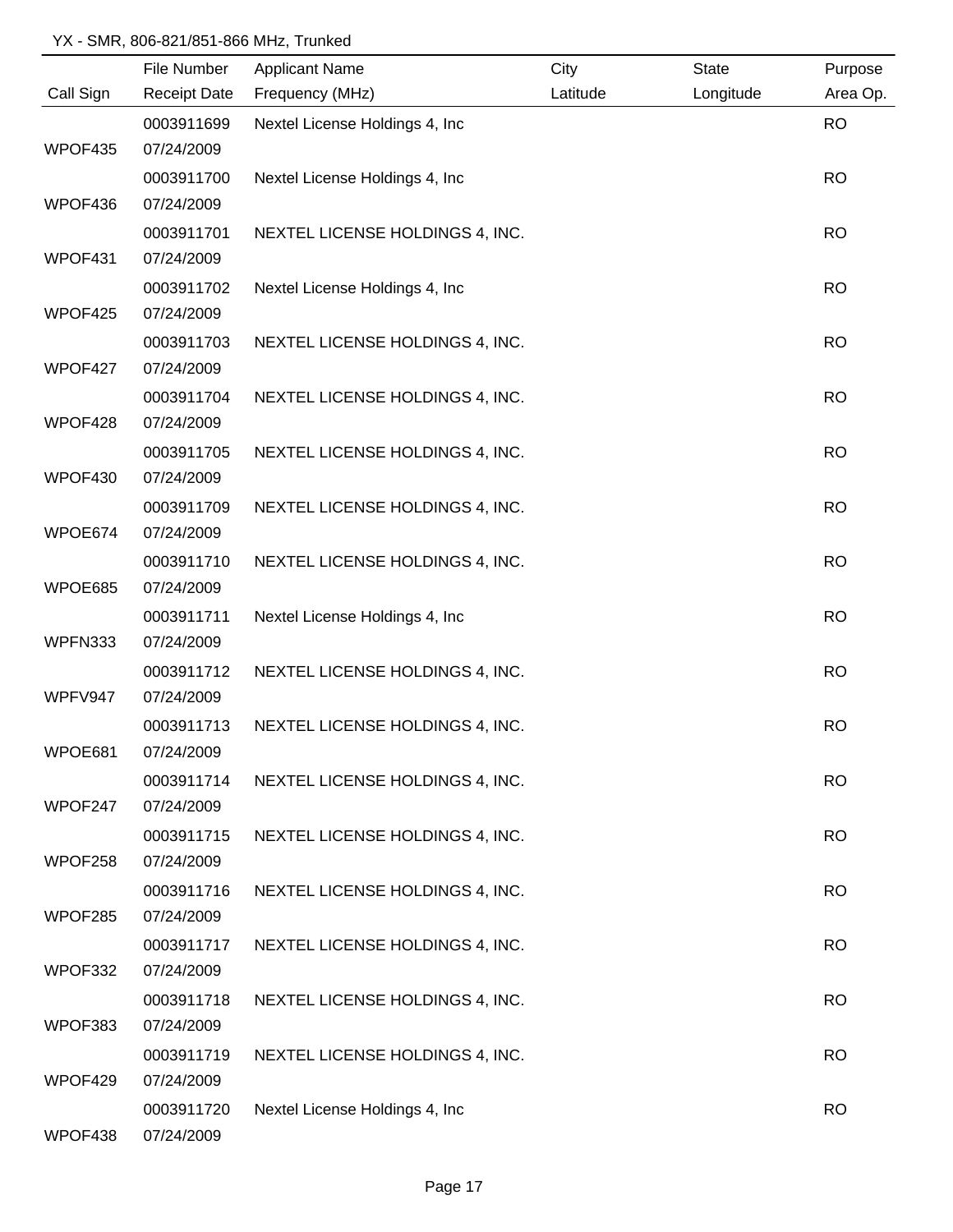|           | File Number         | <b>Applicant Name</b>           | City     | State     | Purpose   |
|-----------|---------------------|---------------------------------|----------|-----------|-----------|
| Call Sign | <b>Receipt Date</b> | Frequency (MHz)                 | Latitude | Longitude | Area Op.  |
|           | 0003911699          | Nextel License Holdings 4, Inc  |          |           | <b>RO</b> |
| WPOF435   | 07/24/2009          |                                 |          |           |           |
|           | 0003911700          | Nextel License Holdings 4, Inc. |          |           | <b>RO</b> |
| WPOF436   | 07/24/2009          |                                 |          |           |           |
|           | 0003911701          | NEXTEL LICENSE HOLDINGS 4, INC. |          |           | <b>RO</b> |
| WPOF431   | 07/24/2009          |                                 |          |           |           |
|           | 0003911702          | Nextel License Holdings 4, Inc  |          |           | <b>RO</b> |
| WPOF425   | 07/24/2009          |                                 |          |           |           |
|           | 0003911703          | NEXTEL LICENSE HOLDINGS 4, INC. |          |           | <b>RO</b> |
| WPOF427   | 07/24/2009          |                                 |          |           |           |
|           | 0003911704          | NEXTEL LICENSE HOLDINGS 4, INC. |          |           | <b>RO</b> |
| WPOF428   | 07/24/2009          |                                 |          |           |           |
|           | 0003911705          | NEXTEL LICENSE HOLDINGS 4, INC. |          |           | <b>RO</b> |
| WPOF430   | 07/24/2009          |                                 |          |           |           |
|           | 0003911709          | NEXTEL LICENSE HOLDINGS 4, INC. |          |           | <b>RO</b> |
| WPOE674   | 07/24/2009          |                                 |          |           |           |
|           | 0003911710          | NEXTEL LICENSE HOLDINGS 4, INC. |          |           | <b>RO</b> |
| WPOE685   | 07/24/2009          |                                 |          |           |           |
|           | 0003911711          | Nextel License Holdings 4, Inc  |          |           | <b>RO</b> |
| WPFN333   | 07/24/2009          |                                 |          |           |           |
|           | 0003911712          | NEXTEL LICENSE HOLDINGS 4, INC. |          |           | <b>RO</b> |
| WPFV947   | 07/24/2009          |                                 |          |           |           |
|           | 0003911713          | NEXTEL LICENSE HOLDINGS 4, INC. |          |           | <b>RO</b> |
| WPOE681   | 07/24/2009          |                                 |          |           |           |
|           | 0003911714          | NEXTEL LICENSE HOLDINGS 4, INC. |          |           | <b>RO</b> |
| WPOF247   | 07/24/2009          |                                 |          |           |           |
|           | 0003911715          | NEXTEL LICENSE HOLDINGS 4, INC. |          |           | <b>RO</b> |
| WPOF258   | 07/24/2009          |                                 |          |           |           |
|           | 0003911716          | NEXTEL LICENSE HOLDINGS 4, INC. |          |           | <b>RO</b> |
| WPOF285   | 07/24/2009          |                                 |          |           |           |
|           | 0003911717          | NEXTEL LICENSE HOLDINGS 4, INC. |          |           | <b>RO</b> |
| WPOF332   | 07/24/2009          |                                 |          |           |           |
|           | 0003911718          | NEXTEL LICENSE HOLDINGS 4, INC. |          |           | <b>RO</b> |
| WPOF383   | 07/24/2009          |                                 |          |           |           |
|           | 0003911719          | NEXTEL LICENSE HOLDINGS 4, INC. |          |           | <b>RO</b> |
| WPOF429   | 07/24/2009          |                                 |          |           |           |
|           | 0003911720          | Nextel License Holdings 4, Inc  |          |           | <b>RO</b> |
| WPOF438   | 07/24/2009          |                                 |          |           |           |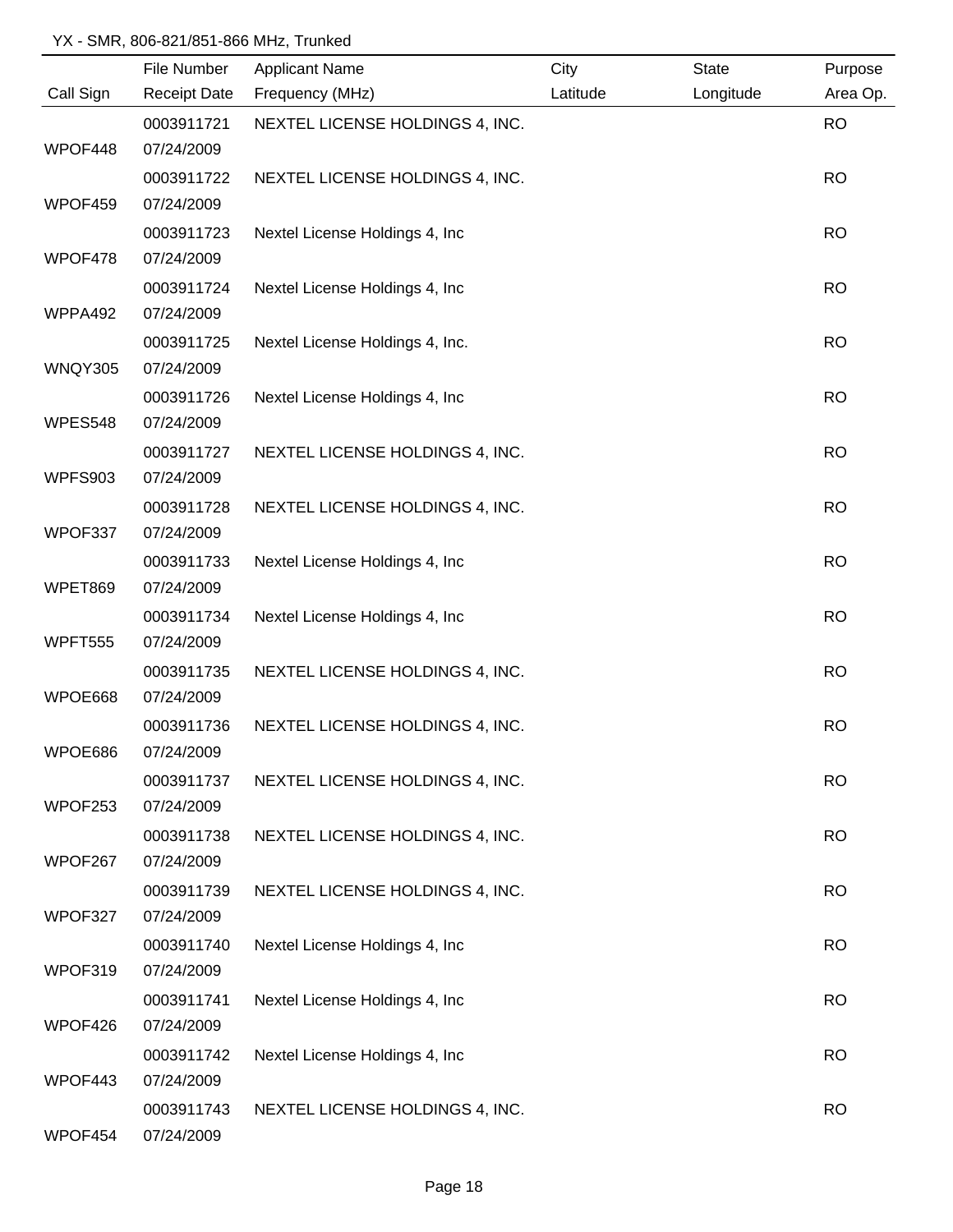|                | File Number         | <b>Applicant Name</b>           | City     | <b>State</b> | Purpose   |
|----------------|---------------------|---------------------------------|----------|--------------|-----------|
| Call Sign      | <b>Receipt Date</b> | Frequency (MHz)                 | Latitude | Longitude    | Area Op.  |
|                | 0003911721          | NEXTEL LICENSE HOLDINGS 4, INC. |          |              | <b>RO</b> |
| WPOF448        | 07/24/2009          |                                 |          |              |           |
|                | 0003911722          | NEXTEL LICENSE HOLDINGS 4, INC. |          |              | <b>RO</b> |
| WPOF459        | 07/24/2009          |                                 |          |              |           |
|                | 0003911723          | Nextel License Holdings 4, Inc. |          |              | <b>RO</b> |
| WPOF478        | 07/24/2009          |                                 |          |              |           |
|                | 0003911724          | Nextel License Holdings 4, Inc. |          |              | <b>RO</b> |
| WPPA492        | 07/24/2009          |                                 |          |              |           |
|                | 0003911725          | Nextel License Holdings 4, Inc. |          |              | <b>RO</b> |
| WNQY305        | 07/24/2009          |                                 |          |              |           |
|                | 0003911726          | Nextel License Holdings 4, Inc. |          |              | <b>RO</b> |
| WPES548        | 07/24/2009          |                                 |          |              |           |
|                | 0003911727          | NEXTEL LICENSE HOLDINGS 4, INC. |          |              | <b>RO</b> |
| <b>WPFS903</b> | 07/24/2009          |                                 |          |              |           |
|                | 0003911728          | NEXTEL LICENSE HOLDINGS 4, INC. |          |              | <b>RO</b> |
| WPOF337        | 07/24/2009          |                                 |          |              |           |
|                | 0003911733          | Nextel License Holdings 4, Inc  |          |              | <b>RO</b> |
| WPET869        | 07/24/2009          |                                 |          |              |           |
|                | 0003911734          | Nextel License Holdings 4, Inc. |          |              | <b>RO</b> |
| WPFT555        | 07/24/2009          |                                 |          |              |           |
|                | 0003911735          | NEXTEL LICENSE HOLDINGS 4, INC. |          |              | <b>RO</b> |
| WPOE668        | 07/24/2009          |                                 |          |              |           |
|                | 0003911736          | NEXTEL LICENSE HOLDINGS 4, INC. |          |              | <b>RO</b> |
| WPOE686        | 07/24/2009          |                                 |          |              |           |
|                | 0003911737          | NEXTEL LICENSE HOLDINGS 4, INC. |          |              | <b>RO</b> |
| WPOF253        | 07/24/2009          |                                 |          |              |           |
|                | 0003911738          | NEXTEL LICENSE HOLDINGS 4, INC. |          |              | <b>RO</b> |
| WPOF267        | 07/24/2009          |                                 |          |              |           |
|                | 0003911739          | NEXTEL LICENSE HOLDINGS 4, INC. |          |              | <b>RO</b> |
| WPOF327        | 07/24/2009          |                                 |          |              |           |
|                | 0003911740          | Nextel License Holdings 4, Inc. |          |              | <b>RO</b> |
| WPOF319        | 07/24/2009          |                                 |          |              |           |
|                | 0003911741          | Nextel License Holdings 4, Inc  |          |              | <b>RO</b> |
| WPOF426        | 07/24/2009          |                                 |          |              |           |
|                | 0003911742          | Nextel License Holdings 4, Inc  |          |              | <b>RO</b> |
| WPOF443        | 07/24/2009          |                                 |          |              |           |
|                | 0003911743          | NEXTEL LICENSE HOLDINGS 4, INC. |          |              | <b>RO</b> |
| WPOF454        | 07/24/2009          |                                 |          |              |           |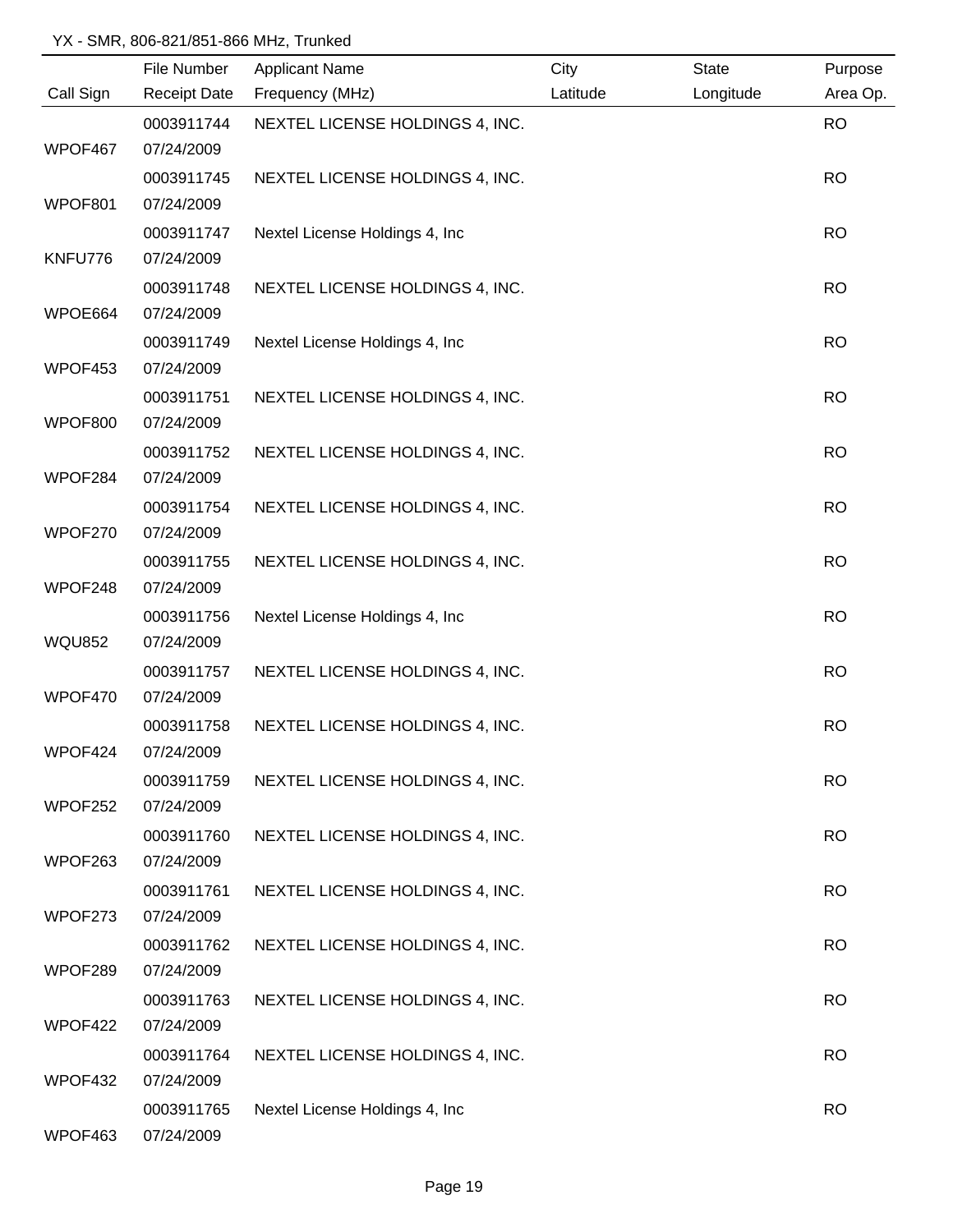|               | File Number         | <b>Applicant Name</b>           | City     | <b>State</b> | Purpose   |
|---------------|---------------------|---------------------------------|----------|--------------|-----------|
| Call Sign     | <b>Receipt Date</b> | Frequency (MHz)                 | Latitude | Longitude    | Area Op.  |
|               | 0003911744          | NEXTEL LICENSE HOLDINGS 4, INC. |          |              | <b>RO</b> |
| WPOF467       | 07/24/2009          |                                 |          |              |           |
|               | 0003911745          | NEXTEL LICENSE HOLDINGS 4, INC. |          |              | <b>RO</b> |
| WPOF801       | 07/24/2009          |                                 |          |              |           |
|               | 0003911747          | Nextel License Holdings 4, Inc. |          |              | <b>RO</b> |
| KNFU776       | 07/24/2009          |                                 |          |              |           |
|               | 0003911748          | NEXTEL LICENSE HOLDINGS 4, INC. |          |              | <b>RO</b> |
| WPOE664       | 07/24/2009          |                                 |          |              |           |
|               | 0003911749          | Nextel License Holdings 4, Inc  |          |              | <b>RO</b> |
| WPOF453       | 07/24/2009          |                                 |          |              |           |
|               | 0003911751          | NEXTEL LICENSE HOLDINGS 4, INC. |          |              | <b>RO</b> |
| WPOF800       | 07/24/2009          |                                 |          |              |           |
|               | 0003911752          | NEXTEL LICENSE HOLDINGS 4, INC. |          |              | <b>RO</b> |
| WPOF284       | 07/24/2009          |                                 |          |              |           |
|               | 0003911754          | NEXTEL LICENSE HOLDINGS 4, INC. |          |              | <b>RO</b> |
| WPOF270       | 07/24/2009          |                                 |          |              |           |
|               | 0003911755          | NEXTEL LICENSE HOLDINGS 4, INC. |          |              | <b>RO</b> |
| WPOF248       | 07/24/2009          |                                 |          |              |           |
|               | 0003911756          | Nextel License Holdings 4, Inc. |          |              | <b>RO</b> |
| <b>WQU852</b> | 07/24/2009          |                                 |          |              |           |
|               | 0003911757          | NEXTEL LICENSE HOLDINGS 4, INC. |          |              | <b>RO</b> |
| WPOF470       | 07/24/2009          |                                 |          |              |           |
|               | 0003911758          | NEXTEL LICENSE HOLDINGS 4, INC. |          |              | <b>RO</b> |
| WPOF424       | 07/24/2009          |                                 |          |              |           |
|               | 0003911759          | NEXTEL LICENSE HOLDINGS 4, INC. |          |              | <b>RO</b> |
| WPOF252       | 07/24/2009          |                                 |          |              |           |
|               | 0003911760          | NEXTEL LICENSE HOLDINGS 4, INC. |          |              | <b>RO</b> |
| WPOF263       | 07/24/2009          |                                 |          |              |           |
|               | 0003911761          | NEXTEL LICENSE HOLDINGS 4, INC. |          |              | <b>RO</b> |
| WPOF273       | 07/24/2009          |                                 |          |              |           |
|               | 0003911762          | NEXTEL LICENSE HOLDINGS 4, INC. |          |              | <b>RO</b> |
| WPOF289       | 07/24/2009          |                                 |          |              |           |
|               | 0003911763          | NEXTEL LICENSE HOLDINGS 4, INC. |          |              | <b>RO</b> |
| WPOF422       | 07/24/2009          |                                 |          |              |           |
|               | 0003911764          | NEXTEL LICENSE HOLDINGS 4, INC. |          |              | <b>RO</b> |
| WPOF432       | 07/24/2009          |                                 |          |              |           |
|               | 0003911765          | Nextel License Holdings 4, Inc  |          |              | <b>RO</b> |
| WPOF463       | 07/24/2009          |                                 |          |              |           |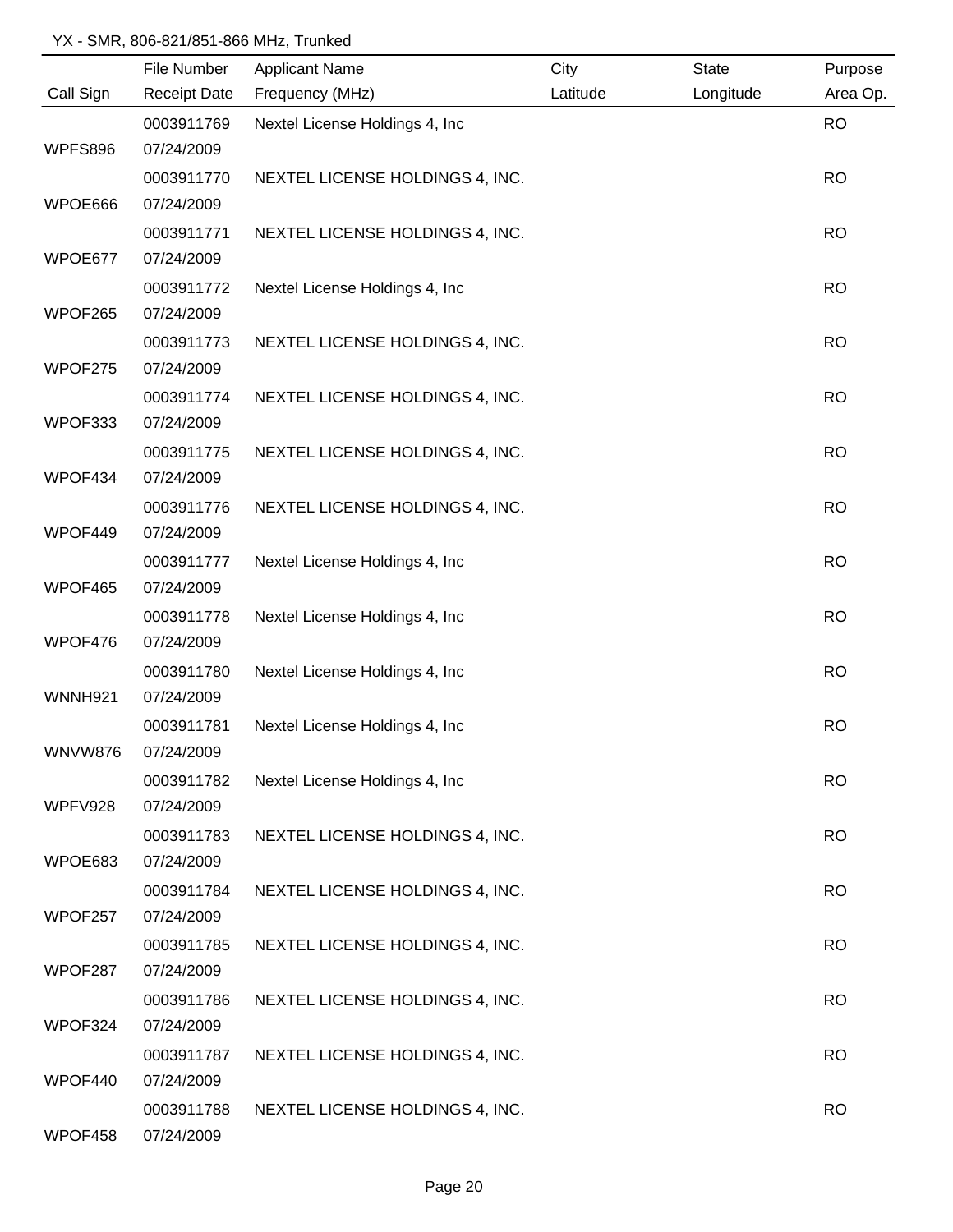|                | File Number         | <b>Applicant Name</b>           | City     | <b>State</b> | Purpose   |
|----------------|---------------------|---------------------------------|----------|--------------|-----------|
| Call Sign      | <b>Receipt Date</b> | Frequency (MHz)                 | Latitude | Longitude    | Area Op.  |
|                | 0003911769          | Nextel License Holdings 4, Inc  |          |              | <b>RO</b> |
| WPFS896        | 07/24/2009          |                                 |          |              |           |
|                | 0003911770          | NEXTEL LICENSE HOLDINGS 4, INC. |          |              | <b>RO</b> |
| WPOE666        | 07/24/2009          |                                 |          |              |           |
|                | 0003911771          | NEXTEL LICENSE HOLDINGS 4, INC. |          |              | <b>RO</b> |
| WPOE677        | 07/24/2009          |                                 |          |              |           |
|                | 0003911772          | Nextel License Holdings 4, Inc. |          |              | <b>RO</b> |
| WPOF265        | 07/24/2009          |                                 |          |              |           |
|                | 0003911773          | NEXTEL LICENSE HOLDINGS 4, INC. |          |              | <b>RO</b> |
| WPOF275        | 07/24/2009          |                                 |          |              |           |
|                | 0003911774          | NEXTEL LICENSE HOLDINGS 4, INC. |          |              | <b>RO</b> |
| WPOF333        | 07/24/2009          |                                 |          |              |           |
|                | 0003911775          | NEXTEL LICENSE HOLDINGS 4, INC. |          |              | <b>RO</b> |
| WPOF434        | 07/24/2009          |                                 |          |              |           |
|                | 0003911776          | NEXTEL LICENSE HOLDINGS 4, INC. |          |              | <b>RO</b> |
| WPOF449        | 07/24/2009          |                                 |          |              |           |
|                | 0003911777          | Nextel License Holdings 4, Inc  |          |              | <b>RO</b> |
| WPOF465        | 07/24/2009          |                                 |          |              |           |
|                | 0003911778          | Nextel License Holdings 4, Inc  |          |              | <b>RO</b> |
| WPOF476        | 07/24/2009          |                                 |          |              |           |
|                | 0003911780          | Nextel License Holdings 4, Inc  |          |              | <b>RO</b> |
| <b>WNNH921</b> | 07/24/2009          |                                 |          |              |           |
|                | 0003911781          | Nextel License Holdings 4, Inc  |          |              | <b>RO</b> |
| <b>WNVW876</b> | 07/24/2009          |                                 |          |              |           |
|                | 0003911782          | Nextel License Holdings 4, Inc. |          |              | <b>RO</b> |
| WPFV928        | 07/24/2009          |                                 |          |              |           |
|                | 0003911783          | NEXTEL LICENSE HOLDINGS 4, INC. |          |              | <b>RO</b> |
| WPOE683        | 07/24/2009          |                                 |          |              |           |
|                | 0003911784          | NEXTEL LICENSE HOLDINGS 4, INC. |          |              | <b>RO</b> |
| WPOF257        | 07/24/2009          |                                 |          |              |           |
|                | 0003911785          | NEXTEL LICENSE HOLDINGS 4, INC. |          |              | <b>RO</b> |
| WPOF287        | 07/24/2009          |                                 |          |              |           |
|                | 0003911786          | NEXTEL LICENSE HOLDINGS 4, INC. |          |              | <b>RO</b> |
| WPOF324        | 07/24/2009          |                                 |          |              |           |
|                | 0003911787          | NEXTEL LICENSE HOLDINGS 4, INC. |          |              | <b>RO</b> |
| WPOF440        | 07/24/2009          |                                 |          |              |           |
|                | 0003911788          | NEXTEL LICENSE HOLDINGS 4, INC. |          |              | <b>RO</b> |
| WPOF458        | 07/24/2009          |                                 |          |              |           |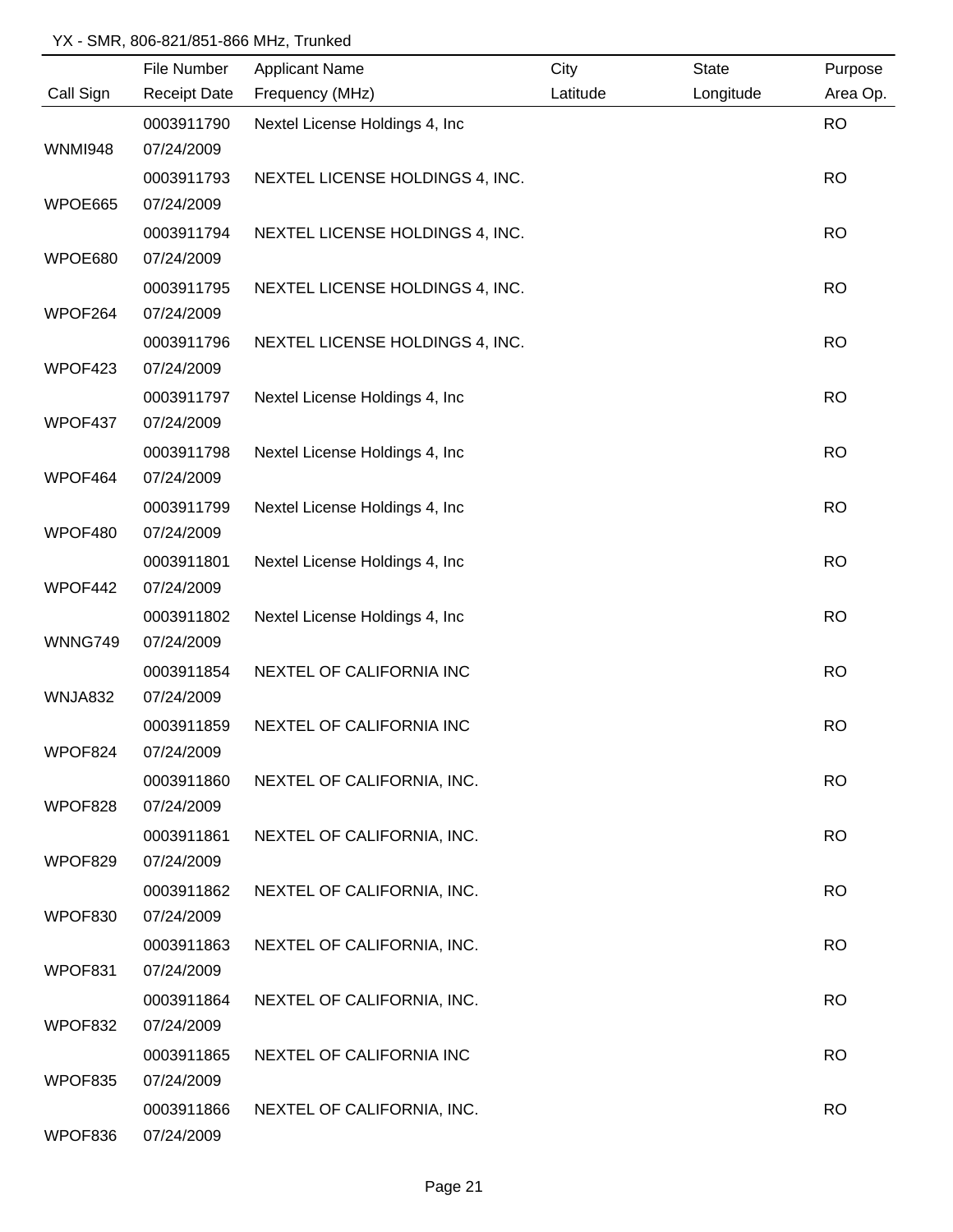|                | File Number         | <b>Applicant Name</b>           | City     | <b>State</b> | Purpose   |
|----------------|---------------------|---------------------------------|----------|--------------|-----------|
| Call Sign      | <b>Receipt Date</b> | Frequency (MHz)                 | Latitude | Longitude    | Area Op.  |
|                | 0003911790          | Nextel License Holdings 4, Inc  |          |              | <b>RO</b> |
| <b>WNMI948</b> | 07/24/2009          |                                 |          |              |           |
|                | 0003911793          | NEXTEL LICENSE HOLDINGS 4, INC. |          |              | <b>RO</b> |
| WPOE665        | 07/24/2009          |                                 |          |              |           |
|                | 0003911794          | NEXTEL LICENSE HOLDINGS 4, INC. |          |              | <b>RO</b> |
| WPOE680        | 07/24/2009          |                                 |          |              |           |
|                | 0003911795          | NEXTEL LICENSE HOLDINGS 4, INC. |          |              | <b>RO</b> |
| WPOF264        | 07/24/2009          |                                 |          |              |           |
|                | 0003911796          | NEXTEL LICENSE HOLDINGS 4, INC. |          |              | <b>RO</b> |
| WPOF423        | 07/24/2009          |                                 |          |              |           |
|                | 0003911797          | Nextel License Holdings 4, Inc. |          |              | <b>RO</b> |
| WPOF437        | 07/24/2009          |                                 |          |              |           |
|                | 0003911798          | Nextel License Holdings 4, Inc. |          |              | <b>RO</b> |
| WPOF464        | 07/24/2009          |                                 |          |              |           |
|                | 0003911799          | Nextel License Holdings 4, Inc  |          |              | <b>RO</b> |
| WPOF480        | 07/24/2009          |                                 |          |              |           |
|                | 0003911801          | Nextel License Holdings 4, Inc  |          |              | <b>RO</b> |
| WPOF442        | 07/24/2009          |                                 |          |              |           |
|                | 0003911802          | Nextel License Holdings 4, Inc  |          |              | <b>RO</b> |
| WNNG749        | 07/24/2009          |                                 |          |              |           |
|                | 0003911854          | NEXTEL OF CALIFORNIA INC        |          |              | <b>RO</b> |
| WNJA832        | 07/24/2009          |                                 |          |              |           |
|                | 0003911859          | NEXTEL OF CALIFORNIA INC        |          |              | <b>RO</b> |
| WPOF824        | 07/24/2009          |                                 |          |              |           |
|                | 0003911860          | NEXTEL OF CALIFORNIA, INC.      |          |              | <b>RO</b> |
| WPOF828        | 07/24/2009          |                                 |          |              |           |
|                | 0003911861          | NEXTEL OF CALIFORNIA, INC.      |          |              | <b>RO</b> |
| WPOF829        | 07/24/2009          |                                 |          |              |           |
|                | 0003911862          | NEXTEL OF CALIFORNIA, INC.      |          |              | <b>RO</b> |
| WPOF830        | 07/24/2009          |                                 |          |              |           |
|                | 0003911863          | NEXTEL OF CALIFORNIA, INC.      |          |              | <b>RO</b> |
| WPOF831        | 07/24/2009          |                                 |          |              |           |
|                | 0003911864          | NEXTEL OF CALIFORNIA, INC.      |          |              | <b>RO</b> |
| WPOF832        | 07/24/2009          |                                 |          |              |           |
|                | 0003911865          | NEXTEL OF CALIFORNIA INC        |          |              | <b>RO</b> |
| WPOF835        | 07/24/2009          |                                 |          |              |           |
|                | 0003911866          | NEXTEL OF CALIFORNIA, INC.      |          |              | <b>RO</b> |
| WPOF836        | 07/24/2009          |                                 |          |              |           |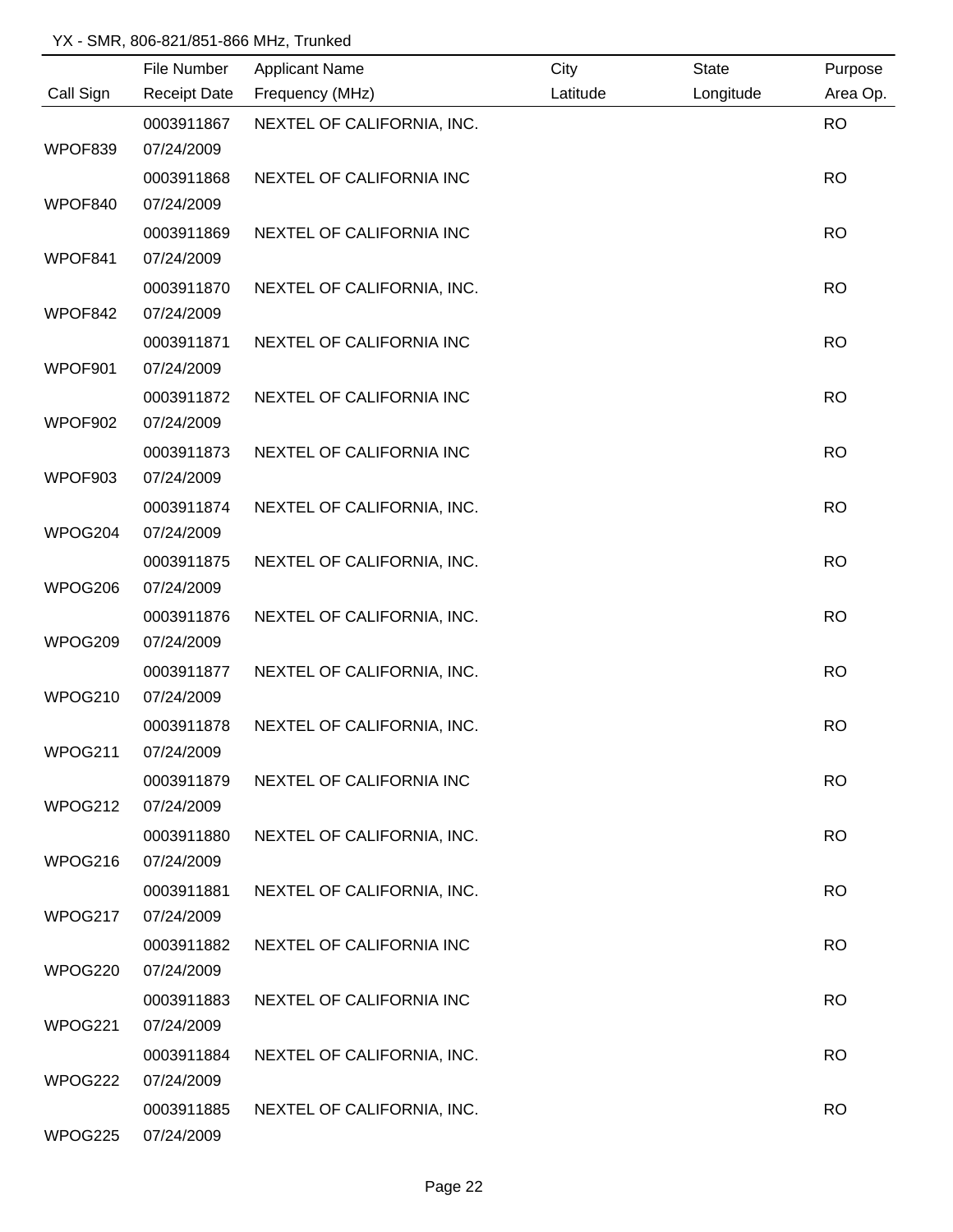|           | File Number         | <b>Applicant Name</b>      | City     | <b>State</b> | Purpose   |
|-----------|---------------------|----------------------------|----------|--------------|-----------|
| Call Sign | <b>Receipt Date</b> | Frequency (MHz)            | Latitude | Longitude    | Area Op.  |
|           | 0003911867          | NEXTEL OF CALIFORNIA, INC. |          |              | <b>RO</b> |
| WPOF839   | 07/24/2009          |                            |          |              |           |
|           | 0003911868          | NEXTEL OF CALIFORNIA INC   |          |              | <b>RO</b> |
| WPOF840   | 07/24/2009          |                            |          |              |           |
|           | 0003911869          | NEXTEL OF CALIFORNIA INC   |          |              | <b>RO</b> |
| WPOF841   | 07/24/2009          |                            |          |              |           |
|           | 0003911870          | NEXTEL OF CALIFORNIA, INC. |          |              | <b>RO</b> |
| WPOF842   | 07/24/2009          |                            |          |              |           |
|           | 0003911871          | NEXTEL OF CALIFORNIA INC   |          |              | <b>RO</b> |
| WPOF901   | 07/24/2009          |                            |          |              |           |
|           | 0003911872          | NEXTEL OF CALIFORNIA INC   |          |              | <b>RO</b> |
| WPOF902   | 07/24/2009          |                            |          |              |           |
|           | 0003911873          | NEXTEL OF CALIFORNIA INC   |          |              | <b>RO</b> |
| WPOF903   | 07/24/2009          |                            |          |              |           |
|           | 0003911874          | NEXTEL OF CALIFORNIA, INC. |          |              | <b>RO</b> |
| WPOG204   | 07/24/2009          |                            |          |              |           |
|           | 0003911875          | NEXTEL OF CALIFORNIA, INC. |          |              | <b>RO</b> |
| WPOG206   | 07/24/2009          |                            |          |              |           |
|           | 0003911876          | NEXTEL OF CALIFORNIA, INC. |          |              | <b>RO</b> |
| WPOG209   | 07/24/2009          |                            |          |              |           |
|           | 0003911877          | NEXTEL OF CALIFORNIA, INC. |          |              | <b>RO</b> |
| WPOG210   | 07/24/2009          |                            |          |              |           |
|           | 0003911878          | NEXTEL OF CALIFORNIA, INC. |          |              | <b>RO</b> |
| WPOG211   | 07/24/2009          |                            |          |              |           |
|           | 0003911879          | NEXTEL OF CALIFORNIA INC   |          |              | <b>RO</b> |
| WPOG212   | 07/24/2009          |                            |          |              |           |
|           | 0003911880          | NEXTEL OF CALIFORNIA, INC. |          |              | <b>RO</b> |
| WPOG216   | 07/24/2009          |                            |          |              |           |
|           | 0003911881          | NEXTEL OF CALIFORNIA, INC. |          |              | <b>RO</b> |
| WPOG217   | 07/24/2009          |                            |          |              |           |
|           | 0003911882          | NEXTEL OF CALIFORNIA INC   |          |              | <b>RO</b> |
| WPOG220   | 07/24/2009          |                            |          |              |           |
|           | 0003911883          | NEXTEL OF CALIFORNIA INC   |          |              | <b>RO</b> |
| WPOG221   | 07/24/2009          |                            |          |              |           |
|           | 0003911884          | NEXTEL OF CALIFORNIA, INC. |          |              | <b>RO</b> |
| WPOG222   | 07/24/2009          |                            |          |              |           |
|           | 0003911885          | NEXTEL OF CALIFORNIA, INC. |          |              | <b>RO</b> |
| WPOG225   | 07/24/2009          |                            |          |              |           |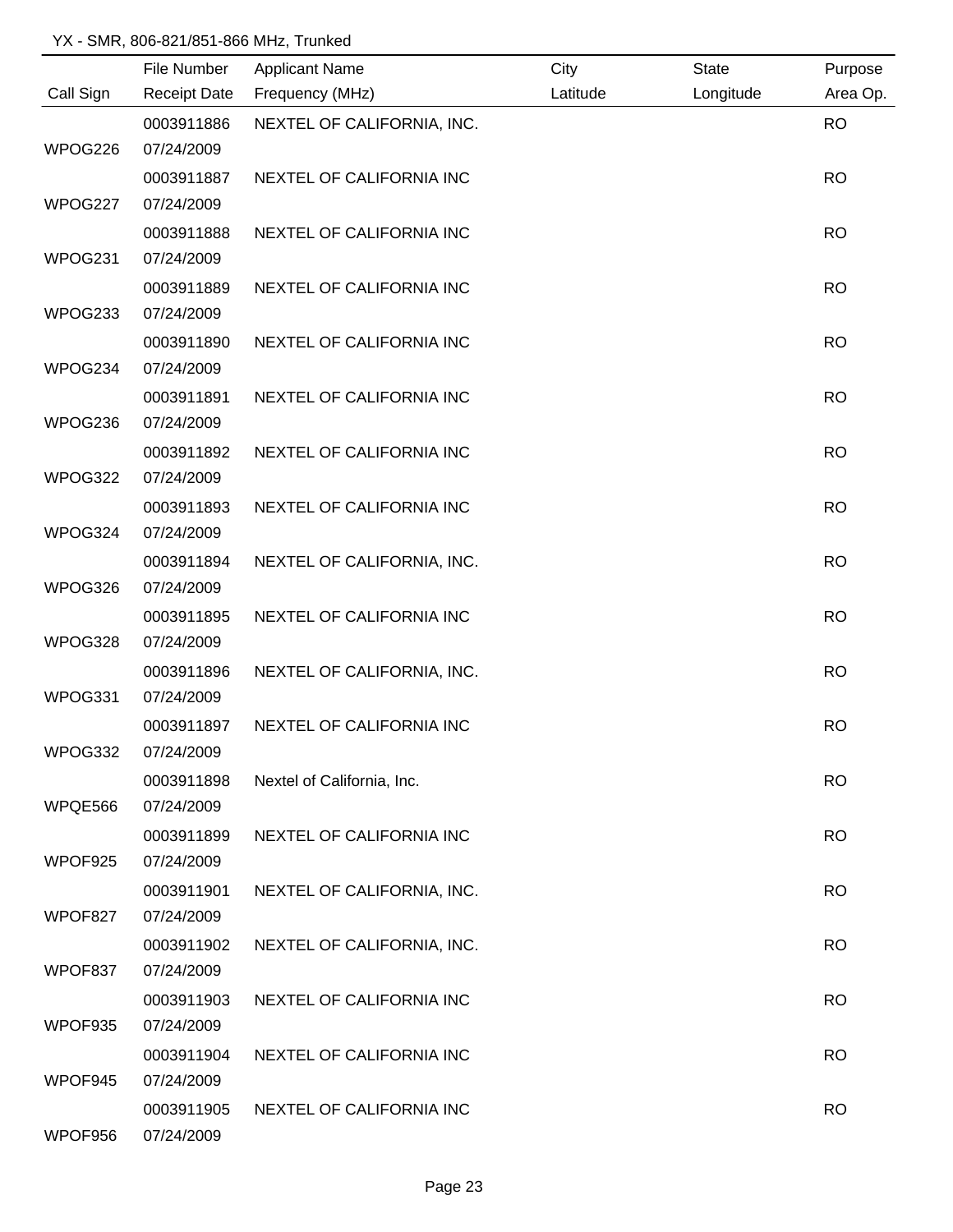|           | File Number         | <b>Applicant Name</b>      | City     | <b>State</b> | Purpose   |
|-----------|---------------------|----------------------------|----------|--------------|-----------|
| Call Sign | <b>Receipt Date</b> | Frequency (MHz)            | Latitude | Longitude    | Area Op.  |
|           | 0003911886          | NEXTEL OF CALIFORNIA, INC. |          |              | <b>RO</b> |
| WPOG226   | 07/24/2009          |                            |          |              |           |
|           | 0003911887          | NEXTEL OF CALIFORNIA INC   |          |              | <b>RO</b> |
| WPOG227   | 07/24/2009          |                            |          |              |           |
|           | 0003911888          | NEXTEL OF CALIFORNIA INC   |          |              | <b>RO</b> |
| WPOG231   | 07/24/2009          |                            |          |              |           |
|           | 0003911889          | NEXTEL OF CALIFORNIA INC   |          |              | <b>RO</b> |
| WPOG233   | 07/24/2009          |                            |          |              |           |
|           | 0003911890          | NEXTEL OF CALIFORNIA INC   |          |              | <b>RO</b> |
| WPOG234   | 07/24/2009          |                            |          |              |           |
|           | 0003911891          | NEXTEL OF CALIFORNIA INC   |          |              | <b>RO</b> |
| WPOG236   | 07/24/2009          |                            |          |              |           |
|           | 0003911892          | NEXTEL OF CALIFORNIA INC   |          |              | <b>RO</b> |
| WPOG322   | 07/24/2009          |                            |          |              |           |
|           | 0003911893          | NEXTEL OF CALIFORNIA INC   |          |              | <b>RO</b> |
| WPOG324   | 07/24/2009          |                            |          |              |           |
|           | 0003911894          | NEXTEL OF CALIFORNIA, INC. |          |              | <b>RO</b> |
| WPOG326   | 07/24/2009          |                            |          |              |           |
|           | 0003911895          | NEXTEL OF CALIFORNIA INC   |          |              | <b>RO</b> |
| WPOG328   | 07/24/2009          |                            |          |              |           |
|           | 0003911896          | NEXTEL OF CALIFORNIA, INC. |          |              | <b>RO</b> |
| WPOG331   | 07/24/2009          |                            |          |              |           |
|           | 0003911897          | NEXTEL OF CALIFORNIA INC   |          |              | <b>RO</b> |
| WPOG332   | 07/24/2009          |                            |          |              |           |
|           | 0003911898          | Nextel of California, Inc. |          |              | <b>RO</b> |
| WPQE566   | 07/24/2009          |                            |          |              |           |
|           | 0003911899          | NEXTEL OF CALIFORNIA INC   |          |              | <b>RO</b> |
| WPOF925   | 07/24/2009          |                            |          |              |           |
|           | 0003911901          | NEXTEL OF CALIFORNIA, INC. |          |              | <b>RO</b> |
| WPOF827   | 07/24/2009          |                            |          |              |           |
|           | 0003911902          | NEXTEL OF CALIFORNIA, INC. |          |              | <b>RO</b> |
| WPOF837   | 07/24/2009          |                            |          |              |           |
|           | 0003911903          | NEXTEL OF CALIFORNIA INC   |          |              | <b>RO</b> |
| WPOF935   | 07/24/2009          |                            |          |              |           |
|           | 0003911904          | NEXTEL OF CALIFORNIA INC   |          |              | <b>RO</b> |
| WPOF945   | 07/24/2009          |                            |          |              |           |
|           | 0003911905          | NEXTEL OF CALIFORNIA INC   |          |              | <b>RO</b> |
| WPOF956   | 07/24/2009          |                            |          |              |           |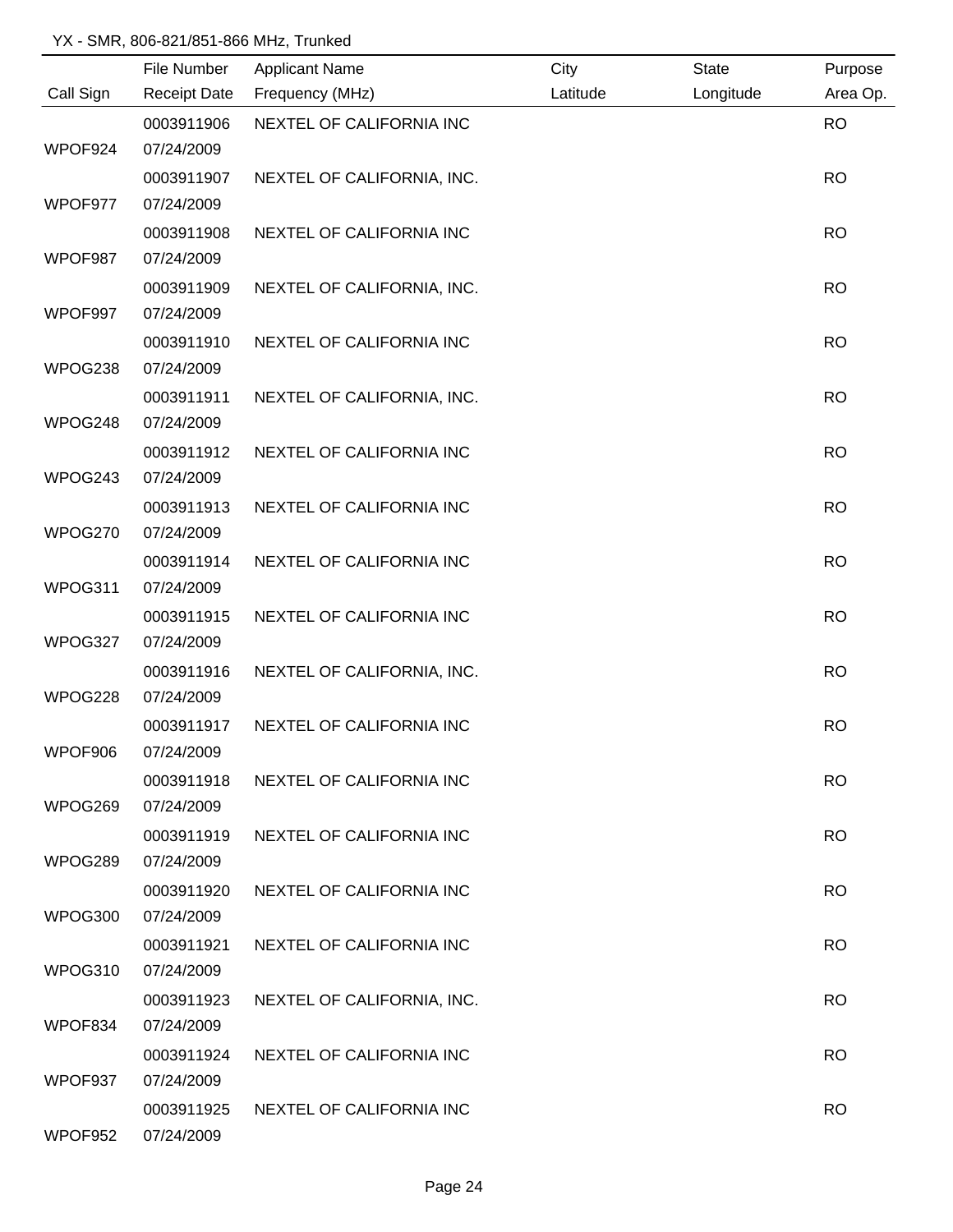|           | File Number         | <b>Applicant Name</b>      | City     | <b>State</b> | Purpose   |
|-----------|---------------------|----------------------------|----------|--------------|-----------|
| Call Sign | <b>Receipt Date</b> | Frequency (MHz)            | Latitude | Longitude    | Area Op.  |
|           | 0003911906          | NEXTEL OF CALIFORNIA INC   |          |              | <b>RO</b> |
| WPOF924   | 07/24/2009          |                            |          |              |           |
|           | 0003911907          | NEXTEL OF CALIFORNIA, INC. |          |              | <b>RO</b> |
| WPOF977   | 07/24/2009          |                            |          |              |           |
|           | 0003911908          | NEXTEL OF CALIFORNIA INC   |          |              | <b>RO</b> |
| WPOF987   | 07/24/2009          |                            |          |              |           |
|           | 0003911909          | NEXTEL OF CALIFORNIA, INC. |          |              | <b>RO</b> |
| WPOF997   | 07/24/2009          |                            |          |              |           |
|           | 0003911910          | NEXTEL OF CALIFORNIA INC   |          |              | <b>RO</b> |
| WPOG238   | 07/24/2009          |                            |          |              |           |
|           | 0003911911          | NEXTEL OF CALIFORNIA, INC. |          |              | <b>RO</b> |
| WPOG248   | 07/24/2009          |                            |          |              |           |
|           | 0003911912          | NEXTEL OF CALIFORNIA INC   |          |              | <b>RO</b> |
| WPOG243   | 07/24/2009          |                            |          |              |           |
|           | 0003911913          | NEXTEL OF CALIFORNIA INC   |          |              | <b>RO</b> |
| WPOG270   | 07/24/2009          |                            |          |              |           |
|           | 0003911914          | NEXTEL OF CALIFORNIA INC   |          |              | <b>RO</b> |
| WPOG311   | 07/24/2009          |                            |          |              |           |
|           | 0003911915          | NEXTEL OF CALIFORNIA INC   |          |              | <b>RO</b> |
| WPOG327   | 07/24/2009          |                            |          |              |           |
|           | 0003911916          | NEXTEL OF CALIFORNIA, INC. |          |              | <b>RO</b> |
| WPOG228   | 07/24/2009          |                            |          |              |           |
|           | 0003911917          | NEXTEL OF CALIFORNIA INC   |          |              | <b>RO</b> |
| WPOF906   | 07/24/2009          |                            |          |              |           |
|           | 0003911918          | NEXTEL OF CALIFORNIA INC   |          |              | <b>RO</b> |
| WPOG269   | 07/24/2009          |                            |          |              |           |
|           | 0003911919          | NEXTEL OF CALIFORNIA INC   |          |              | <b>RO</b> |
| WPOG289   | 07/24/2009          |                            |          |              |           |
|           | 0003911920          | NEXTEL OF CALIFORNIA INC   |          |              | <b>RO</b> |
| WPOG300   | 07/24/2009          |                            |          |              |           |
|           | 0003911921          | NEXTEL OF CALIFORNIA INC   |          |              | <b>RO</b> |
| WPOG310   | 07/24/2009          |                            |          |              |           |
|           | 0003911923          | NEXTEL OF CALIFORNIA, INC. |          |              | <b>RO</b> |
| WPOF834   | 07/24/2009          |                            |          |              |           |
|           | 0003911924          | NEXTEL OF CALIFORNIA INC   |          |              | <b>RO</b> |
| WPOF937   | 07/24/2009          |                            |          |              |           |
|           | 0003911925          | NEXTEL OF CALIFORNIA INC   |          |              | <b>RO</b> |
| WPOF952   | 07/24/2009          |                            |          |              |           |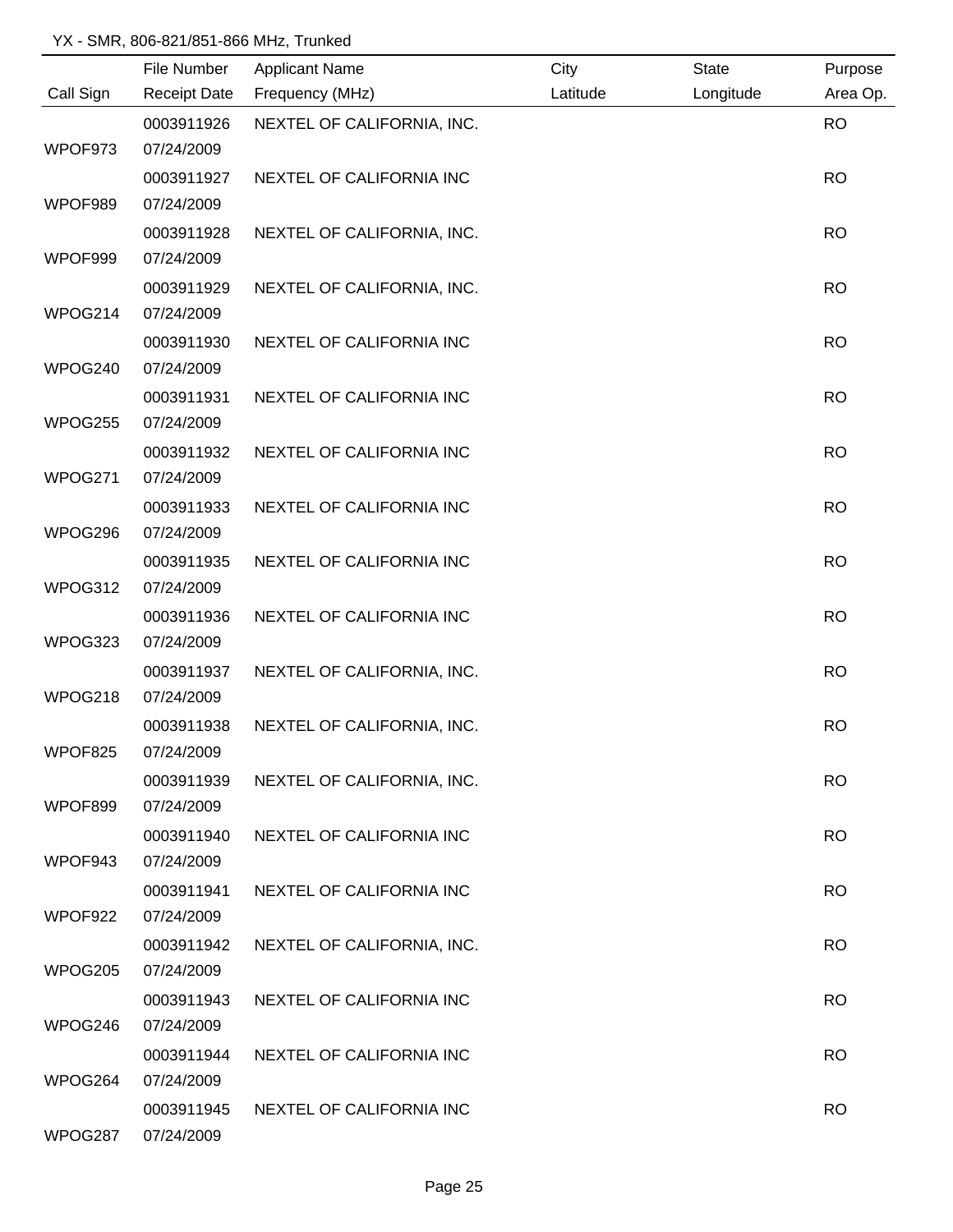|           | File Number         | <b>Applicant Name</b>      | City     | <b>State</b> | Purpose   |
|-----------|---------------------|----------------------------|----------|--------------|-----------|
| Call Sign | <b>Receipt Date</b> | Frequency (MHz)            | Latitude | Longitude    | Area Op.  |
|           | 0003911926          | NEXTEL OF CALIFORNIA, INC. |          |              | <b>RO</b> |
| WPOF973   | 07/24/2009          |                            |          |              |           |
|           | 0003911927          | NEXTEL OF CALIFORNIA INC   |          |              | <b>RO</b> |
| WPOF989   | 07/24/2009          |                            |          |              |           |
|           | 0003911928          | NEXTEL OF CALIFORNIA, INC. |          |              | <b>RO</b> |
| WPOF999   | 07/24/2009          |                            |          |              |           |
|           | 0003911929          | NEXTEL OF CALIFORNIA, INC. |          |              | <b>RO</b> |
| WPOG214   | 07/24/2009          |                            |          |              |           |
|           | 0003911930          | NEXTEL OF CALIFORNIA INC   |          |              | <b>RO</b> |
| WPOG240   | 07/24/2009          |                            |          |              |           |
|           | 0003911931          | NEXTEL OF CALIFORNIA INC   |          |              | <b>RO</b> |
| WPOG255   | 07/24/2009          |                            |          |              |           |
|           | 0003911932          | NEXTEL OF CALIFORNIA INC   |          |              | <b>RO</b> |
| WPOG271   | 07/24/2009          |                            |          |              |           |
|           | 0003911933          | NEXTEL OF CALIFORNIA INC   |          |              | <b>RO</b> |
| WPOG296   | 07/24/2009          |                            |          |              |           |
|           | 0003911935          | NEXTEL OF CALIFORNIA INC   |          |              | <b>RO</b> |
| WPOG312   | 07/24/2009          |                            |          |              |           |
|           | 0003911936          | NEXTEL OF CALIFORNIA INC   |          |              | <b>RO</b> |
| WPOG323   | 07/24/2009          |                            |          |              |           |
|           | 0003911937          | NEXTEL OF CALIFORNIA, INC. |          |              | <b>RO</b> |
| WPOG218   | 07/24/2009          |                            |          |              |           |
|           | 0003911938          | NEXTEL OF CALIFORNIA, INC. |          |              | <b>RO</b> |
| WPOF825   | 07/24/2009          |                            |          |              |           |
|           | 0003911939          | NEXTEL OF CALIFORNIA, INC. |          |              | <b>RO</b> |
| WPOF899   | 07/24/2009          |                            |          |              |           |
|           | 0003911940          | NEXTEL OF CALIFORNIA INC   |          |              | <b>RO</b> |
| WPOF943   | 07/24/2009          |                            |          |              |           |
|           | 0003911941          | NEXTEL OF CALIFORNIA INC   |          |              | <b>RO</b> |
| WPOF922   | 07/24/2009          |                            |          |              |           |
|           | 0003911942          | NEXTEL OF CALIFORNIA, INC. |          |              | <b>RO</b> |
| WPOG205   | 07/24/2009          |                            |          |              |           |
|           | 0003911943          | NEXTEL OF CALIFORNIA INC   |          |              | <b>RO</b> |
| WPOG246   | 07/24/2009          |                            |          |              |           |
|           | 0003911944          | NEXTEL OF CALIFORNIA INC   |          |              | <b>RO</b> |
| WPOG264   | 07/24/2009          |                            |          |              |           |
|           | 0003911945          | NEXTEL OF CALIFORNIA INC   |          |              | <b>RO</b> |
| WPOG287   | 07/24/2009          |                            |          |              |           |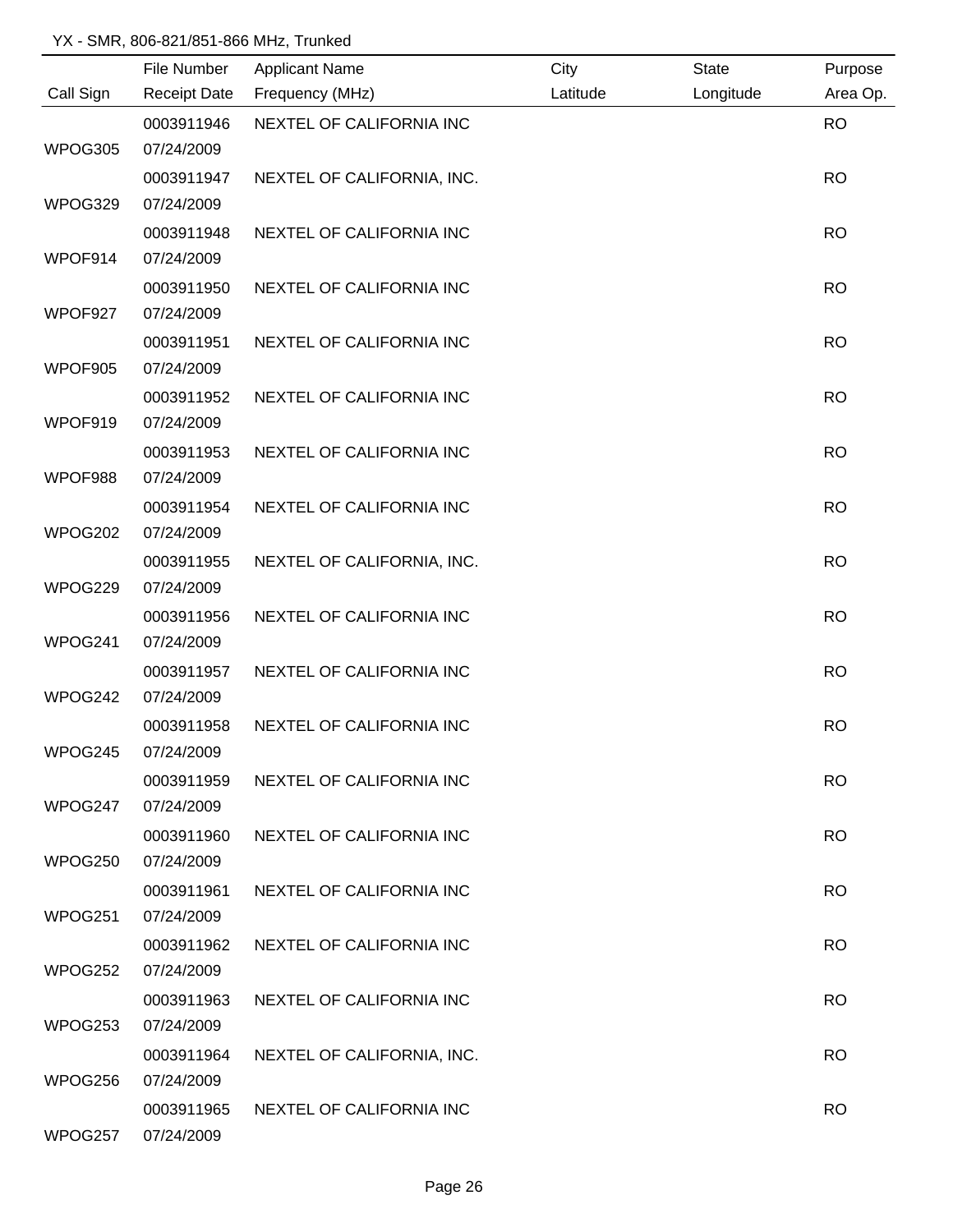|           | File Number         | <b>Applicant Name</b>      | City     | State     | Purpose   |
|-----------|---------------------|----------------------------|----------|-----------|-----------|
| Call Sign | <b>Receipt Date</b> | Frequency (MHz)            | Latitude | Longitude | Area Op.  |
|           | 0003911946          | NEXTEL OF CALIFORNIA INC   |          |           | <b>RO</b> |
| WPOG305   | 07/24/2009          |                            |          |           |           |
|           | 0003911947          | NEXTEL OF CALIFORNIA, INC. |          |           | <b>RO</b> |
| WPOG329   | 07/24/2009          |                            |          |           |           |
|           | 0003911948          | NEXTEL OF CALIFORNIA INC   |          |           | <b>RO</b> |
| WPOF914   | 07/24/2009          |                            |          |           |           |
|           | 0003911950          | NEXTEL OF CALIFORNIA INC   |          |           | <b>RO</b> |
| WPOF927   | 07/24/2009          |                            |          |           |           |
|           | 0003911951          | NEXTEL OF CALIFORNIA INC   |          |           | <b>RO</b> |
| WPOF905   | 07/24/2009          |                            |          |           |           |
|           | 0003911952          | NEXTEL OF CALIFORNIA INC   |          |           | <b>RO</b> |
| WPOF919   | 07/24/2009          |                            |          |           |           |
|           | 0003911953          | NEXTEL OF CALIFORNIA INC   |          |           | <b>RO</b> |
| WPOF988   | 07/24/2009          |                            |          |           |           |
|           | 0003911954          | NEXTEL OF CALIFORNIA INC   |          |           | <b>RO</b> |
| WPOG202   | 07/24/2009          |                            |          |           |           |
|           | 0003911955          | NEXTEL OF CALIFORNIA, INC. |          |           | <b>RO</b> |
| WPOG229   | 07/24/2009          |                            |          |           |           |
|           | 0003911956          | NEXTEL OF CALIFORNIA INC   |          |           | <b>RO</b> |
| WPOG241   | 07/24/2009          |                            |          |           |           |
|           | 0003911957          | NEXTEL OF CALIFORNIA INC   |          |           | <b>RO</b> |
| WPOG242   | 07/24/2009          |                            |          |           |           |
|           | 0003911958          | NEXTEL OF CALIFORNIA INC   |          |           | <b>RO</b> |
| WPOG245   | 07/24/2009          |                            |          |           |           |
|           | 0003911959          | NEXTEL OF CALIFORNIA INC   |          |           | <b>RO</b> |
| WPOG247   | 07/24/2009          |                            |          |           |           |
|           | 0003911960          | NEXTEL OF CALIFORNIA INC   |          |           | <b>RO</b> |
| WPOG250   | 07/24/2009          |                            |          |           |           |
|           | 0003911961          | NEXTEL OF CALIFORNIA INC   |          |           | <b>RO</b> |
| WPOG251   | 07/24/2009          |                            |          |           |           |
|           | 0003911962          | NEXTEL OF CALIFORNIA INC   |          |           | <b>RO</b> |
| WPOG252   | 07/24/2009          |                            |          |           |           |
|           | 0003911963          | NEXTEL OF CALIFORNIA INC   |          |           | <b>RO</b> |
| WPOG253   | 07/24/2009          |                            |          |           |           |
|           | 0003911964          | NEXTEL OF CALIFORNIA, INC. |          |           | <b>RO</b> |
| WPOG256   | 07/24/2009          |                            |          |           |           |
|           | 0003911965          | NEXTEL OF CALIFORNIA INC   |          |           | <b>RO</b> |
| WPOG257   | 07/24/2009          |                            |          |           |           |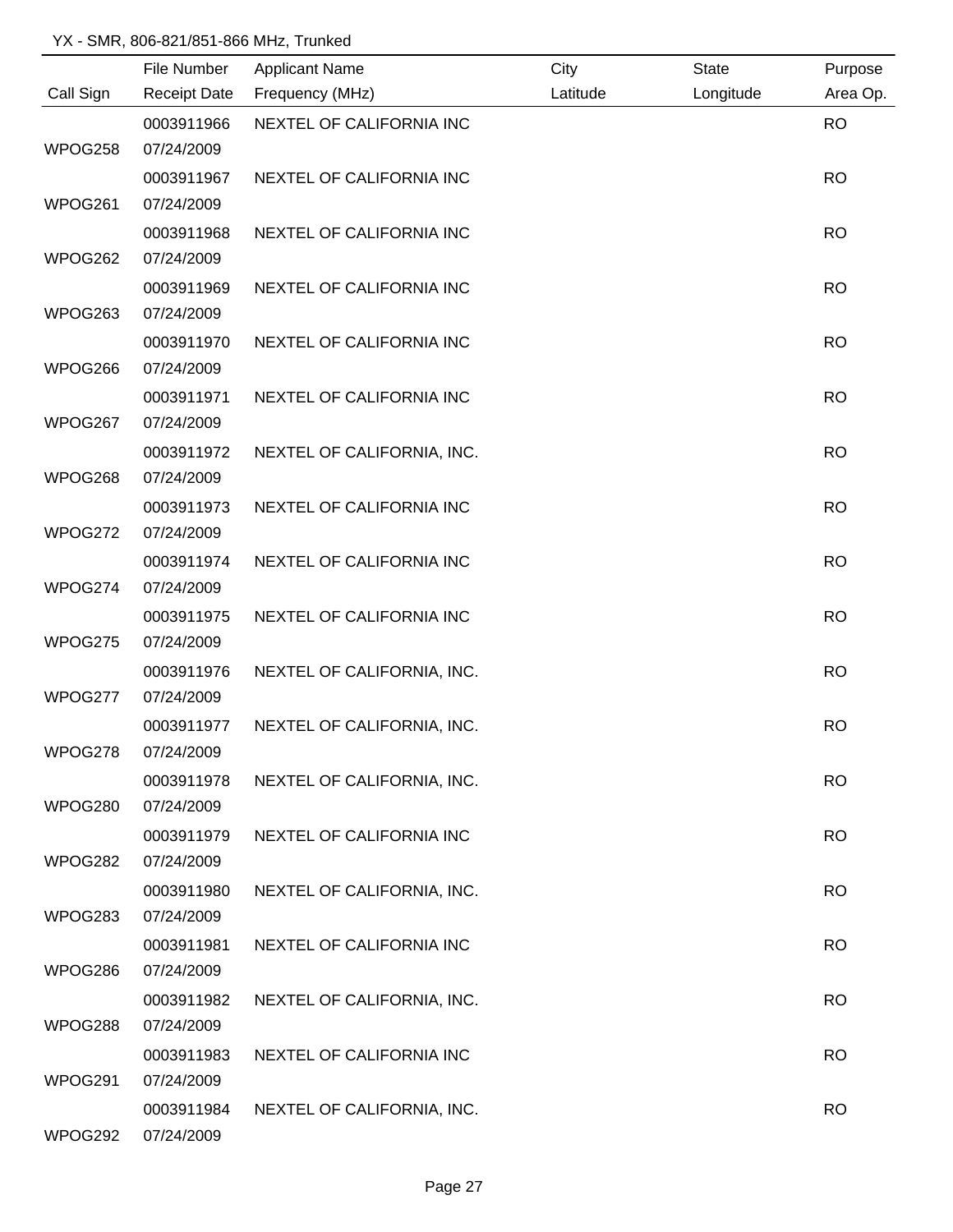|           | File Number         | <b>Applicant Name</b>      | City     | <b>State</b> | Purpose   |
|-----------|---------------------|----------------------------|----------|--------------|-----------|
| Call Sign | <b>Receipt Date</b> | Frequency (MHz)            | Latitude | Longitude    | Area Op.  |
|           | 0003911966          | NEXTEL OF CALIFORNIA INC   |          |              | <b>RO</b> |
| WPOG258   | 07/24/2009          |                            |          |              |           |
|           | 0003911967          | NEXTEL OF CALIFORNIA INC   |          |              | <b>RO</b> |
| WPOG261   | 07/24/2009          |                            |          |              |           |
|           | 0003911968          | NEXTEL OF CALIFORNIA INC   |          |              | <b>RO</b> |
| WPOG262   | 07/24/2009          |                            |          |              |           |
|           | 0003911969          | NEXTEL OF CALIFORNIA INC   |          |              | <b>RO</b> |
| WPOG263   | 07/24/2009          |                            |          |              |           |
|           | 0003911970          | NEXTEL OF CALIFORNIA INC   |          |              | <b>RO</b> |
| WPOG266   | 07/24/2009          |                            |          |              |           |
|           | 0003911971          | NEXTEL OF CALIFORNIA INC   |          |              | <b>RO</b> |
| WPOG267   | 07/24/2009          |                            |          |              |           |
|           | 0003911972          | NEXTEL OF CALIFORNIA, INC. |          |              | <b>RO</b> |
| WPOG268   | 07/24/2009          |                            |          |              |           |
|           | 0003911973          | NEXTEL OF CALIFORNIA INC   |          |              | <b>RO</b> |
| WPOG272   | 07/24/2009          |                            |          |              |           |
|           | 0003911974          | NEXTEL OF CALIFORNIA INC   |          |              | <b>RO</b> |
| WPOG274   | 07/24/2009          |                            |          |              |           |
|           | 0003911975          | NEXTEL OF CALIFORNIA INC   |          |              | <b>RO</b> |
| WPOG275   | 07/24/2009          |                            |          |              |           |
|           | 0003911976          | NEXTEL OF CALIFORNIA, INC. |          |              | <b>RO</b> |
| WPOG277   | 07/24/2009          |                            |          |              |           |
|           | 0003911977          | NEXTEL OF CALIFORNIA, INC. |          |              | <b>RO</b> |
| WPOG278   | 07/24/2009          |                            |          |              |           |
|           | 0003911978          | NEXTEL OF CALIFORNIA, INC. |          |              | <b>RO</b> |
| WPOG280   | 07/24/2009          |                            |          |              |           |
|           | 0003911979          | NEXTEL OF CALIFORNIA INC   |          |              | <b>RO</b> |
| WPOG282   | 07/24/2009          |                            |          |              |           |
|           | 0003911980          | NEXTEL OF CALIFORNIA, INC. |          |              | <b>RO</b> |
| WPOG283   | 07/24/2009          |                            |          |              |           |
|           | 0003911981          | NEXTEL OF CALIFORNIA INC   |          |              | <b>RO</b> |
| WPOG286   | 07/24/2009          |                            |          |              |           |
|           | 0003911982          | NEXTEL OF CALIFORNIA, INC. |          |              | <b>RO</b> |
| WPOG288   | 07/24/2009          |                            |          |              |           |
|           | 0003911983          | NEXTEL OF CALIFORNIA INC   |          |              | <b>RO</b> |
| WPOG291   | 07/24/2009          |                            |          |              |           |
|           | 0003911984          | NEXTEL OF CALIFORNIA, INC. |          |              | <b>RO</b> |
| WPOG292   | 07/24/2009          |                            |          |              |           |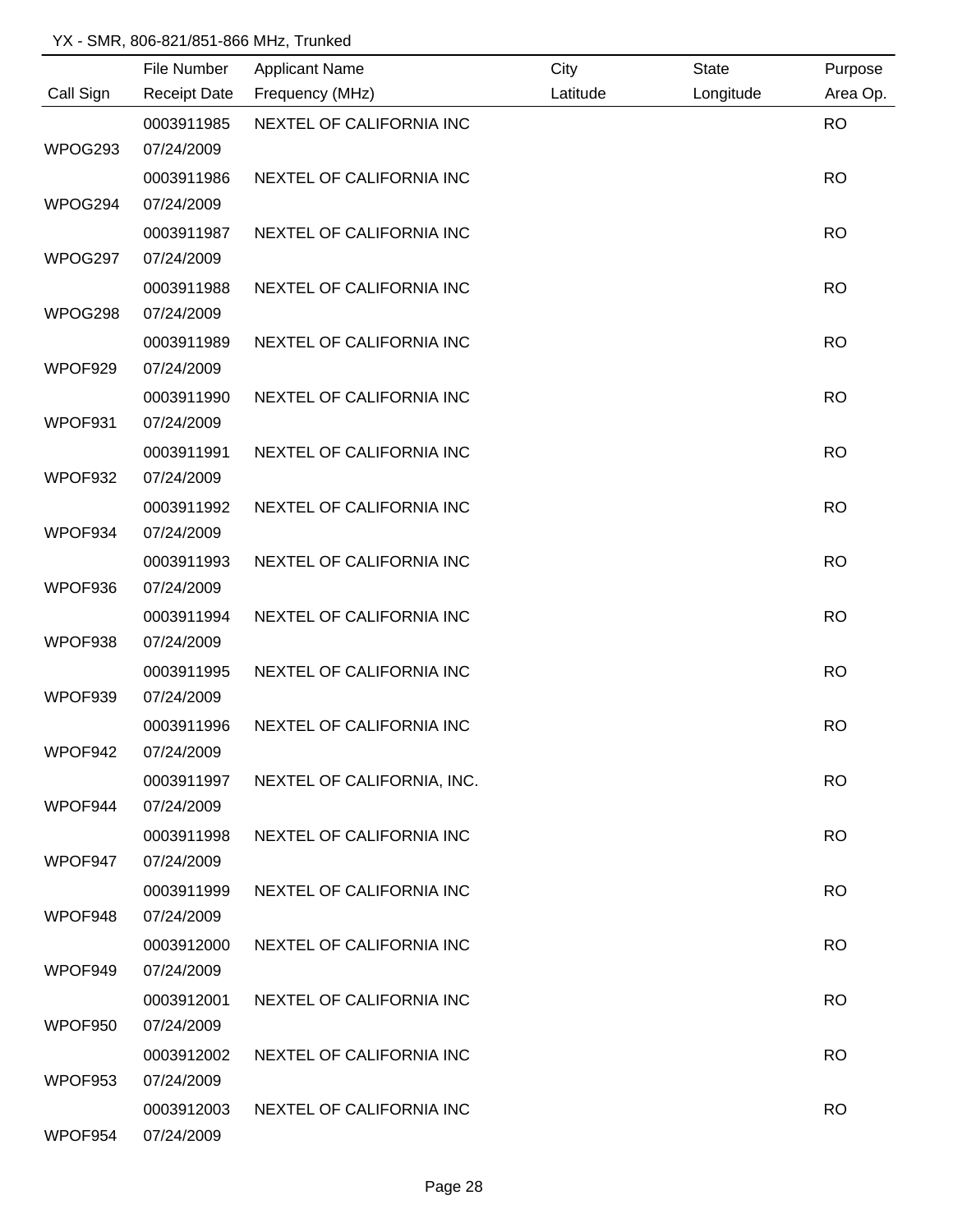|           | File Number         | <b>Applicant Name</b>      | City     | <b>State</b> | Purpose   |
|-----------|---------------------|----------------------------|----------|--------------|-----------|
| Call Sign | <b>Receipt Date</b> | Frequency (MHz)            | Latitude | Longitude    | Area Op.  |
|           | 0003911985          | NEXTEL OF CALIFORNIA INC   |          |              | <b>RO</b> |
| WPOG293   | 07/24/2009          |                            |          |              |           |
|           | 0003911986          | NEXTEL OF CALIFORNIA INC   |          |              | <b>RO</b> |
| WPOG294   | 07/24/2009          |                            |          |              |           |
|           | 0003911987          | NEXTEL OF CALIFORNIA INC   |          |              | <b>RO</b> |
| WPOG297   | 07/24/2009          |                            |          |              |           |
|           | 0003911988          | NEXTEL OF CALIFORNIA INC   |          |              | <b>RO</b> |
| WPOG298   | 07/24/2009          |                            |          |              |           |
|           | 0003911989          | NEXTEL OF CALIFORNIA INC   |          |              | <b>RO</b> |
| WPOF929   | 07/24/2009          |                            |          |              |           |
|           | 0003911990          | NEXTEL OF CALIFORNIA INC   |          |              | <b>RO</b> |
| WPOF931   | 07/24/2009          |                            |          |              |           |
|           | 0003911991          | NEXTEL OF CALIFORNIA INC   |          |              | <b>RO</b> |
| WPOF932   | 07/24/2009          |                            |          |              |           |
|           | 0003911992          | NEXTEL OF CALIFORNIA INC   |          |              | <b>RO</b> |
| WPOF934   | 07/24/2009          |                            |          |              |           |
|           | 0003911993          | NEXTEL OF CALIFORNIA INC   |          |              | <b>RO</b> |
| WPOF936   | 07/24/2009          |                            |          |              |           |
|           | 0003911994          | NEXTEL OF CALIFORNIA INC   |          |              | <b>RO</b> |
| WPOF938   | 07/24/2009          |                            |          |              |           |
|           | 0003911995          | NEXTEL OF CALIFORNIA INC   |          |              | <b>RO</b> |
| WPOF939   | 07/24/2009          |                            |          |              |           |
|           | 0003911996          | NEXTEL OF CALIFORNIA INC   |          |              | <b>RO</b> |
| WPOF942   | 07/24/2009          |                            |          |              |           |
|           | 0003911997          | NEXTEL OF CALIFORNIA, INC. |          |              | <b>RO</b> |
| WPOF944   | 07/24/2009          |                            |          |              |           |
|           | 0003911998          | NEXTEL OF CALIFORNIA INC   |          |              | <b>RO</b> |
| WPOF947   | 07/24/2009          |                            |          |              |           |
|           | 0003911999          | NEXTEL OF CALIFORNIA INC   |          |              | <b>RO</b> |
| WPOF948   | 07/24/2009          |                            |          |              |           |
|           | 0003912000          | NEXTEL OF CALIFORNIA INC   |          |              | <b>RO</b> |
| WPOF949   | 07/24/2009          |                            |          |              |           |
|           | 0003912001          | NEXTEL OF CALIFORNIA INC   |          |              | <b>RO</b> |
| WPOF950   | 07/24/2009          |                            |          |              |           |
|           | 0003912002          | NEXTEL OF CALIFORNIA INC   |          |              | <b>RO</b> |
| WPOF953   | 07/24/2009          |                            |          |              |           |
|           | 0003912003          | NEXTEL OF CALIFORNIA INC   |          |              | <b>RO</b> |
| WPOF954   | 07/24/2009          |                            |          |              |           |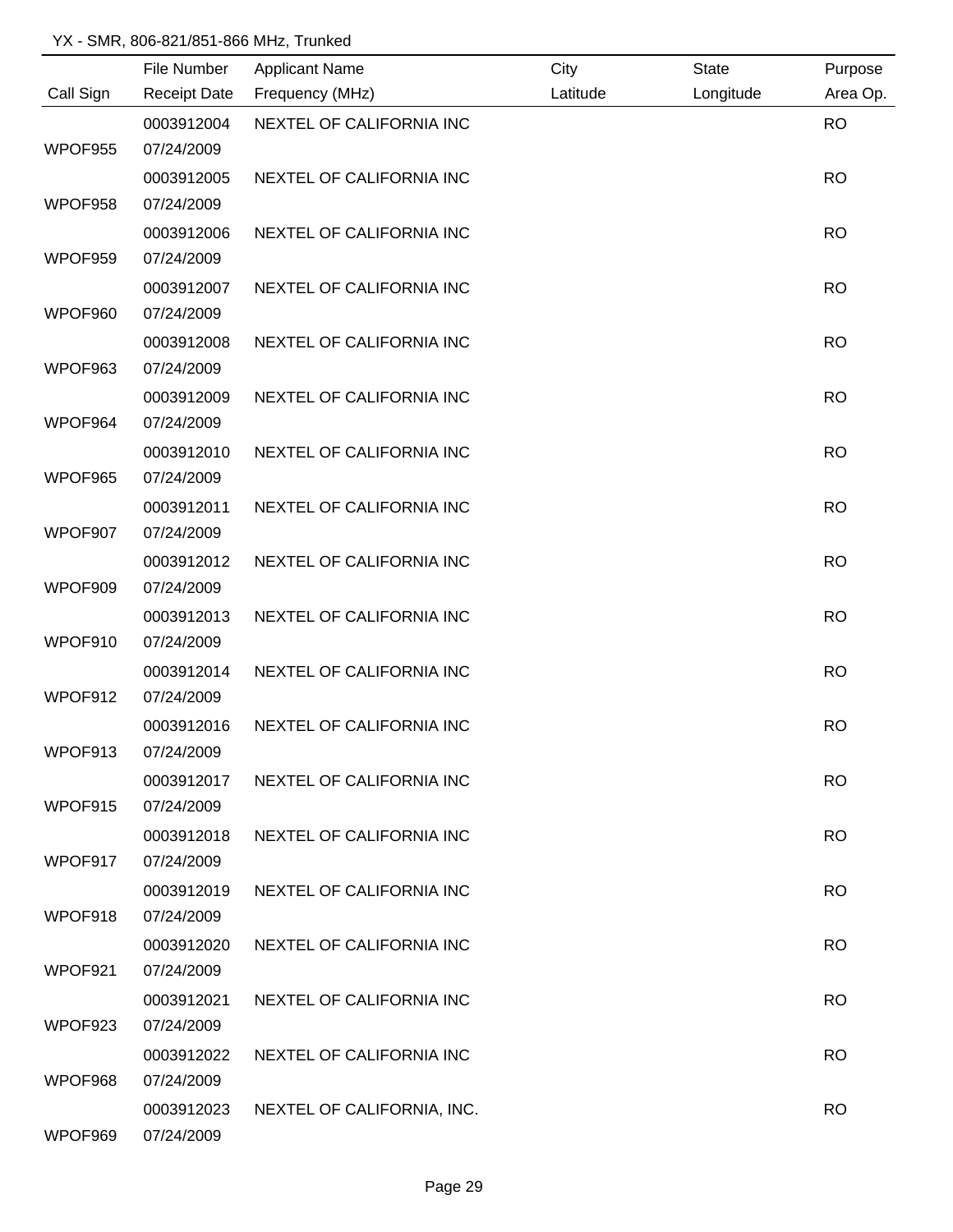|           | File Number         | <b>Applicant Name</b>      | City     | <b>State</b> | Purpose   |
|-----------|---------------------|----------------------------|----------|--------------|-----------|
| Call Sign | <b>Receipt Date</b> | Frequency (MHz)            | Latitude | Longitude    | Area Op.  |
|           | 0003912004          | NEXTEL OF CALIFORNIA INC   |          |              | <b>RO</b> |
| WPOF955   | 07/24/2009          |                            |          |              |           |
|           | 0003912005          | NEXTEL OF CALIFORNIA INC   |          |              | <b>RO</b> |
| WPOF958   | 07/24/2009          |                            |          |              |           |
|           | 0003912006          | NEXTEL OF CALIFORNIA INC   |          |              | <b>RO</b> |
| WPOF959   | 07/24/2009          |                            |          |              |           |
|           | 0003912007          | NEXTEL OF CALIFORNIA INC   |          |              | <b>RO</b> |
| WPOF960   | 07/24/2009          |                            |          |              |           |
|           | 0003912008          | NEXTEL OF CALIFORNIA INC   |          |              | <b>RO</b> |
| WPOF963   | 07/24/2009          |                            |          |              |           |
|           | 0003912009          | NEXTEL OF CALIFORNIA INC   |          |              | <b>RO</b> |
| WPOF964   | 07/24/2009          |                            |          |              |           |
|           | 0003912010          | NEXTEL OF CALIFORNIA INC   |          |              | <b>RO</b> |
| WPOF965   | 07/24/2009          |                            |          |              |           |
|           | 0003912011          | NEXTEL OF CALIFORNIA INC   |          |              | <b>RO</b> |
| WPOF907   | 07/24/2009          |                            |          |              |           |
|           | 0003912012          | NEXTEL OF CALIFORNIA INC   |          |              | <b>RO</b> |
| WPOF909   | 07/24/2009          |                            |          |              |           |
|           | 0003912013          | NEXTEL OF CALIFORNIA INC   |          |              | <b>RO</b> |
| WPOF910   | 07/24/2009          |                            |          |              |           |
|           | 0003912014          | NEXTEL OF CALIFORNIA INC   |          |              | <b>RO</b> |
| WPOF912   | 07/24/2009          |                            |          |              |           |
|           | 0003912016          | NEXTEL OF CALIFORNIA INC   |          |              | <b>RO</b> |
| WPOF913   | 07/24/2009          |                            |          |              |           |
|           | 0003912017          | NEXTEL OF CALIFORNIA INC   |          |              | <b>RO</b> |
| WPOF915   | 07/24/2009          |                            |          |              |           |
|           | 0003912018          | NEXTEL OF CALIFORNIA INC   |          |              | <b>RO</b> |
| WPOF917   | 07/24/2009          |                            |          |              |           |
|           | 0003912019          | NEXTEL OF CALIFORNIA INC   |          |              | <b>RO</b> |
| WPOF918   | 07/24/2009          |                            |          |              |           |
|           | 0003912020          | NEXTEL OF CALIFORNIA INC   |          |              | <b>RO</b> |
| WPOF921   | 07/24/2009          |                            |          |              |           |
|           | 0003912021          | NEXTEL OF CALIFORNIA INC   |          |              | <b>RO</b> |
| WPOF923   | 07/24/2009          |                            |          |              |           |
|           | 0003912022          | NEXTEL OF CALIFORNIA INC   |          |              | <b>RO</b> |
| WPOF968   | 07/24/2009          |                            |          |              |           |
|           | 0003912023          | NEXTEL OF CALIFORNIA, INC. |          |              | <b>RO</b> |
| WPOF969   | 07/24/2009          |                            |          |              |           |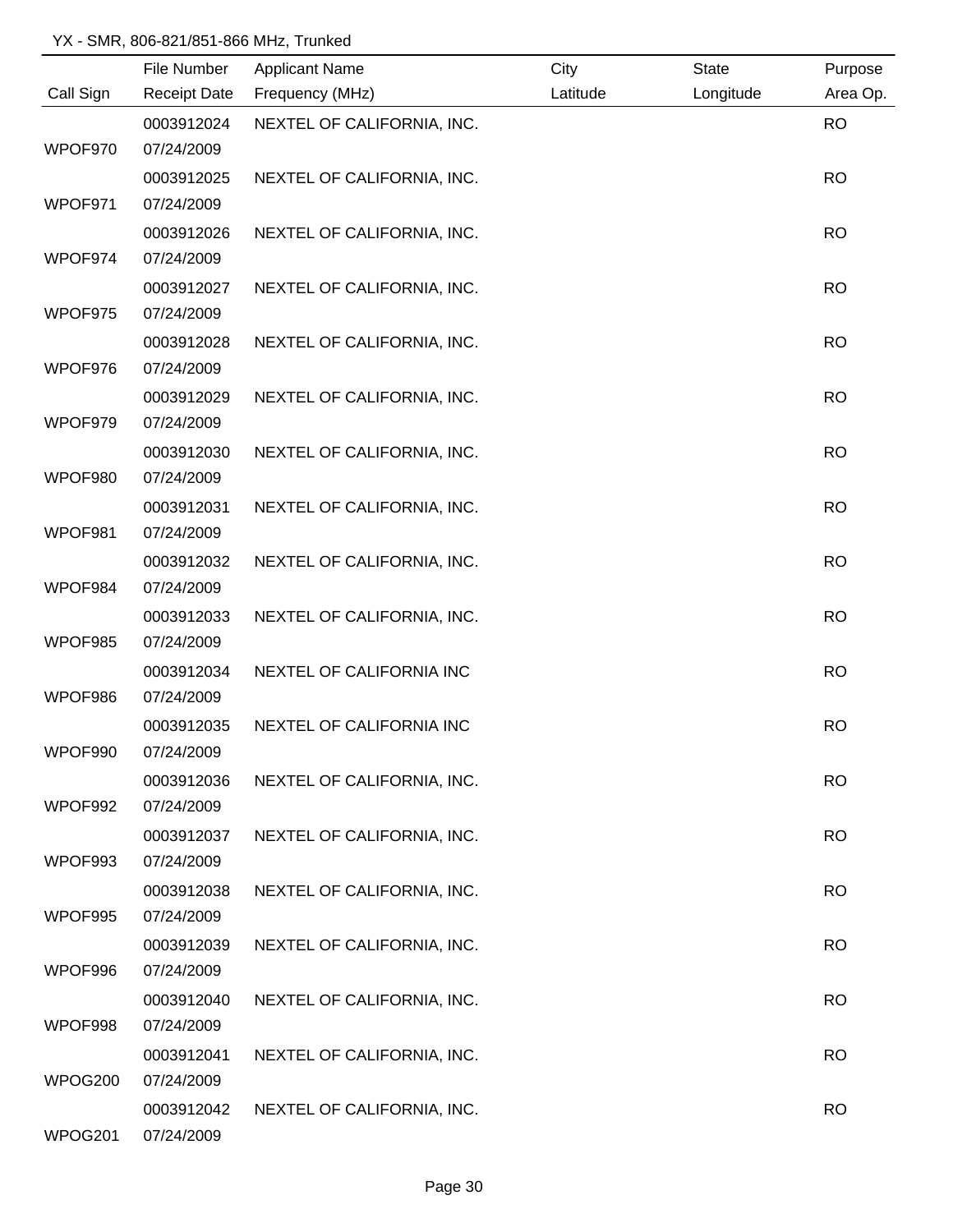|           | File Number              | <b>Applicant Name</b>      | City     | <b>State</b> | Purpose   |
|-----------|--------------------------|----------------------------|----------|--------------|-----------|
| Call Sign | <b>Receipt Date</b>      | Frequency (MHz)            | Latitude | Longitude    | Area Op.  |
|           | 0003912024               | NEXTEL OF CALIFORNIA, INC. |          |              | <b>RO</b> |
| WPOF970   | 07/24/2009               |                            |          |              |           |
|           | 0003912025               | NEXTEL OF CALIFORNIA, INC. |          |              | <b>RO</b> |
| WPOF971   | 07/24/2009               |                            |          |              |           |
|           | 0003912026               | NEXTEL OF CALIFORNIA, INC. |          |              | <b>RO</b> |
| WPOF974   | 07/24/2009               |                            |          |              |           |
|           | 0003912027               | NEXTEL OF CALIFORNIA, INC. |          |              | <b>RO</b> |
| WPOF975   | 07/24/2009               |                            |          |              |           |
|           | 0003912028               | NEXTEL OF CALIFORNIA, INC. |          |              | <b>RO</b> |
| WPOF976   | 07/24/2009               |                            |          |              |           |
|           | 0003912029               | NEXTEL OF CALIFORNIA, INC. |          |              | <b>RO</b> |
| WPOF979   | 07/24/2009               |                            |          |              |           |
|           | 0003912030               | NEXTEL OF CALIFORNIA, INC. |          |              | <b>RO</b> |
| WPOF980   | 07/24/2009               |                            |          |              |           |
|           | 0003912031               | NEXTEL OF CALIFORNIA, INC. |          |              | <b>RO</b> |
| WPOF981   | 07/24/2009               |                            |          |              |           |
|           | 0003912032               | NEXTEL OF CALIFORNIA, INC. |          |              | <b>RO</b> |
| WPOF984   | 07/24/2009               |                            |          |              |           |
|           | 0003912033               | NEXTEL OF CALIFORNIA, INC. |          |              | <b>RO</b> |
| WPOF985   | 07/24/2009               |                            |          |              |           |
|           | 0003912034               | NEXTEL OF CALIFORNIA INC   |          |              | <b>RO</b> |
| WPOF986   | 07/24/2009               |                            |          |              |           |
|           | 0003912035               | NEXTEL OF CALIFORNIA INC   |          |              | <b>RO</b> |
| WPOF990   | 07/24/2009               |                            |          |              |           |
|           | 0003912036               | NEXTEL OF CALIFORNIA, INC. |          |              | <b>RO</b> |
| WPOF992   | 07/24/2009               |                            |          |              |           |
|           | 0003912037               | NEXTEL OF CALIFORNIA, INC. |          |              | <b>RO</b> |
| WPOF993   | 07/24/2009               |                            |          |              |           |
|           | 0003912038               | NEXTEL OF CALIFORNIA, INC. |          |              | <b>RO</b> |
| WPOF995   | 07/24/2009               |                            |          |              |           |
|           | 0003912039               | NEXTEL OF CALIFORNIA, INC. |          |              | <b>RO</b> |
| WPOF996   | 07/24/2009               |                            |          |              |           |
|           | 0003912040               | NEXTEL OF CALIFORNIA, INC. |          |              | <b>RO</b> |
| WPOF998   | 07/24/2009               |                            |          |              |           |
|           | 0003912041               | NEXTEL OF CALIFORNIA, INC. |          |              | <b>RO</b> |
| WPOG200   | 07/24/2009               |                            |          |              |           |
|           |                          |                            |          |              |           |
| WPOG201   | 0003912042<br>07/24/2009 | NEXTEL OF CALIFORNIA, INC. |          |              | <b>RO</b> |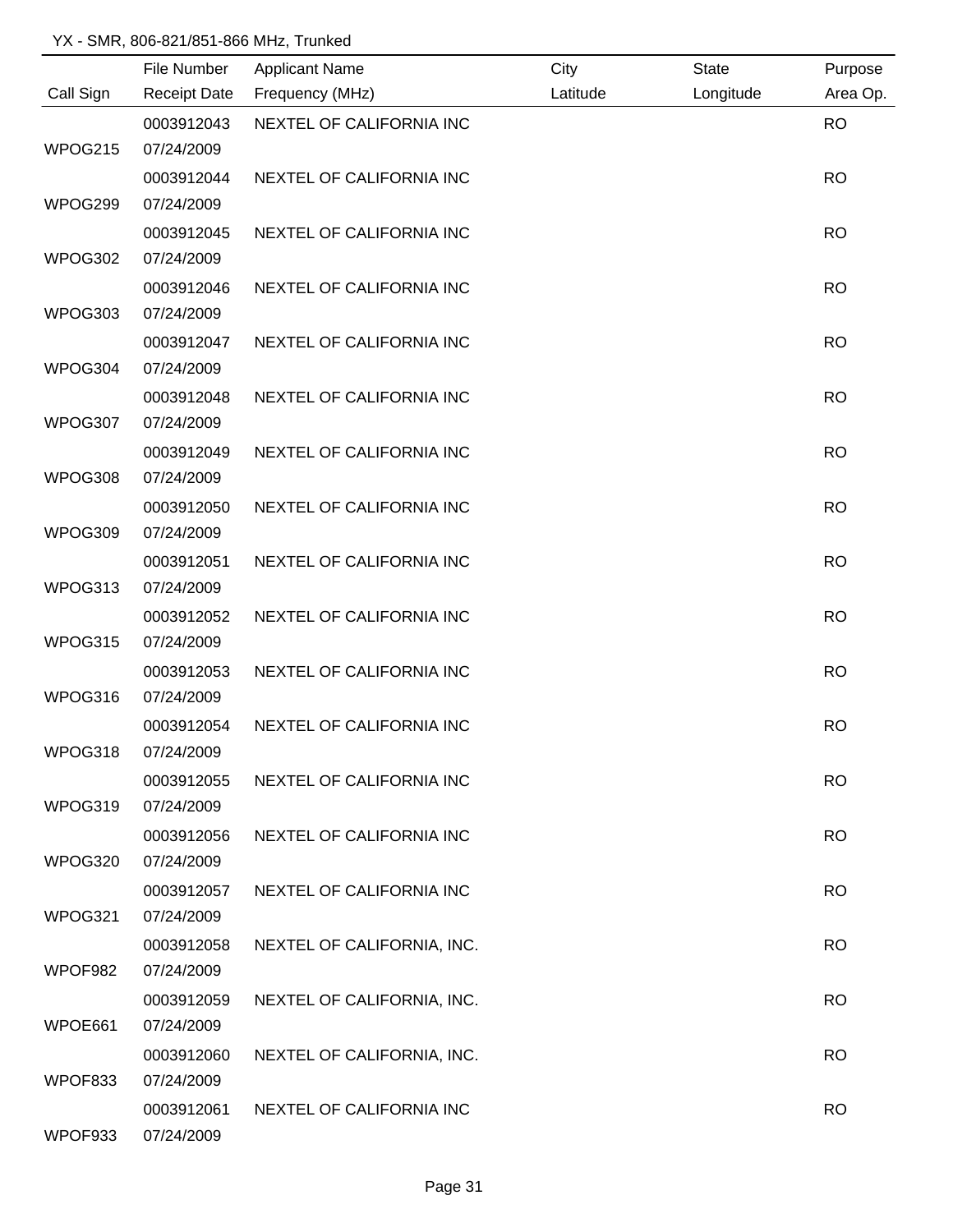|           | File Number         | <b>Applicant Name</b>      | City     | <b>State</b> | Purpose   |
|-----------|---------------------|----------------------------|----------|--------------|-----------|
| Call Sign | <b>Receipt Date</b> | Frequency (MHz)            | Latitude | Longitude    | Area Op.  |
|           | 0003912043          | NEXTEL OF CALIFORNIA INC   |          |              | <b>RO</b> |
| WPOG215   | 07/24/2009          |                            |          |              |           |
|           | 0003912044          | NEXTEL OF CALIFORNIA INC   |          |              | <b>RO</b> |
| WPOG299   | 07/24/2009          |                            |          |              |           |
|           | 0003912045          | NEXTEL OF CALIFORNIA INC   |          |              | <b>RO</b> |
| WPOG302   | 07/24/2009          |                            |          |              |           |
|           | 0003912046          | NEXTEL OF CALIFORNIA INC   |          |              | <b>RO</b> |
| WPOG303   | 07/24/2009          |                            |          |              |           |
|           | 0003912047          | NEXTEL OF CALIFORNIA INC   |          |              | <b>RO</b> |
| WPOG304   | 07/24/2009          |                            |          |              |           |
|           | 0003912048          | NEXTEL OF CALIFORNIA INC   |          |              | <b>RO</b> |
| WPOG307   | 07/24/2009          |                            |          |              |           |
|           | 0003912049          | NEXTEL OF CALIFORNIA INC   |          |              | <b>RO</b> |
| WPOG308   | 07/24/2009          |                            |          |              |           |
|           | 0003912050          | NEXTEL OF CALIFORNIA INC   |          |              | <b>RO</b> |
| WPOG309   | 07/24/2009          |                            |          |              |           |
|           | 0003912051          | NEXTEL OF CALIFORNIA INC   |          |              | <b>RO</b> |
| WPOG313   | 07/24/2009          |                            |          |              |           |
|           | 0003912052          | NEXTEL OF CALIFORNIA INC   |          |              | <b>RO</b> |
| WPOG315   | 07/24/2009          |                            |          |              |           |
|           | 0003912053          | NEXTEL OF CALIFORNIA INC   |          |              | <b>RO</b> |
| WPOG316   | 07/24/2009          |                            |          |              |           |
|           | 0003912054          | NEXTEL OF CALIFORNIA INC   |          |              | <b>RO</b> |
| WPOG318   | 07/24/2009          |                            |          |              |           |
|           | 0003912055          | NEXTEL OF CALIFORNIA INC   |          |              | <b>RO</b> |
| WPOG319   | 07/24/2009          |                            |          |              |           |
|           | 0003912056          | NEXTEL OF CALIFORNIA INC   |          |              | <b>RO</b> |
| WPOG320   | 07/24/2009          |                            |          |              |           |
|           | 0003912057          | NEXTEL OF CALIFORNIA INC   |          |              | <b>RO</b> |
| WPOG321   | 07/24/2009          |                            |          |              |           |
|           | 0003912058          | NEXTEL OF CALIFORNIA, INC. |          |              | <b>RO</b> |
| WPOF982   | 07/24/2009          |                            |          |              |           |
|           | 0003912059          | NEXTEL OF CALIFORNIA, INC. |          |              | <b>RO</b> |
| WPOE661   | 07/24/2009          |                            |          |              |           |
|           | 0003912060          | NEXTEL OF CALIFORNIA, INC. |          |              | <b>RO</b> |
| WPOF833   | 07/24/2009          |                            |          |              |           |
|           | 0003912061          | NEXTEL OF CALIFORNIA INC   |          |              | <b>RO</b> |
| WPOF933   | 07/24/2009          |                            |          |              |           |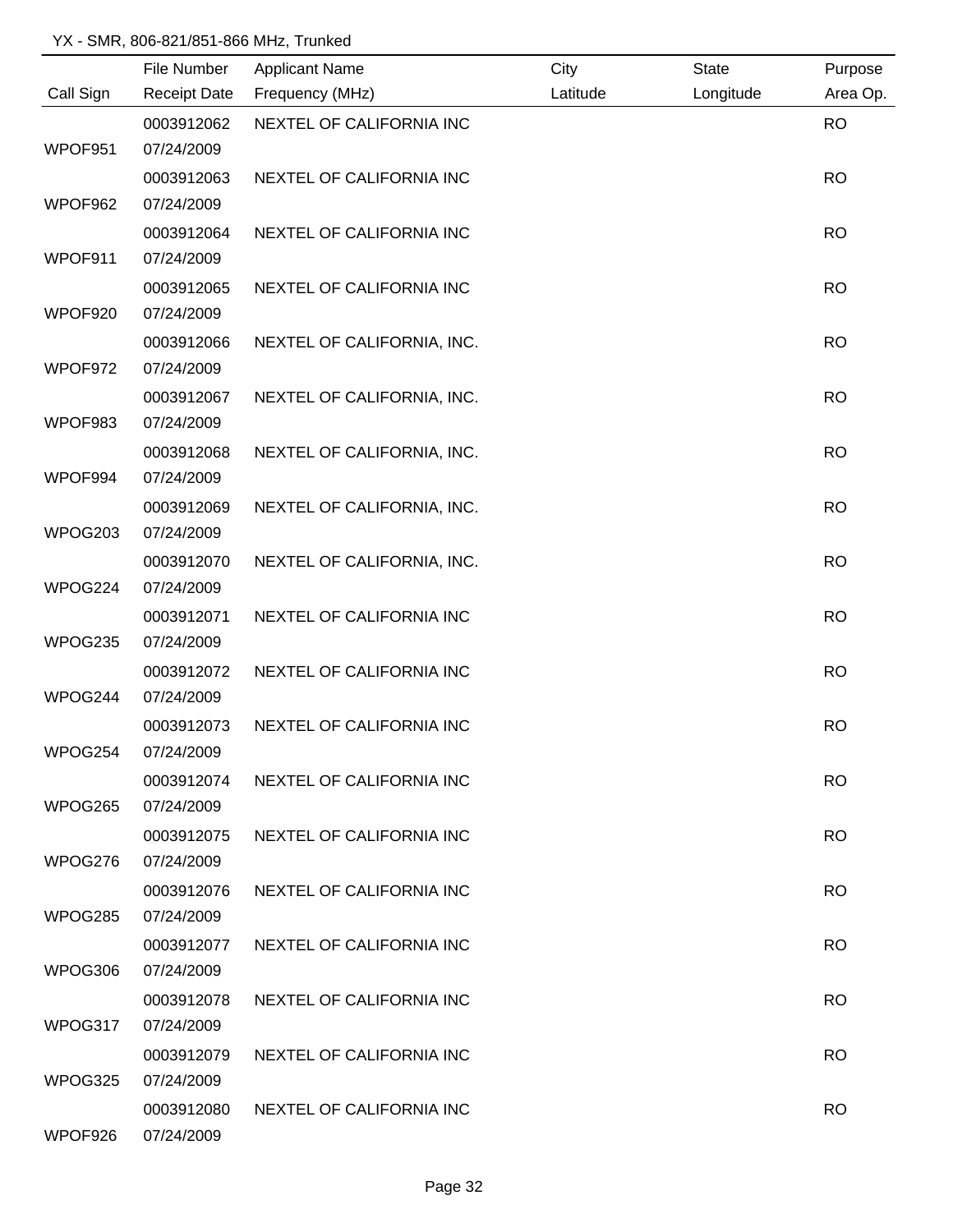|           | File Number         | <b>Applicant Name</b>      | City     | <b>State</b> | Purpose   |
|-----------|---------------------|----------------------------|----------|--------------|-----------|
| Call Sign | <b>Receipt Date</b> | Frequency (MHz)            | Latitude | Longitude    | Area Op.  |
|           | 0003912062          | NEXTEL OF CALIFORNIA INC   |          |              | <b>RO</b> |
| WPOF951   | 07/24/2009          |                            |          |              |           |
|           | 0003912063          | NEXTEL OF CALIFORNIA INC   |          |              | <b>RO</b> |
| WPOF962   | 07/24/2009          |                            |          |              |           |
|           | 0003912064          | NEXTEL OF CALIFORNIA INC   |          |              | <b>RO</b> |
| WPOF911   | 07/24/2009          |                            |          |              |           |
|           | 0003912065          | NEXTEL OF CALIFORNIA INC   |          |              | <b>RO</b> |
| WPOF920   | 07/24/2009          |                            |          |              |           |
|           | 0003912066          | NEXTEL OF CALIFORNIA, INC. |          |              | <b>RO</b> |
| WPOF972   | 07/24/2009          |                            |          |              |           |
|           | 0003912067          | NEXTEL OF CALIFORNIA, INC. |          |              | <b>RO</b> |
| WPOF983   | 07/24/2009          |                            |          |              |           |
|           | 0003912068          | NEXTEL OF CALIFORNIA, INC. |          |              | <b>RO</b> |
| WPOF994   | 07/24/2009          |                            |          |              |           |
|           | 0003912069          | NEXTEL OF CALIFORNIA, INC. |          |              | <b>RO</b> |
| WPOG203   | 07/24/2009          |                            |          |              |           |
|           | 0003912070          | NEXTEL OF CALIFORNIA, INC. |          |              | <b>RO</b> |
| WPOG224   | 07/24/2009          |                            |          |              |           |
|           | 0003912071          | NEXTEL OF CALIFORNIA INC   |          |              | <b>RO</b> |
| WPOG235   | 07/24/2009          |                            |          |              |           |
|           | 0003912072          | NEXTEL OF CALIFORNIA INC   |          |              | <b>RO</b> |
| WPOG244   | 07/24/2009          |                            |          |              |           |
|           | 0003912073          | NEXTEL OF CALIFORNIA INC   |          |              | <b>RO</b> |
| WPOG254   | 07/24/2009          |                            |          |              |           |
|           | 0003912074          | NEXTEL OF CALIFORNIA INC   |          |              | <b>RO</b> |
| WPOG265   | 07/24/2009          |                            |          |              |           |
|           | 0003912075          | NEXTEL OF CALIFORNIA INC   |          |              | <b>RO</b> |
| WPOG276   | 07/24/2009          |                            |          |              |           |
|           | 0003912076          | NEXTEL OF CALIFORNIA INC   |          |              | <b>RO</b> |
| WPOG285   | 07/24/2009          |                            |          |              |           |
|           | 0003912077          | NEXTEL OF CALIFORNIA INC   |          |              | <b>RO</b> |
| WPOG306   | 07/24/2009          |                            |          |              |           |
|           | 0003912078          | NEXTEL OF CALIFORNIA INC   |          |              | <b>RO</b> |
| WPOG317   | 07/24/2009          |                            |          |              |           |
|           | 0003912079          | NEXTEL OF CALIFORNIA INC   |          |              | <b>RO</b> |
| WPOG325   | 07/24/2009          |                            |          |              |           |
|           | 0003912080          | NEXTEL OF CALIFORNIA INC   |          |              | <b>RO</b> |
| WPOF926   | 07/24/2009          |                            |          |              |           |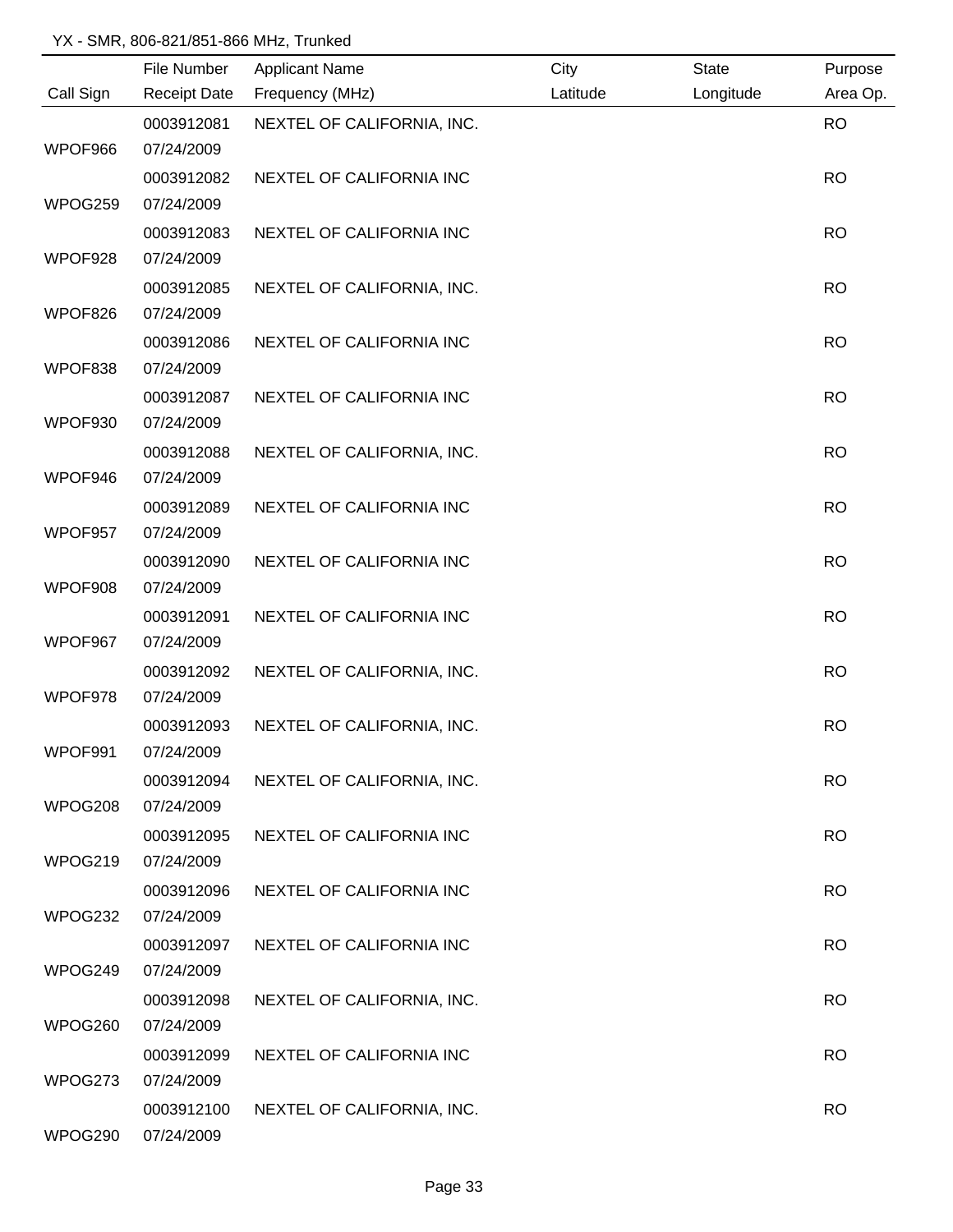|           | File Number         | <b>Applicant Name</b>      | City     | <b>State</b> | Purpose   |
|-----------|---------------------|----------------------------|----------|--------------|-----------|
| Call Sign | <b>Receipt Date</b> | Frequency (MHz)            | Latitude | Longitude    | Area Op.  |
|           | 0003912081          | NEXTEL OF CALIFORNIA, INC. |          |              | <b>RO</b> |
| WPOF966   | 07/24/2009          |                            |          |              |           |
|           | 0003912082          | NEXTEL OF CALIFORNIA INC   |          |              | <b>RO</b> |
| WPOG259   | 07/24/2009          |                            |          |              |           |
|           | 0003912083          | NEXTEL OF CALIFORNIA INC   |          |              | <b>RO</b> |
| WPOF928   | 07/24/2009          |                            |          |              |           |
|           | 0003912085          | NEXTEL OF CALIFORNIA, INC. |          |              | <b>RO</b> |
| WPOF826   | 07/24/2009          |                            |          |              |           |
|           | 0003912086          | NEXTEL OF CALIFORNIA INC   |          |              | <b>RO</b> |
| WPOF838   | 07/24/2009          |                            |          |              |           |
|           | 0003912087          | NEXTEL OF CALIFORNIA INC   |          |              | <b>RO</b> |
| WPOF930   | 07/24/2009          |                            |          |              |           |
|           | 0003912088          | NEXTEL OF CALIFORNIA, INC. |          |              | <b>RO</b> |
| WPOF946   | 07/24/2009          |                            |          |              |           |
|           | 0003912089          | NEXTEL OF CALIFORNIA INC   |          |              | <b>RO</b> |
| WPOF957   | 07/24/2009          |                            |          |              |           |
|           | 0003912090          | NEXTEL OF CALIFORNIA INC   |          |              | <b>RO</b> |
| WPOF908   | 07/24/2009          |                            |          |              |           |
|           | 0003912091          | NEXTEL OF CALIFORNIA INC   |          |              | <b>RO</b> |
| WPOF967   | 07/24/2009          |                            |          |              |           |
|           | 0003912092          | NEXTEL OF CALIFORNIA, INC. |          |              | <b>RO</b> |
| WPOF978   | 07/24/2009          |                            |          |              |           |
|           | 0003912093          | NEXTEL OF CALIFORNIA, INC. |          |              | <b>RO</b> |
| WPOF991   | 07/24/2009          |                            |          |              |           |
|           | 0003912094          | NEXTEL OF CALIFORNIA, INC. |          |              | <b>RO</b> |
| WPOG208   | 07/24/2009          |                            |          |              |           |
|           | 0003912095          | NEXTEL OF CALIFORNIA INC   |          |              | <b>RO</b> |
| WPOG219   | 07/24/2009          |                            |          |              |           |
|           | 0003912096          | NEXTEL OF CALIFORNIA INC   |          |              | <b>RO</b> |
| WPOG232   | 07/24/2009          |                            |          |              |           |
|           | 0003912097          | NEXTEL OF CALIFORNIA INC   |          |              | <b>RO</b> |
| WPOG249   | 07/24/2009          |                            |          |              |           |
|           | 0003912098          | NEXTEL OF CALIFORNIA, INC. |          |              | <b>RO</b> |
| WPOG260   | 07/24/2009          |                            |          |              |           |
|           | 0003912099          | NEXTEL OF CALIFORNIA INC   |          |              | <b>RO</b> |
| WPOG273   | 07/24/2009          |                            |          |              |           |
|           | 0003912100          | NEXTEL OF CALIFORNIA, INC. |          |              | <b>RO</b> |
| WPOG290   | 07/24/2009          |                            |          |              |           |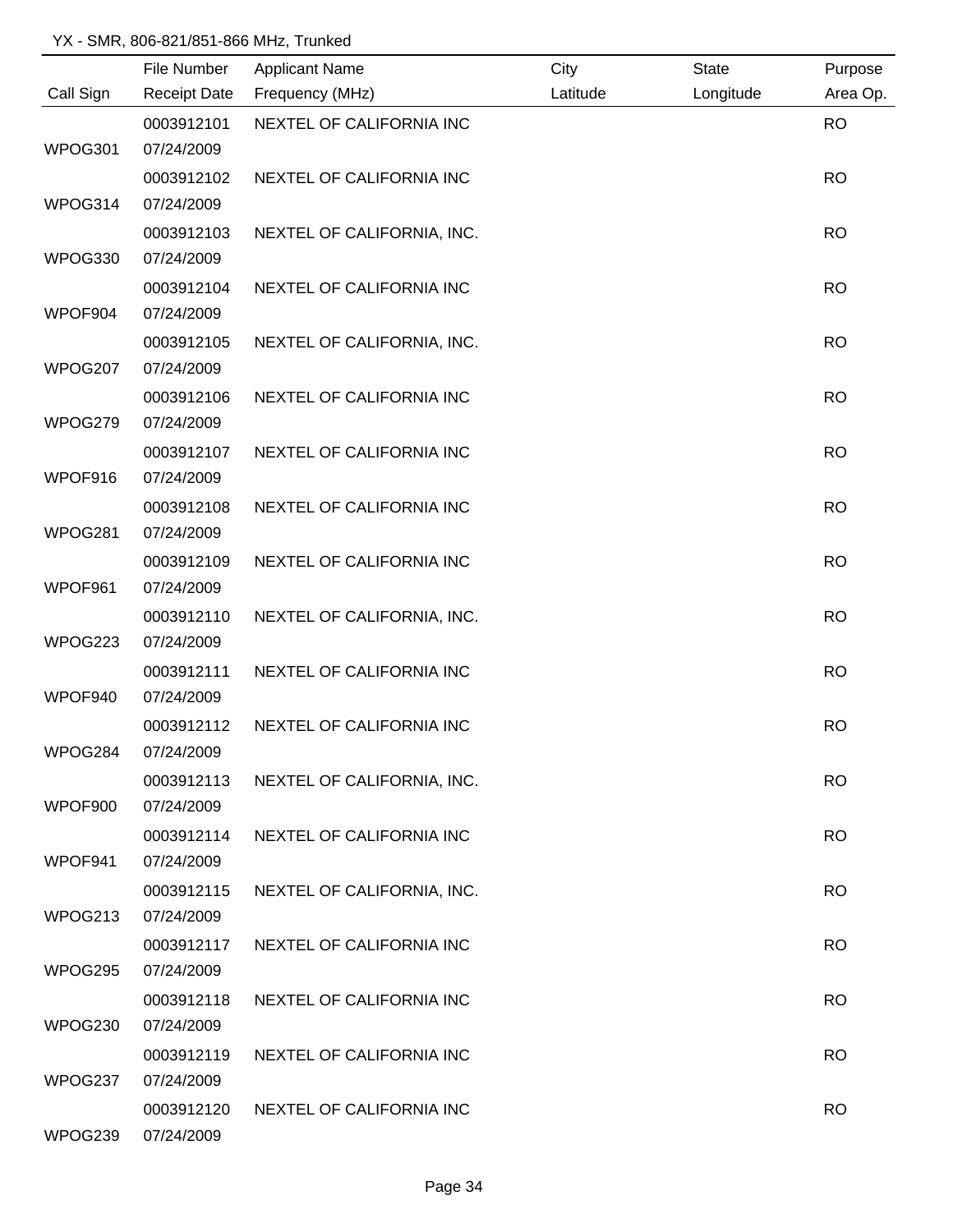|           | File Number         | <b>Applicant Name</b>      | City     | <b>State</b> | Purpose   |
|-----------|---------------------|----------------------------|----------|--------------|-----------|
| Call Sign | <b>Receipt Date</b> | Frequency (MHz)            | Latitude | Longitude    | Area Op.  |
|           | 0003912101          | NEXTEL OF CALIFORNIA INC   |          |              | <b>RO</b> |
| WPOG301   | 07/24/2009          |                            |          |              |           |
|           | 0003912102          | NEXTEL OF CALIFORNIA INC   |          |              | <b>RO</b> |
| WPOG314   | 07/24/2009          |                            |          |              |           |
|           | 0003912103          | NEXTEL OF CALIFORNIA, INC. |          |              | <b>RO</b> |
| WPOG330   | 07/24/2009          |                            |          |              |           |
|           | 0003912104          | NEXTEL OF CALIFORNIA INC   |          |              | <b>RO</b> |
| WPOF904   | 07/24/2009          |                            |          |              |           |
|           | 0003912105          | NEXTEL OF CALIFORNIA, INC. |          |              | <b>RO</b> |
| WPOG207   | 07/24/2009          |                            |          |              |           |
|           | 0003912106          | NEXTEL OF CALIFORNIA INC   |          |              | <b>RO</b> |
| WPOG279   | 07/24/2009          |                            |          |              |           |
|           | 0003912107          | NEXTEL OF CALIFORNIA INC   |          |              | <b>RO</b> |
| WPOF916   | 07/24/2009          |                            |          |              |           |
|           | 0003912108          | NEXTEL OF CALIFORNIA INC   |          |              | <b>RO</b> |
| WPOG281   | 07/24/2009          |                            |          |              |           |
|           | 0003912109          | NEXTEL OF CALIFORNIA INC   |          |              | <b>RO</b> |
| WPOF961   | 07/24/2009          |                            |          |              |           |
|           | 0003912110          | NEXTEL OF CALIFORNIA, INC. |          |              | <b>RO</b> |
| WPOG223   | 07/24/2009          |                            |          |              |           |
|           | 0003912111          | NEXTEL OF CALIFORNIA INC   |          |              | <b>RO</b> |
| WPOF940   | 07/24/2009          |                            |          |              |           |
|           | 0003912112          | NEXTEL OF CALIFORNIA INC   |          |              | <b>RO</b> |
| WPOG284   | 07/24/2009          |                            |          |              |           |
|           | 0003912113          | NEXTEL OF CALIFORNIA, INC. |          |              | <b>RO</b> |
| WPOF900   | 07/24/2009          |                            |          |              |           |
|           | 0003912114          | NEXTEL OF CALIFORNIA INC   |          |              | <b>RO</b> |
| WPOF941   | 07/24/2009          |                            |          |              |           |
|           | 0003912115          | NEXTEL OF CALIFORNIA, INC. |          |              | <b>RO</b> |
| WPOG213   | 07/24/2009          |                            |          |              |           |
|           | 0003912117          | NEXTEL OF CALIFORNIA INC   |          |              | <b>RO</b> |
| WPOG295   | 07/24/2009          |                            |          |              |           |
|           | 0003912118          | NEXTEL OF CALIFORNIA INC   |          |              | <b>RO</b> |
| WPOG230   | 07/24/2009          |                            |          |              |           |
|           | 0003912119          | NEXTEL OF CALIFORNIA INC   |          |              | <b>RO</b> |
| WPOG237   | 07/24/2009          |                            |          |              |           |
|           | 0003912120          | NEXTEL OF CALIFORNIA INC   |          |              | <b>RO</b> |
| WPOG239   | 07/24/2009          |                            |          |              |           |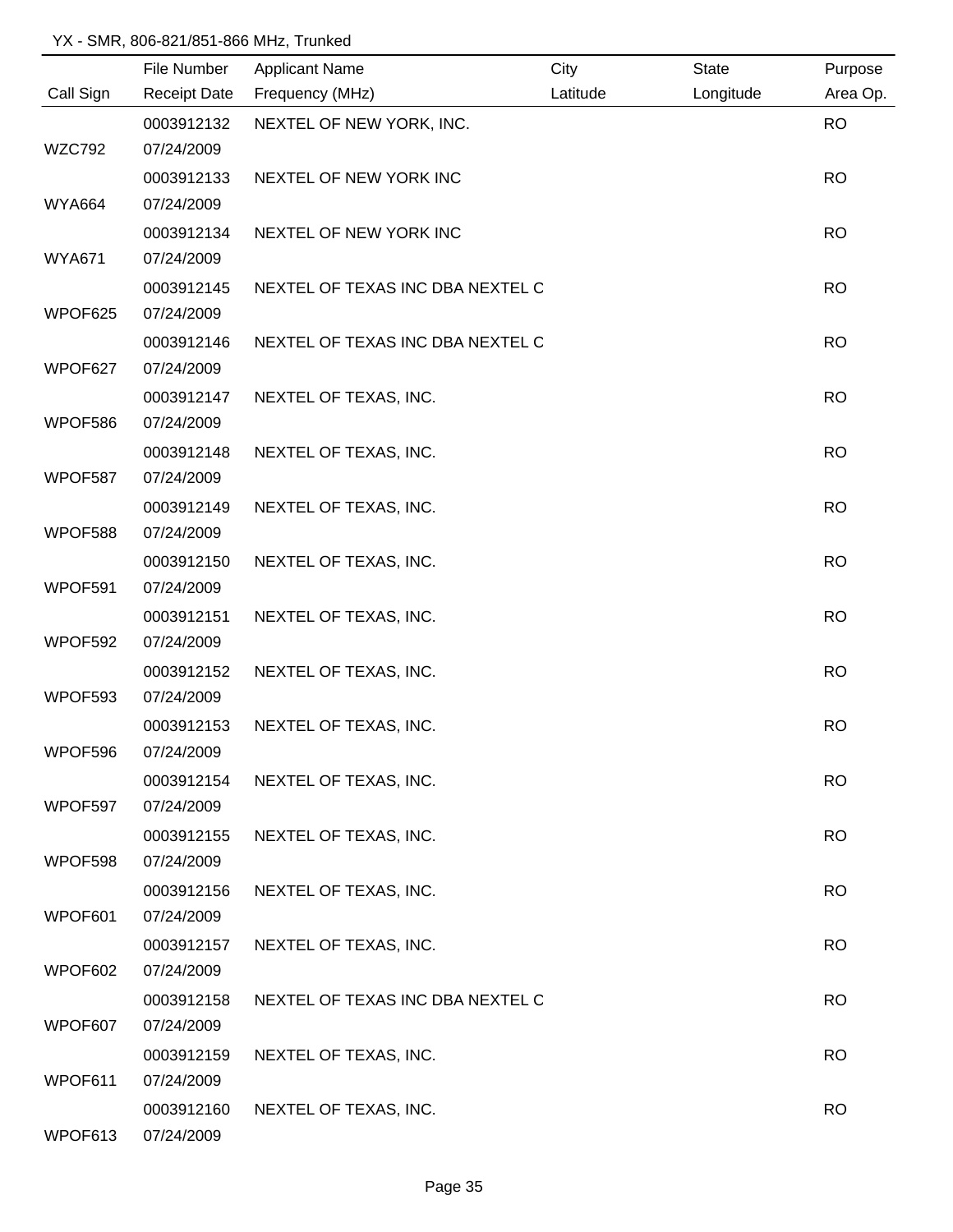|               | File Number         | <b>Applicant Name</b>            | City     | <b>State</b> | Purpose   |
|---------------|---------------------|----------------------------------|----------|--------------|-----------|
| Call Sign     | <b>Receipt Date</b> | Frequency (MHz)                  | Latitude | Longitude    | Area Op.  |
|               | 0003912132          | NEXTEL OF NEW YORK, INC.         |          |              | <b>RO</b> |
| <b>WZC792</b> | 07/24/2009          |                                  |          |              |           |
|               | 0003912133          | NEXTEL OF NEW YORK INC           |          |              | <b>RO</b> |
| <b>WYA664</b> | 07/24/2009          |                                  |          |              |           |
|               | 0003912134          | NEXTEL OF NEW YORK INC           |          |              | <b>RO</b> |
| <b>WYA671</b> | 07/24/2009          |                                  |          |              |           |
|               | 0003912145          | NEXTEL OF TEXAS INC DBA NEXTEL C |          |              | <b>RO</b> |
| WPOF625       | 07/24/2009          |                                  |          |              |           |
|               | 0003912146          | NEXTEL OF TEXAS INC DBA NEXTEL C |          |              | <b>RO</b> |
| WPOF627       | 07/24/2009          |                                  |          |              |           |
|               | 0003912147          | NEXTEL OF TEXAS, INC.            |          |              | <b>RO</b> |
| WPOF586       | 07/24/2009          |                                  |          |              |           |
|               | 0003912148          | NEXTEL OF TEXAS, INC.            |          |              | <b>RO</b> |
| WPOF587       | 07/24/2009          |                                  |          |              |           |
|               | 0003912149          | NEXTEL OF TEXAS, INC.            |          |              | <b>RO</b> |
| WPOF588       | 07/24/2009          |                                  |          |              |           |
|               | 0003912150          | NEXTEL OF TEXAS, INC.            |          |              | <b>RO</b> |
| WPOF591       | 07/24/2009          |                                  |          |              |           |
|               | 0003912151          | NEXTEL OF TEXAS, INC.            |          |              | <b>RO</b> |
| WPOF592       | 07/24/2009          |                                  |          |              |           |
|               | 0003912152          | NEXTEL OF TEXAS, INC.            |          |              | <b>RO</b> |
| WPOF593       | 07/24/2009          |                                  |          |              |           |
|               | 0003912153          | NEXTEL OF TEXAS, INC.            |          |              | <b>RO</b> |
| WPOF596       | 07/24/2009          |                                  |          |              |           |
|               | 0003912154          | NEXTEL OF TEXAS, INC.            |          |              | <b>RO</b> |
| WPOF597       | 07/24/2009          |                                  |          |              |           |
|               | 0003912155          | NEXTEL OF TEXAS, INC.            |          |              | <b>RO</b> |
| WPOF598       | 07/24/2009          |                                  |          |              |           |
|               | 0003912156          | NEXTEL OF TEXAS, INC.            |          |              | <b>RO</b> |
| WPOF601       | 07/24/2009          |                                  |          |              |           |
|               | 0003912157          | NEXTEL OF TEXAS, INC.            |          |              | <b>RO</b> |
| WPOF602       | 07/24/2009          |                                  |          |              |           |
|               | 0003912158          | NEXTEL OF TEXAS INC DBA NEXTEL C |          |              | <b>RO</b> |
| WPOF607       | 07/24/2009          |                                  |          |              |           |
|               | 0003912159          | NEXTEL OF TEXAS, INC.            |          |              | <b>RO</b> |
| WPOF611       | 07/24/2009          |                                  |          |              |           |
|               | 0003912160          | NEXTEL OF TEXAS, INC.            |          |              | <b>RO</b> |
| WPOF613       | 07/24/2009          |                                  |          |              |           |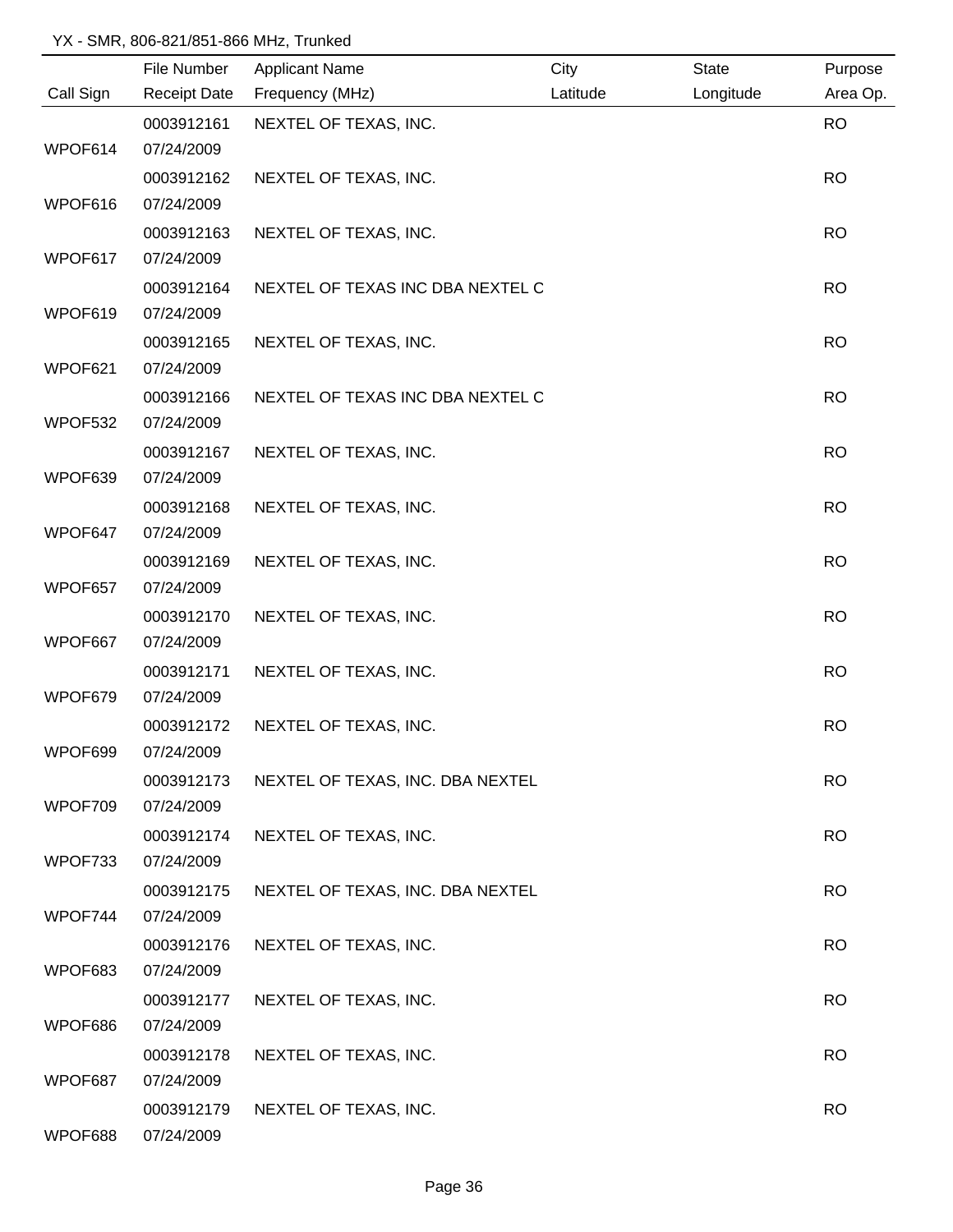|           | File Number         | <b>Applicant Name</b>            | City     | <b>State</b> | Purpose   |
|-----------|---------------------|----------------------------------|----------|--------------|-----------|
| Call Sign | <b>Receipt Date</b> | Frequency (MHz)                  | Latitude | Longitude    | Area Op.  |
|           | 0003912161          | NEXTEL OF TEXAS, INC.            |          |              | <b>RO</b> |
| WPOF614   | 07/24/2009          |                                  |          |              |           |
|           | 0003912162          | NEXTEL OF TEXAS, INC.            |          |              | <b>RO</b> |
| WPOF616   | 07/24/2009          |                                  |          |              |           |
|           | 0003912163          | NEXTEL OF TEXAS, INC.            |          |              | <b>RO</b> |
| WPOF617   | 07/24/2009          |                                  |          |              |           |
|           | 0003912164          | NEXTEL OF TEXAS INC DBA NEXTEL C |          |              | <b>RO</b> |
| WPOF619   | 07/24/2009          |                                  |          |              |           |
|           | 0003912165          | NEXTEL OF TEXAS, INC.            |          |              | <b>RO</b> |
| WPOF621   | 07/24/2009          |                                  |          |              |           |
|           | 0003912166          | NEXTEL OF TEXAS INC DBA NEXTEL C |          |              | <b>RO</b> |
| WPOF532   | 07/24/2009          |                                  |          |              |           |
|           | 0003912167          | NEXTEL OF TEXAS, INC.            |          |              | <b>RO</b> |
| WPOF639   | 07/24/2009          |                                  |          |              |           |
|           | 0003912168          | NEXTEL OF TEXAS, INC.            |          |              | <b>RO</b> |
| WPOF647   | 07/24/2009          |                                  |          |              |           |
|           | 0003912169          | NEXTEL OF TEXAS, INC.            |          |              | <b>RO</b> |
| WPOF657   | 07/24/2009          |                                  |          |              |           |
|           | 0003912170          | NEXTEL OF TEXAS, INC.            |          |              | <b>RO</b> |
| WPOF667   | 07/24/2009          |                                  |          |              |           |
|           | 0003912171          | NEXTEL OF TEXAS, INC.            |          |              | <b>RO</b> |
| WPOF679   | 07/24/2009          |                                  |          |              |           |
|           | 0003912172          | NEXTEL OF TEXAS, INC.            |          |              | <b>RO</b> |
| WPOF699   | 07/24/2009          |                                  |          |              |           |
|           | 0003912173          | NEXTEL OF TEXAS, INC. DBA NEXTEL |          |              | <b>RO</b> |
| WPOF709   | 07/24/2009          |                                  |          |              |           |
|           | 0003912174          | NEXTEL OF TEXAS, INC.            |          |              | <b>RO</b> |
| WPOF733   | 07/24/2009          |                                  |          |              |           |
|           | 0003912175          | NEXTEL OF TEXAS, INC. DBA NEXTEL |          |              | <b>RO</b> |
| WPOF744   | 07/24/2009          |                                  |          |              |           |
|           | 0003912176          | NEXTEL OF TEXAS, INC.            |          |              | <b>RO</b> |
| WPOF683   | 07/24/2009          |                                  |          |              |           |
|           | 0003912177          | NEXTEL OF TEXAS, INC.            |          |              | <b>RO</b> |
| WPOF686   | 07/24/2009          |                                  |          |              |           |
|           | 0003912178          | NEXTEL OF TEXAS, INC.            |          |              | <b>RO</b> |
| WPOF687   | 07/24/2009          |                                  |          |              |           |
|           | 0003912179          | NEXTEL OF TEXAS, INC.            |          |              | <b>RO</b> |
| WPOF688   | 07/24/2009          |                                  |          |              |           |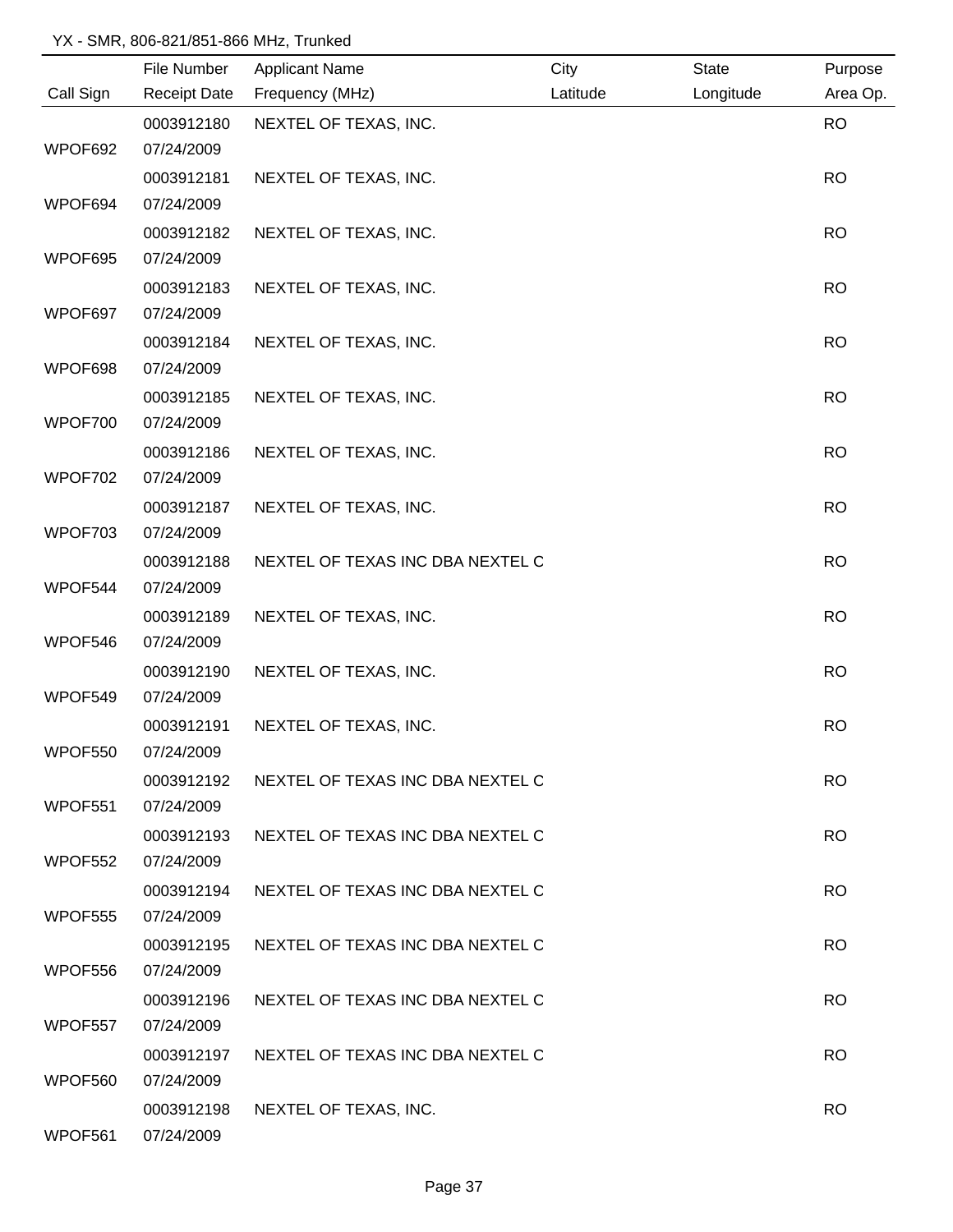|           | File Number         | <b>Applicant Name</b>            | City     | <b>State</b> | Purpose   |
|-----------|---------------------|----------------------------------|----------|--------------|-----------|
| Call Sign | <b>Receipt Date</b> | Frequency (MHz)                  | Latitude | Longitude    | Area Op.  |
|           | 0003912180          | NEXTEL OF TEXAS, INC.            |          |              | <b>RO</b> |
| WPOF692   | 07/24/2009          |                                  |          |              |           |
|           | 0003912181          | NEXTEL OF TEXAS, INC.            |          |              | <b>RO</b> |
| WPOF694   | 07/24/2009          |                                  |          |              |           |
|           | 0003912182          | NEXTEL OF TEXAS, INC.            |          |              | <b>RO</b> |
| WPOF695   | 07/24/2009          |                                  |          |              |           |
|           | 0003912183          | NEXTEL OF TEXAS, INC.            |          |              | <b>RO</b> |
| WPOF697   | 07/24/2009          |                                  |          |              |           |
|           | 0003912184          | NEXTEL OF TEXAS, INC.            |          |              | <b>RO</b> |
| WPOF698   | 07/24/2009          |                                  |          |              |           |
|           | 0003912185          | NEXTEL OF TEXAS, INC.            |          |              | <b>RO</b> |
| WPOF700   | 07/24/2009          |                                  |          |              |           |
|           | 0003912186          | NEXTEL OF TEXAS, INC.            |          |              | <b>RO</b> |
| WPOF702   | 07/24/2009          |                                  |          |              |           |
|           | 0003912187          | NEXTEL OF TEXAS, INC.            |          |              | <b>RO</b> |
| WPOF703   | 07/24/2009          |                                  |          |              |           |
|           | 0003912188          | NEXTEL OF TEXAS INC DBA NEXTEL C |          |              | <b>RO</b> |
| WPOF544   | 07/24/2009          |                                  |          |              |           |
|           | 0003912189          | NEXTEL OF TEXAS, INC.            |          |              | <b>RO</b> |
| WPOF546   | 07/24/2009          |                                  |          |              |           |
|           | 0003912190          | NEXTEL OF TEXAS, INC.            |          |              | <b>RO</b> |
| WPOF549   | 07/24/2009          |                                  |          |              |           |
|           | 0003912191          | NEXTEL OF TEXAS, INC.            |          |              | <b>RO</b> |
| WPOF550   | 07/24/2009          |                                  |          |              |           |
|           | 0003912192          | NEXTEL OF TEXAS INC DBA NEXTEL C |          |              | <b>RO</b> |
| WPOF551   | 07/24/2009          |                                  |          |              |           |
|           | 0003912193          | NEXTEL OF TEXAS INC DBA NEXTEL C |          |              | <b>RO</b> |
| WPOF552   | 07/24/2009          |                                  |          |              |           |
|           | 0003912194          | NEXTEL OF TEXAS INC DBA NEXTEL C |          |              | <b>RO</b> |
| WPOF555   | 07/24/2009          |                                  |          |              |           |
|           | 0003912195          | NEXTEL OF TEXAS INC DBA NEXTEL C |          |              | <b>RO</b> |
| WPOF556   | 07/24/2009          |                                  |          |              |           |
|           | 0003912196          | NEXTEL OF TEXAS INC DBA NEXTEL C |          |              | <b>RO</b> |
| WPOF557   | 07/24/2009          |                                  |          |              |           |
|           | 0003912197          | NEXTEL OF TEXAS INC DBA NEXTEL C |          |              | <b>RO</b> |
| WPOF560   | 07/24/2009          |                                  |          |              |           |
|           | 0003912198          | NEXTEL OF TEXAS, INC.            |          |              | <b>RO</b> |
| WPOF561   | 07/24/2009          |                                  |          |              |           |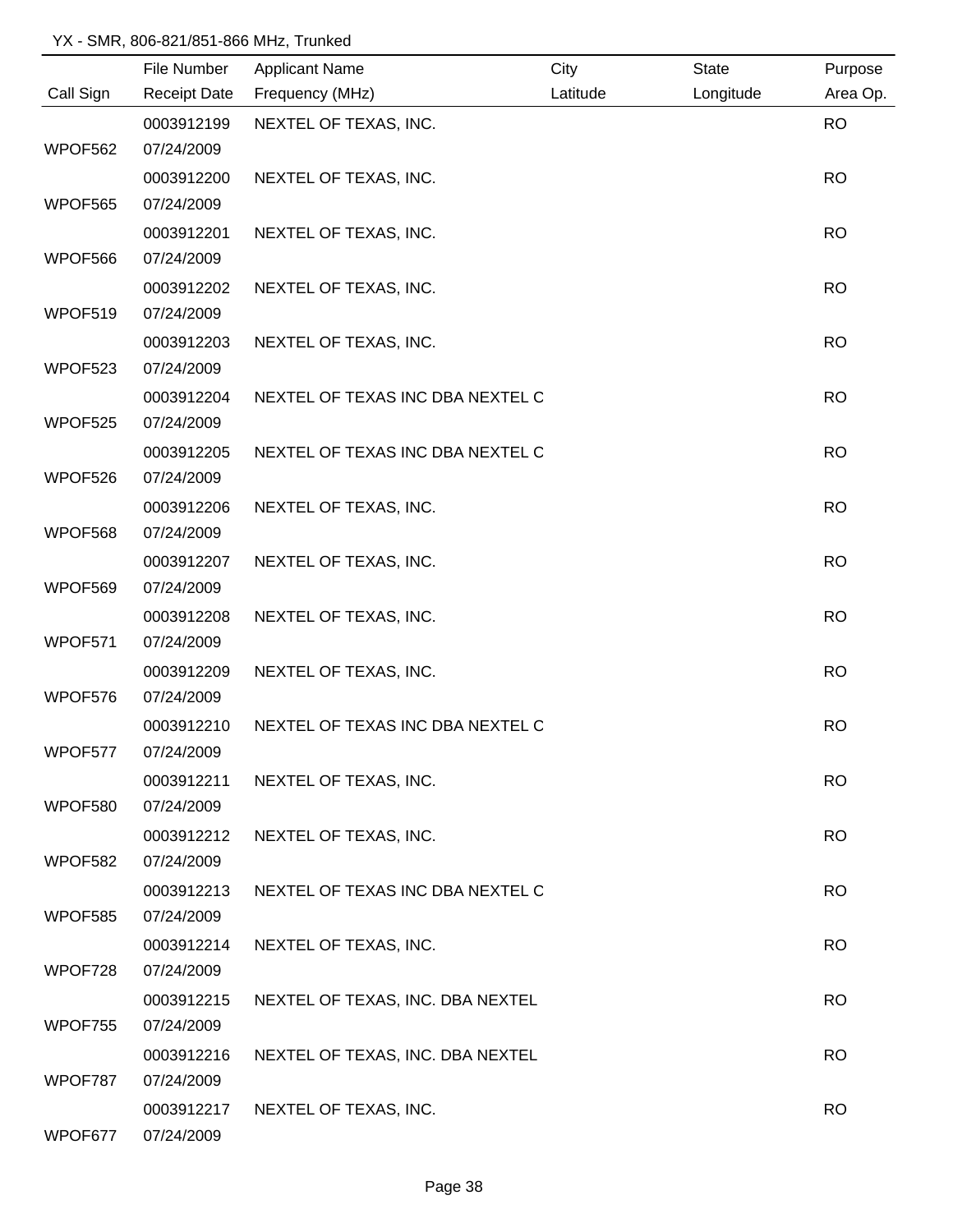|           | File Number         | <b>Applicant Name</b>            | City     | <b>State</b> | Purpose   |
|-----------|---------------------|----------------------------------|----------|--------------|-----------|
| Call Sign | <b>Receipt Date</b> | Frequency (MHz)                  | Latitude | Longitude    | Area Op.  |
|           | 0003912199          | NEXTEL OF TEXAS, INC.            |          |              | <b>RO</b> |
| WPOF562   | 07/24/2009          |                                  |          |              |           |
|           | 0003912200          | NEXTEL OF TEXAS, INC.            |          |              | <b>RO</b> |
| WPOF565   | 07/24/2009          |                                  |          |              |           |
|           | 0003912201          | NEXTEL OF TEXAS, INC.            |          |              | <b>RO</b> |
| WPOF566   | 07/24/2009          |                                  |          |              |           |
|           | 0003912202          | NEXTEL OF TEXAS, INC.            |          |              | <b>RO</b> |
| WPOF519   | 07/24/2009          |                                  |          |              |           |
|           | 0003912203          | NEXTEL OF TEXAS, INC.            |          |              | <b>RO</b> |
| WPOF523   | 07/24/2009          |                                  |          |              |           |
|           | 0003912204          | NEXTEL OF TEXAS INC DBA NEXTEL C |          |              | <b>RO</b> |
| WPOF525   | 07/24/2009          |                                  |          |              |           |
|           | 0003912205          | NEXTEL OF TEXAS INC DBA NEXTEL C |          |              | <b>RO</b> |
| WPOF526   | 07/24/2009          |                                  |          |              |           |
|           | 0003912206          | NEXTEL OF TEXAS, INC.            |          |              | <b>RO</b> |
| WPOF568   | 07/24/2009          |                                  |          |              |           |
|           | 0003912207          | NEXTEL OF TEXAS, INC.            |          |              | <b>RO</b> |
| WPOF569   | 07/24/2009          |                                  |          |              |           |
|           | 0003912208          | NEXTEL OF TEXAS, INC.            |          |              | <b>RO</b> |
| WPOF571   | 07/24/2009          |                                  |          |              |           |
|           | 0003912209          | NEXTEL OF TEXAS, INC.            |          |              | <b>RO</b> |
| WPOF576   | 07/24/2009          |                                  |          |              |           |
|           | 0003912210          | NEXTEL OF TEXAS INC DBA NEXTEL C |          |              | <b>RO</b> |
| WPOF577   | 07/24/2009          |                                  |          |              |           |
|           | 0003912211          | NEXTEL OF TEXAS, INC.            |          |              | <b>RO</b> |
| WPOF580   | 07/24/2009          |                                  |          |              |           |
|           | 0003912212          | NEXTEL OF TEXAS, INC.            |          |              | <b>RO</b> |
| WPOF582   | 07/24/2009          |                                  |          |              |           |
|           | 0003912213          | NEXTEL OF TEXAS INC DBA NEXTEL C |          |              | <b>RO</b> |
| WPOF585   | 07/24/2009          |                                  |          |              |           |
|           | 0003912214          | NEXTEL OF TEXAS, INC.            |          |              | <b>RO</b> |
| WPOF728   | 07/24/2009          |                                  |          |              |           |
|           | 0003912215          | NEXTEL OF TEXAS, INC. DBA NEXTEL |          |              | <b>RO</b> |
| WPOF755   | 07/24/2009          |                                  |          |              |           |
|           | 0003912216          | NEXTEL OF TEXAS, INC. DBA NEXTEL |          |              | <b>RO</b> |
| WPOF787   | 07/24/2009          |                                  |          |              |           |
|           | 0003912217          | NEXTEL OF TEXAS, INC.            |          |              | <b>RO</b> |
| WPOF677   | 07/24/2009          |                                  |          |              |           |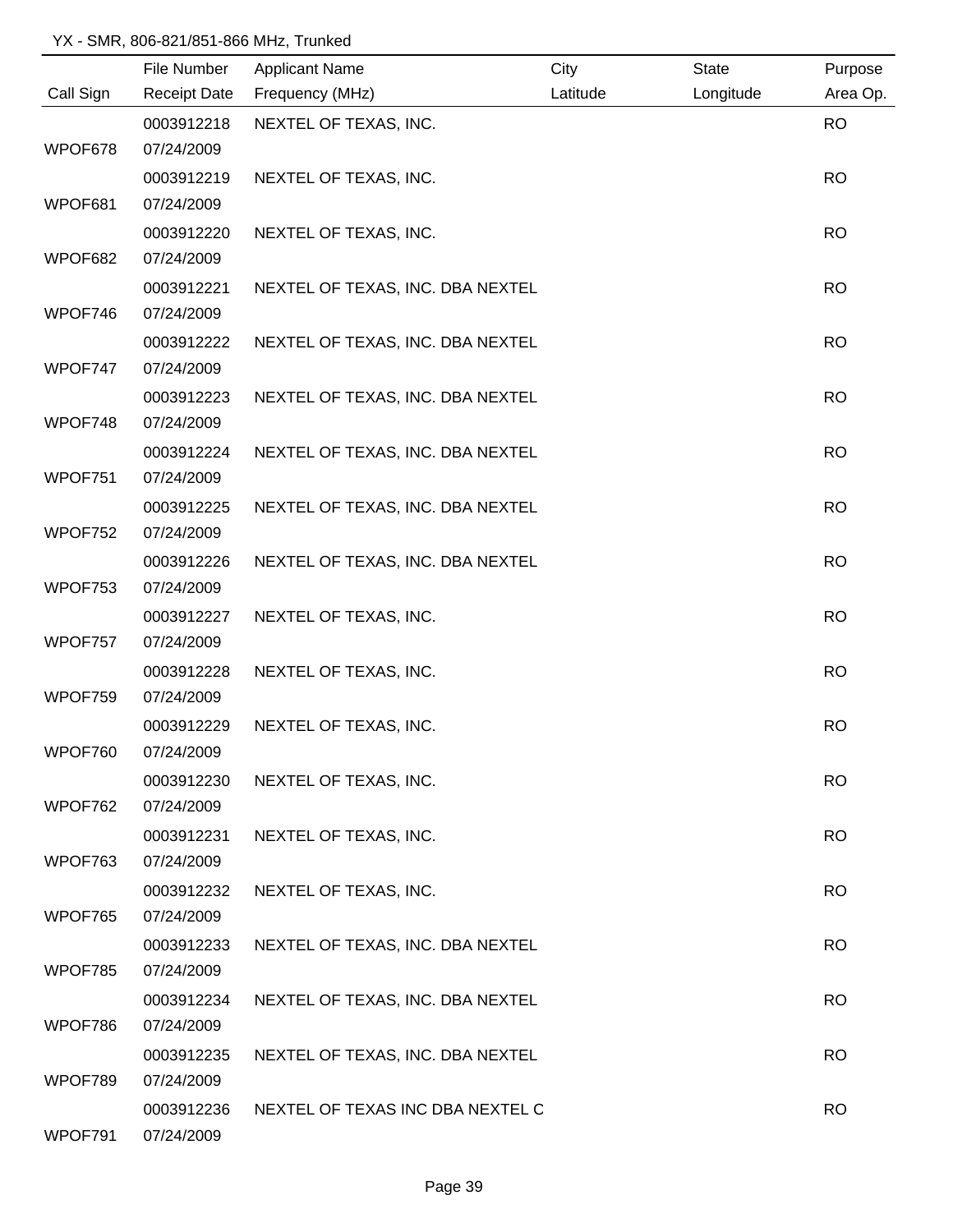|           | File Number         | <b>Applicant Name</b>            | City     | <b>State</b> | Purpose   |
|-----------|---------------------|----------------------------------|----------|--------------|-----------|
| Call Sign | <b>Receipt Date</b> | Frequency (MHz)                  | Latitude | Longitude    | Area Op.  |
|           | 0003912218          | NEXTEL OF TEXAS, INC.            |          |              | <b>RO</b> |
| WPOF678   | 07/24/2009          |                                  |          |              |           |
|           | 0003912219          | NEXTEL OF TEXAS, INC.            |          |              | <b>RO</b> |
| WPOF681   | 07/24/2009          |                                  |          |              |           |
|           | 0003912220          | NEXTEL OF TEXAS, INC.            |          |              | <b>RO</b> |
| WPOF682   | 07/24/2009          |                                  |          |              |           |
|           | 0003912221          | NEXTEL OF TEXAS, INC. DBA NEXTEL |          |              | <b>RO</b> |
| WPOF746   | 07/24/2009          |                                  |          |              |           |
|           | 0003912222          | NEXTEL OF TEXAS, INC. DBA NEXTEL |          |              | <b>RO</b> |
| WPOF747   | 07/24/2009          |                                  |          |              |           |
|           | 0003912223          | NEXTEL OF TEXAS, INC. DBA NEXTEL |          |              | <b>RO</b> |
| WPOF748   | 07/24/2009          |                                  |          |              |           |
|           | 0003912224          | NEXTEL OF TEXAS, INC. DBA NEXTEL |          |              | <b>RO</b> |
| WPOF751   | 07/24/2009          |                                  |          |              |           |
|           | 0003912225          | NEXTEL OF TEXAS, INC. DBA NEXTEL |          |              | <b>RO</b> |
| WPOF752   | 07/24/2009          |                                  |          |              |           |
|           | 0003912226          | NEXTEL OF TEXAS, INC. DBA NEXTEL |          |              | <b>RO</b> |
| WPOF753   | 07/24/2009          |                                  |          |              |           |
|           | 0003912227          | NEXTEL OF TEXAS, INC.            |          |              | <b>RO</b> |
| WPOF757   | 07/24/2009          |                                  |          |              |           |
|           | 0003912228          | NEXTEL OF TEXAS, INC.            |          |              | <b>RO</b> |
| WPOF759   | 07/24/2009          |                                  |          |              |           |
|           | 0003912229          | NEXTEL OF TEXAS, INC.            |          |              | <b>RO</b> |
| WPOF760   | 07/24/2009          |                                  |          |              |           |
|           | 0003912230          | NEXTEL OF TEXAS, INC.            |          |              | <b>RO</b> |
| WPOF762   | 07/24/2009          |                                  |          |              |           |
|           | 0003912231          | NEXTEL OF TEXAS, INC.            |          |              | <b>RO</b> |
| WPOF763   | 07/24/2009          |                                  |          |              |           |
|           | 0003912232          | NEXTEL OF TEXAS, INC.            |          |              | <b>RO</b> |
| WPOF765   | 07/24/2009          |                                  |          |              |           |
|           | 0003912233          | NEXTEL OF TEXAS, INC. DBA NEXTEL |          |              | <b>RO</b> |
| WPOF785   | 07/24/2009          |                                  |          |              |           |
|           | 0003912234          | NEXTEL OF TEXAS, INC. DBA NEXTEL |          |              | <b>RO</b> |
| WPOF786   | 07/24/2009          |                                  |          |              |           |
|           | 0003912235          | NEXTEL OF TEXAS, INC. DBA NEXTEL |          |              | <b>RO</b> |
| WPOF789   | 07/24/2009          |                                  |          |              |           |
|           | 0003912236          | NEXTEL OF TEXAS INC DBA NEXTEL C |          |              | <b>RO</b> |
| WPOF791   | 07/24/2009          |                                  |          |              |           |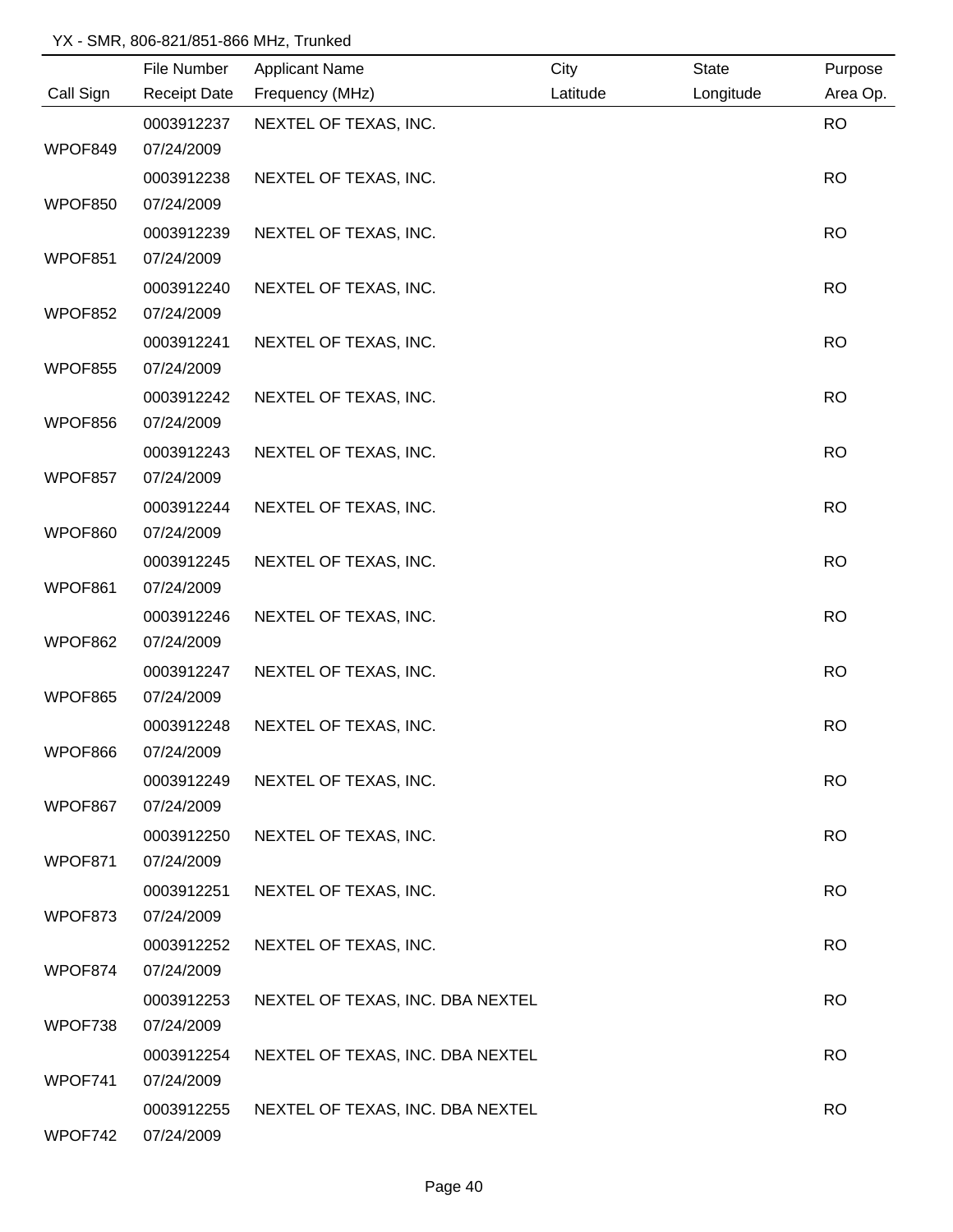|           | File Number         | <b>Applicant Name</b>            | City     | State     | Purpose   |
|-----------|---------------------|----------------------------------|----------|-----------|-----------|
| Call Sign | <b>Receipt Date</b> | Frequency (MHz)                  | Latitude | Longitude | Area Op.  |
|           | 0003912237          | NEXTEL OF TEXAS, INC.            |          |           | <b>RO</b> |
| WPOF849   | 07/24/2009          |                                  |          |           |           |
|           | 0003912238          | NEXTEL OF TEXAS, INC.            |          |           | <b>RO</b> |
| WPOF850   | 07/24/2009          |                                  |          |           |           |
|           | 0003912239          | NEXTEL OF TEXAS, INC.            |          |           | <b>RO</b> |
| WPOF851   | 07/24/2009          |                                  |          |           |           |
|           | 0003912240          | NEXTEL OF TEXAS, INC.            |          |           | <b>RO</b> |
| WPOF852   | 07/24/2009          |                                  |          |           |           |
|           | 0003912241          | NEXTEL OF TEXAS, INC.            |          |           | <b>RO</b> |
| WPOF855   | 07/24/2009          |                                  |          |           |           |
|           | 0003912242          | NEXTEL OF TEXAS, INC.            |          |           | <b>RO</b> |
| WPOF856   | 07/24/2009          |                                  |          |           |           |
|           | 0003912243          | NEXTEL OF TEXAS, INC.            |          |           | <b>RO</b> |
| WPOF857   | 07/24/2009          |                                  |          |           |           |
|           | 0003912244          | NEXTEL OF TEXAS, INC.            |          |           | <b>RO</b> |
| WPOF860   | 07/24/2009          |                                  |          |           |           |
|           | 0003912245          | NEXTEL OF TEXAS, INC.            |          |           | <b>RO</b> |
| WPOF861   | 07/24/2009          |                                  |          |           |           |
|           | 0003912246          | NEXTEL OF TEXAS, INC.            |          |           | <b>RO</b> |
| WPOF862   | 07/24/2009          |                                  |          |           |           |
|           | 0003912247          | NEXTEL OF TEXAS, INC.            |          |           | <b>RO</b> |
| WPOF865   | 07/24/2009          |                                  |          |           |           |
|           | 0003912248          | NEXTEL OF TEXAS, INC.            |          |           | <b>RO</b> |
| WPOF866   | 07/24/2009          |                                  |          |           |           |
|           | 0003912249          | NEXTEL OF TEXAS, INC.            |          |           | <b>RO</b> |
| WPOF867   | 07/24/2009          |                                  |          |           |           |
|           | 0003912250          | NEXTEL OF TEXAS, INC.            |          |           | <b>RO</b> |
| WPOF871   | 07/24/2009          |                                  |          |           |           |
|           | 0003912251          | NEXTEL OF TEXAS, INC.            |          |           | <b>RO</b> |
| WPOF873   | 07/24/2009          |                                  |          |           |           |
|           | 0003912252          | NEXTEL OF TEXAS, INC.            |          |           | <b>RO</b> |
| WPOF874   | 07/24/2009          |                                  |          |           |           |
|           | 0003912253          | NEXTEL OF TEXAS, INC. DBA NEXTEL |          |           | <b>RO</b> |
| WPOF738   | 07/24/2009          |                                  |          |           |           |
|           | 0003912254          | NEXTEL OF TEXAS, INC. DBA NEXTEL |          |           | <b>RO</b> |
| WPOF741   | 07/24/2009          |                                  |          |           |           |
|           | 0003912255          | NEXTEL OF TEXAS, INC. DBA NEXTEL |          |           | <b>RO</b> |
| WPOF742   | 07/24/2009          |                                  |          |           |           |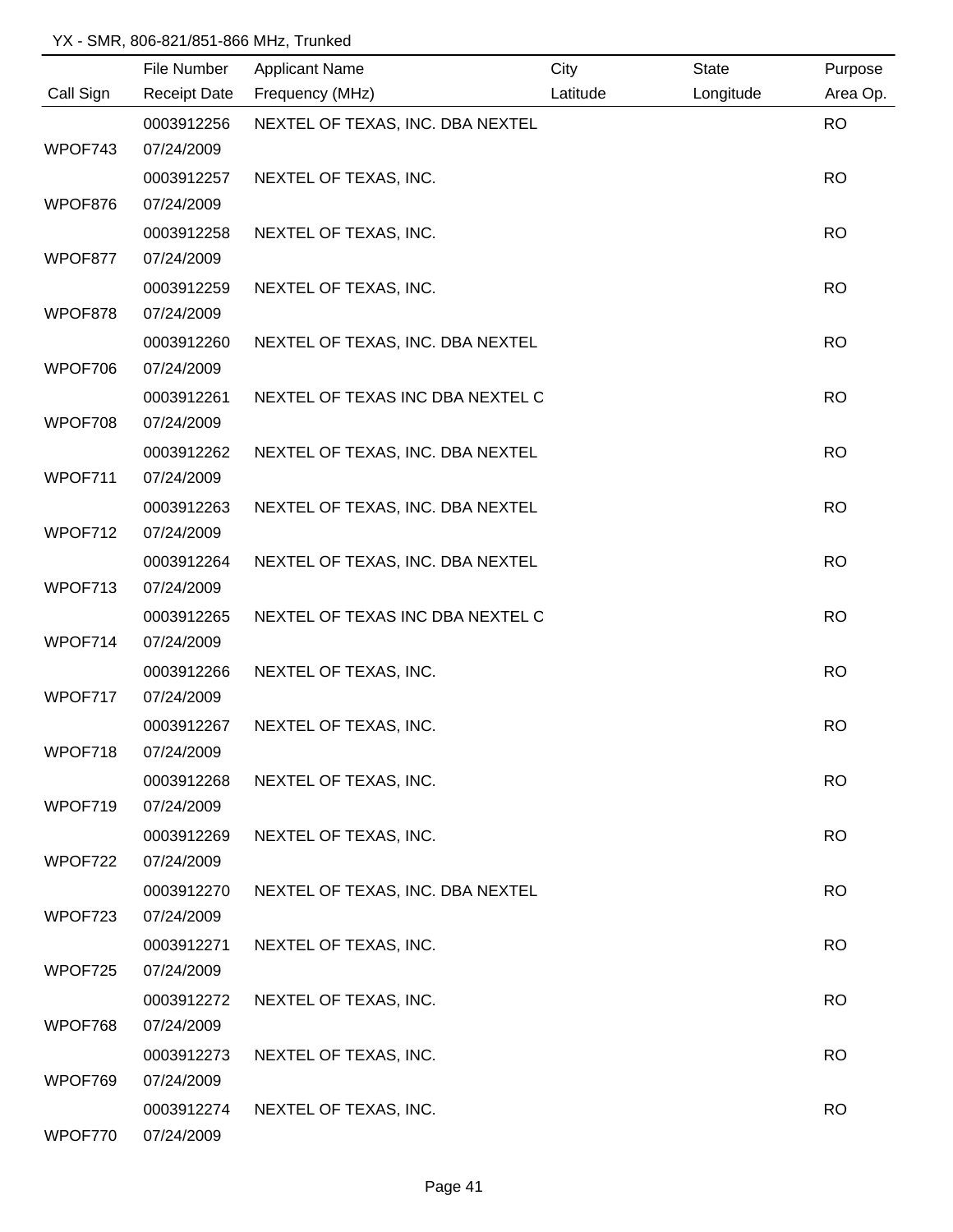|           | File Number              | <b>Applicant Name</b>            | City     | <b>State</b> | Purpose   |
|-----------|--------------------------|----------------------------------|----------|--------------|-----------|
| Call Sign | <b>Receipt Date</b>      | Frequency (MHz)                  | Latitude | Longitude    | Area Op.  |
|           | 0003912256               | NEXTEL OF TEXAS, INC. DBA NEXTEL |          |              | <b>RO</b> |
| WPOF743   | 07/24/2009               |                                  |          |              |           |
|           | 0003912257               | NEXTEL OF TEXAS, INC.            |          |              | <b>RO</b> |
| WPOF876   | 07/24/2009               |                                  |          |              |           |
|           | 0003912258               | NEXTEL OF TEXAS, INC.            |          |              | <b>RO</b> |
| WPOF877   | 07/24/2009               |                                  |          |              |           |
|           | 0003912259               | NEXTEL OF TEXAS, INC.            |          |              | <b>RO</b> |
| WPOF878   | 07/24/2009               |                                  |          |              |           |
|           | 0003912260               | NEXTEL OF TEXAS, INC. DBA NEXTEL |          |              | <b>RO</b> |
| WPOF706   | 07/24/2009               |                                  |          |              |           |
|           | 0003912261               | NEXTEL OF TEXAS INC DBA NEXTEL C |          |              | <b>RO</b> |
| WPOF708   | 07/24/2009               |                                  |          |              |           |
|           | 0003912262               | NEXTEL OF TEXAS, INC. DBA NEXTEL |          |              | <b>RO</b> |
| WPOF711   | 07/24/2009               |                                  |          |              |           |
|           | 0003912263               | NEXTEL OF TEXAS, INC. DBA NEXTEL |          |              | <b>RO</b> |
| WPOF712   | 07/24/2009               |                                  |          |              |           |
|           | 0003912264               | NEXTEL OF TEXAS, INC. DBA NEXTEL |          |              | <b>RO</b> |
| WPOF713   | 07/24/2009               |                                  |          |              |           |
| WPOF714   | 0003912265<br>07/24/2009 | NEXTEL OF TEXAS INC DBA NEXTEL C |          |              | <b>RO</b> |
|           |                          |                                  |          |              | <b>RO</b> |
| WPOF717   | 0003912266<br>07/24/2009 | NEXTEL OF TEXAS, INC.            |          |              |           |
|           | 0003912267               | NEXTEL OF TEXAS, INC.            |          |              | <b>RO</b> |
| WPOF718   | 07/24/2009               |                                  |          |              |           |
|           | 0003912268               | NEXTEL OF TEXAS, INC.            |          |              | <b>RO</b> |
| WPOF719   | 07/24/2009               |                                  |          |              |           |
|           | 0003912269               | NEXTEL OF TEXAS, INC.            |          |              | RO.       |
| WPOF722   | 07/24/2009               |                                  |          |              |           |
|           | 0003912270               | NEXTEL OF TEXAS, INC. DBA NEXTEL |          |              | <b>RO</b> |
| WPOF723   | 07/24/2009               |                                  |          |              |           |
|           | 0003912271               | NEXTEL OF TEXAS, INC.            |          |              | <b>RO</b> |
| WPOF725   | 07/24/2009               |                                  |          |              |           |
|           | 0003912272               | NEXTEL OF TEXAS, INC.            |          |              | <b>RO</b> |
| WPOF768   | 07/24/2009               |                                  |          |              |           |
|           | 0003912273               | NEXTEL OF TEXAS, INC.            |          |              | <b>RO</b> |
| WPOF769   | 07/24/2009               |                                  |          |              |           |
|           | 0003912274               | NEXTEL OF TEXAS, INC.            |          |              | <b>RO</b> |
| WPOF770   | 07/24/2009               |                                  |          |              |           |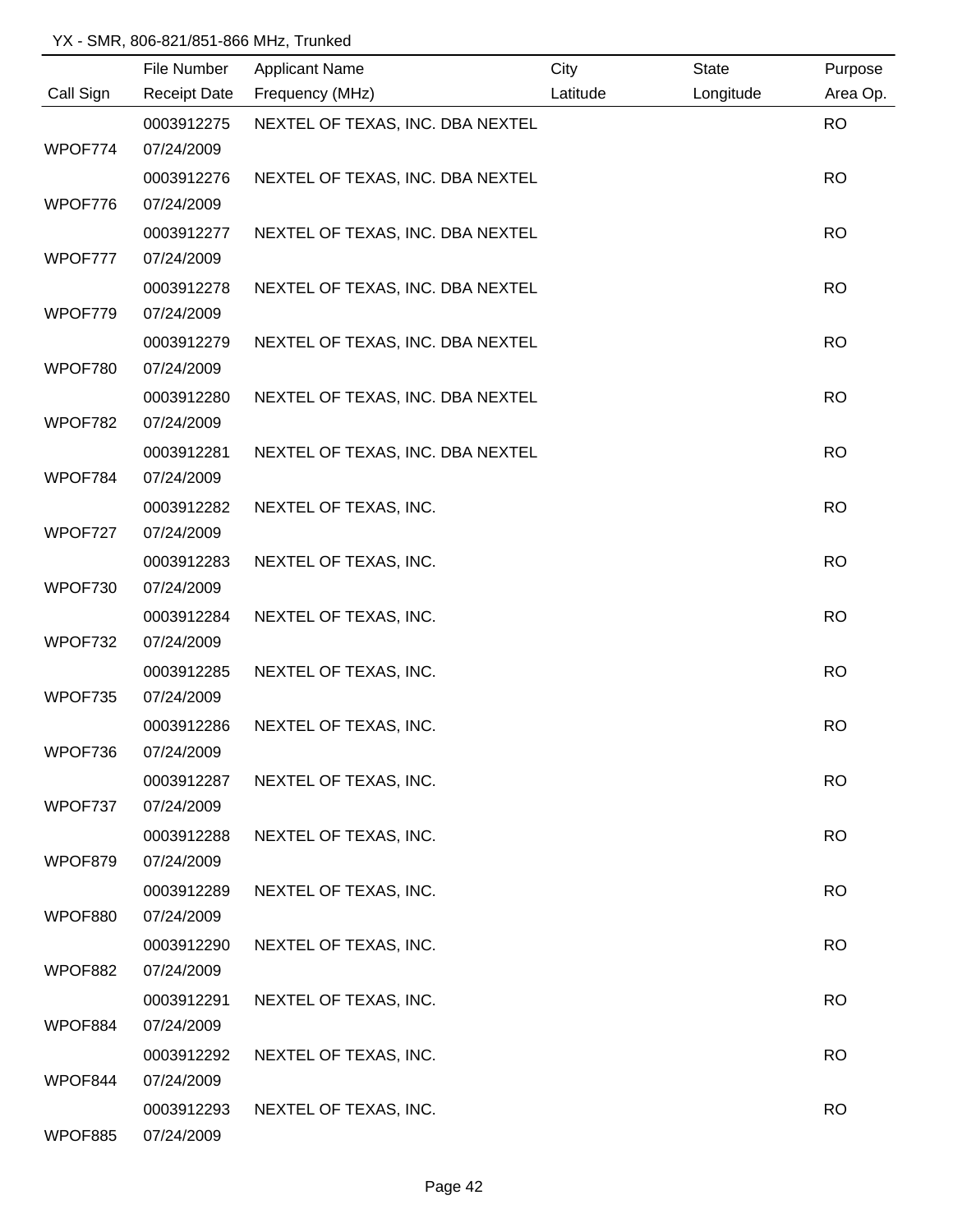|           | File Number         | <b>Applicant Name</b>            | City     | <b>State</b> | Purpose   |
|-----------|---------------------|----------------------------------|----------|--------------|-----------|
| Call Sign | <b>Receipt Date</b> | Frequency (MHz)                  | Latitude | Longitude    | Area Op.  |
|           | 0003912275          | NEXTEL OF TEXAS, INC. DBA NEXTEL |          |              | <b>RO</b> |
| WPOF774   | 07/24/2009          |                                  |          |              |           |
|           | 0003912276          | NEXTEL OF TEXAS, INC. DBA NEXTEL |          |              | <b>RO</b> |
| WPOF776   | 07/24/2009          |                                  |          |              |           |
|           | 0003912277          | NEXTEL OF TEXAS, INC. DBA NEXTEL |          |              | <b>RO</b> |
| WPOF777   | 07/24/2009          |                                  |          |              |           |
|           | 0003912278          | NEXTEL OF TEXAS, INC. DBA NEXTEL |          |              | <b>RO</b> |
| WPOF779   | 07/24/2009          |                                  |          |              |           |
|           | 0003912279          | NEXTEL OF TEXAS, INC. DBA NEXTEL |          |              | <b>RO</b> |
| WPOF780   | 07/24/2009          |                                  |          |              |           |
|           | 0003912280          | NEXTEL OF TEXAS, INC. DBA NEXTEL |          |              | <b>RO</b> |
| WPOF782   | 07/24/2009          |                                  |          |              |           |
|           | 0003912281          | NEXTEL OF TEXAS, INC. DBA NEXTEL |          |              | <b>RO</b> |
| WPOF784   | 07/24/2009          |                                  |          |              |           |
|           | 0003912282          | NEXTEL OF TEXAS, INC.            |          |              | <b>RO</b> |
| WPOF727   | 07/24/2009          |                                  |          |              |           |
|           | 0003912283          | NEXTEL OF TEXAS, INC.            |          |              | <b>RO</b> |
| WPOF730   | 07/24/2009          |                                  |          |              |           |
|           | 0003912284          | NEXTEL OF TEXAS, INC.            |          |              | <b>RO</b> |
| WPOF732   | 07/24/2009          |                                  |          |              |           |
|           | 0003912285          | NEXTEL OF TEXAS, INC.            |          |              | <b>RO</b> |
| WPOF735   | 07/24/2009          |                                  |          |              |           |
|           | 0003912286          | NEXTEL OF TEXAS, INC.            |          |              | <b>RO</b> |
| WPOF736   | 07/24/2009          |                                  |          |              |           |
|           | 0003912287          | NEXTEL OF TEXAS, INC.            |          |              | <b>RO</b> |
| WPOF737   | 07/24/2009          |                                  |          |              |           |
|           | 0003912288          | NEXTEL OF TEXAS, INC.            |          |              | <b>RO</b> |
| WPOF879   | 07/24/2009          |                                  |          |              |           |
|           | 0003912289          | NEXTEL OF TEXAS, INC.            |          |              | <b>RO</b> |
| WPOF880   | 07/24/2009          |                                  |          |              |           |
|           | 0003912290          | NEXTEL OF TEXAS, INC.            |          |              | <b>RO</b> |
| WPOF882   | 07/24/2009          |                                  |          |              |           |
|           | 0003912291          | NEXTEL OF TEXAS, INC.            |          |              | <b>RO</b> |
| WPOF884   | 07/24/2009          |                                  |          |              |           |
|           | 0003912292          | NEXTEL OF TEXAS, INC.            |          |              | <b>RO</b> |
| WPOF844   | 07/24/2009          |                                  |          |              |           |
|           | 0003912293          | NEXTEL OF TEXAS, INC.            |          |              | <b>RO</b> |
| WPOF885   | 07/24/2009          |                                  |          |              |           |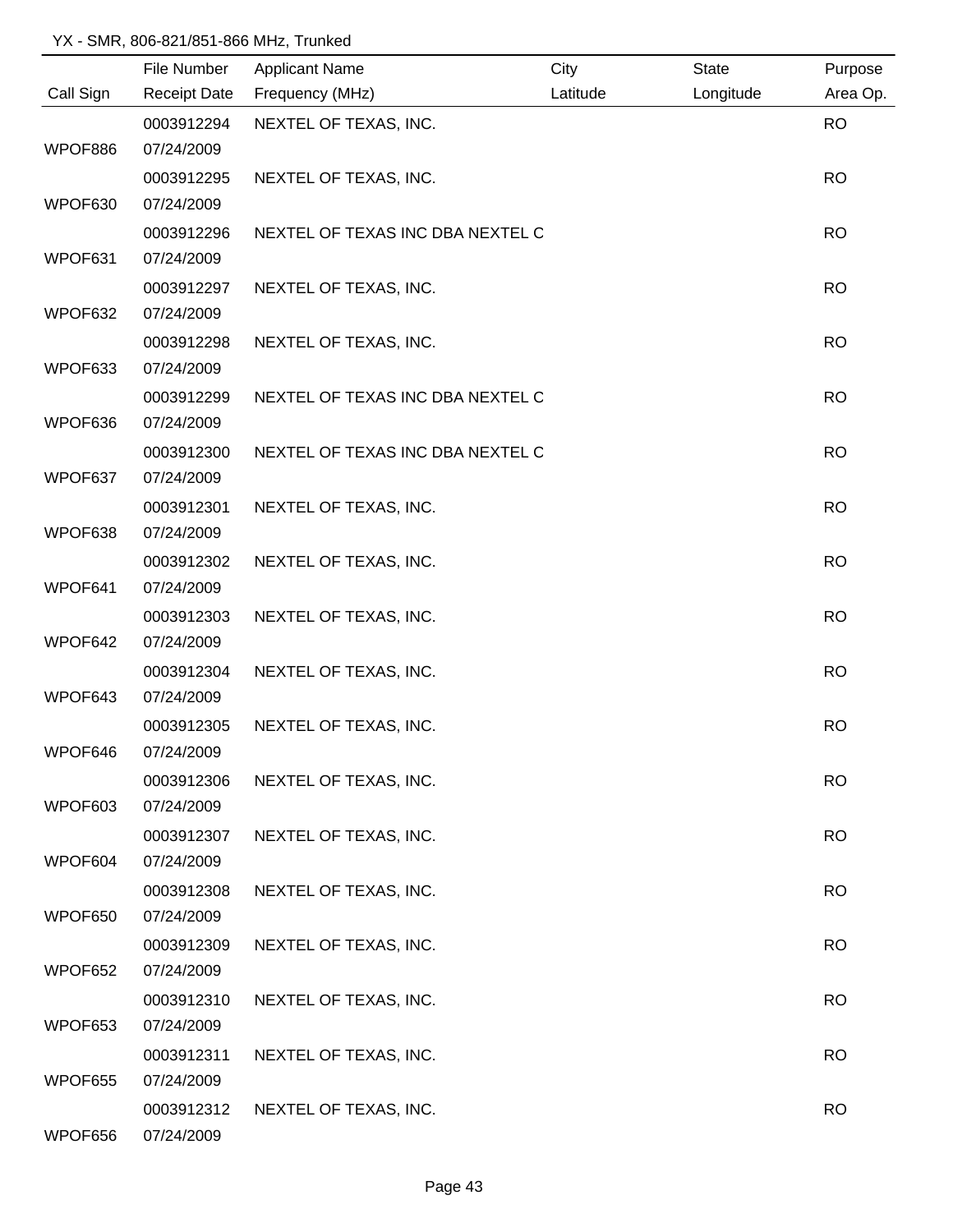|           | File Number         | <b>Applicant Name</b>            | City     | <b>State</b> | Purpose   |
|-----------|---------------------|----------------------------------|----------|--------------|-----------|
| Call Sign | <b>Receipt Date</b> | Frequency (MHz)                  | Latitude | Longitude    | Area Op.  |
|           | 0003912294          | NEXTEL OF TEXAS, INC.            |          |              | <b>RO</b> |
| WPOF886   | 07/24/2009          |                                  |          |              |           |
|           | 0003912295          | NEXTEL OF TEXAS, INC.            |          |              | <b>RO</b> |
| WPOF630   | 07/24/2009          |                                  |          |              |           |
|           | 0003912296          | NEXTEL OF TEXAS INC DBA NEXTEL C |          |              | <b>RO</b> |
| WPOF631   | 07/24/2009          |                                  |          |              |           |
|           | 0003912297          | NEXTEL OF TEXAS, INC.            |          |              | <b>RO</b> |
| WPOF632   | 07/24/2009          |                                  |          |              |           |
|           | 0003912298          | NEXTEL OF TEXAS, INC.            |          |              | <b>RO</b> |
| WPOF633   | 07/24/2009          |                                  |          |              |           |
|           | 0003912299          | NEXTEL OF TEXAS INC DBA NEXTEL C |          |              | <b>RO</b> |
| WPOF636   | 07/24/2009          |                                  |          |              |           |
|           | 0003912300          | NEXTEL OF TEXAS INC DBA NEXTEL C |          |              | <b>RO</b> |
| WPOF637   | 07/24/2009          |                                  |          |              |           |
|           | 0003912301          | NEXTEL OF TEXAS, INC.            |          |              | <b>RO</b> |
| WPOF638   | 07/24/2009          |                                  |          |              |           |
|           | 0003912302          | NEXTEL OF TEXAS, INC.            |          |              | <b>RO</b> |
| WPOF641   | 07/24/2009          |                                  |          |              |           |
|           | 0003912303          | NEXTEL OF TEXAS, INC.            |          |              | <b>RO</b> |
| WPOF642   | 07/24/2009          |                                  |          |              |           |
|           | 0003912304          | NEXTEL OF TEXAS, INC.            |          |              | <b>RO</b> |
| WPOF643   | 07/24/2009          |                                  |          |              |           |
|           | 0003912305          | NEXTEL OF TEXAS, INC.            |          |              | <b>RO</b> |
| WPOF646   | 07/24/2009          |                                  |          |              |           |
|           | 0003912306          | NEXTEL OF TEXAS, INC.            |          |              | <b>RO</b> |
| WPOF603   | 07/24/2009          |                                  |          |              |           |
|           | 0003912307          | NEXTEL OF TEXAS, INC.            |          |              | <b>RO</b> |
| WPOF604   | 07/24/2009          |                                  |          |              |           |
|           | 0003912308          | NEXTEL OF TEXAS, INC.            |          |              | <b>RO</b> |
| WPOF650   | 07/24/2009          |                                  |          |              |           |
|           | 0003912309          | NEXTEL OF TEXAS, INC.            |          |              | <b>RO</b> |
| WPOF652   | 07/24/2009          |                                  |          |              |           |
|           | 0003912310          | NEXTEL OF TEXAS, INC.            |          |              | <b>RO</b> |
| WPOF653   | 07/24/2009          |                                  |          |              |           |
|           | 0003912311          | NEXTEL OF TEXAS, INC.            |          |              | <b>RO</b> |
| WPOF655   | 07/24/2009          |                                  |          |              |           |
|           | 0003912312          | NEXTEL OF TEXAS, INC.            |          |              | <b>RO</b> |
| WPOF656   | 07/24/2009          |                                  |          |              |           |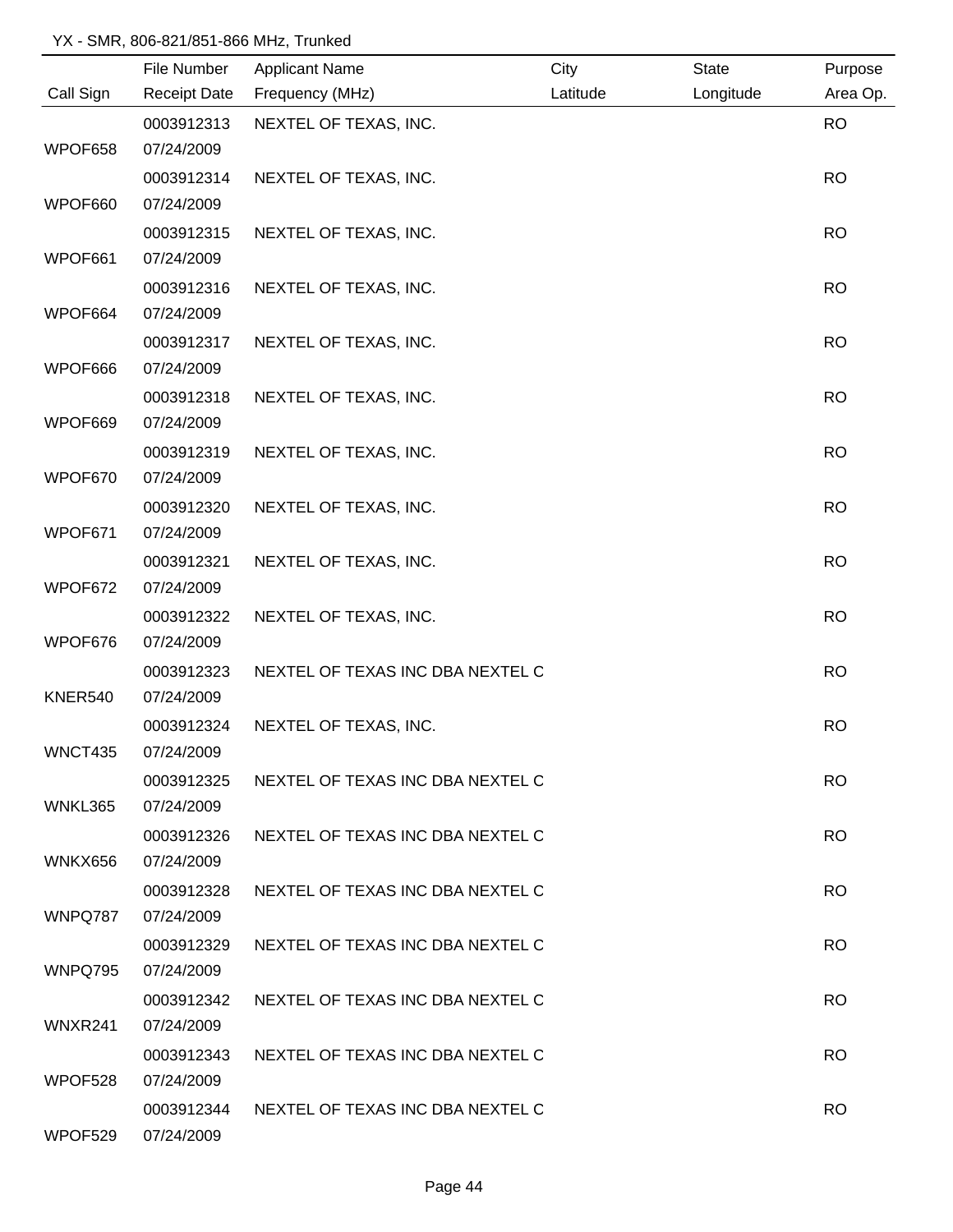|           | File Number         | <b>Applicant Name</b>                       | City     | State     | Purpose   |
|-----------|---------------------|---------------------------------------------|----------|-----------|-----------|
| Call Sign | <b>Receipt Date</b> | Frequency (MHz)                             | Latitude | Longitude | Area Op.  |
|           | 0003912313          | NEXTEL OF TEXAS, INC.                       |          |           | <b>RO</b> |
| WPOF658   | 07/24/2009          |                                             |          |           |           |
|           | 0003912314          | NEXTEL OF TEXAS, INC.                       |          |           | <b>RO</b> |
| WPOF660   | 07/24/2009          |                                             |          |           |           |
|           | 0003912315          | NEXTEL OF TEXAS, INC.                       |          |           | <b>RO</b> |
| WPOF661   | 07/24/2009          |                                             |          |           |           |
|           | 0003912316          | NEXTEL OF TEXAS, INC.                       |          |           | <b>RO</b> |
| WPOF664   | 07/24/2009          |                                             |          |           |           |
|           | 0003912317          | NEXTEL OF TEXAS, INC.                       |          |           | <b>RO</b> |
| WPOF666   | 07/24/2009          |                                             |          |           |           |
|           | 0003912318          | NEXTEL OF TEXAS, INC.                       |          |           | <b>RO</b> |
| WPOF669   | 07/24/2009          |                                             |          |           |           |
|           | 0003912319          | NEXTEL OF TEXAS, INC.                       |          |           | <b>RO</b> |
| WPOF670   | 07/24/2009          |                                             |          |           |           |
|           | 0003912320          | NEXTEL OF TEXAS, INC.                       |          |           | <b>RO</b> |
| WPOF671   | 07/24/2009          |                                             |          |           |           |
|           | 0003912321          | NEXTEL OF TEXAS, INC.                       |          |           | <b>RO</b> |
| WPOF672   | 07/24/2009          |                                             |          |           |           |
|           | 0003912322          | NEXTEL OF TEXAS, INC.                       |          |           | <b>RO</b> |
| WPOF676   | 07/24/2009          |                                             |          |           |           |
|           | 0003912323          | NEXTEL OF TEXAS INC DBA NEXTEL C            |          |           | <b>RO</b> |
| KNER540   | 07/24/2009          |                                             |          |           |           |
|           | 0003912324          | NEXTEL OF TEXAS, INC.                       |          |           | <b>RO</b> |
| WNCT435   | 07/24/2009          |                                             |          |           |           |
|           | 0003912325          | NEXTEL OF TEXAS INC DBA NEXTEL C            |          |           | <b>RO</b> |
| WNKL365   | 07/24/2009          |                                             |          |           |           |
|           | 0003912326          | NEXTEL OF TEXAS INC DBA NEXTEL C            |          |           | <b>RO</b> |
| WNKX656   | 07/24/2009          |                                             |          |           |           |
|           | 0003912328          | NEXTEL OF TEXAS INC DBA NEXTEL C            |          |           | <b>RO</b> |
| WNPQ787   | 07/24/2009          |                                             |          |           |           |
|           | 0003912329          | NEXTEL OF TEXAS INC DBA NEXTEL C            |          |           | <b>RO</b> |
| WNPQ795   | 07/24/2009          |                                             |          |           |           |
|           |                     | 0003912342 NEXTEL OF TEXAS INC DBA NEXTEL C |          |           | <b>RO</b> |
| WNXR241   | 07/24/2009          |                                             |          |           |           |
|           |                     | 0003912343 NEXTEL OF TEXAS INC DBA NEXTEL C |          |           | <b>RO</b> |
| WPOF528   | 07/24/2009          |                                             |          |           |           |
|           |                     | 0003912344 NEXTEL OF TEXAS INC DBA NEXTEL C |          |           | <b>RO</b> |
| WPOF529   | 07/24/2009          |                                             |          |           |           |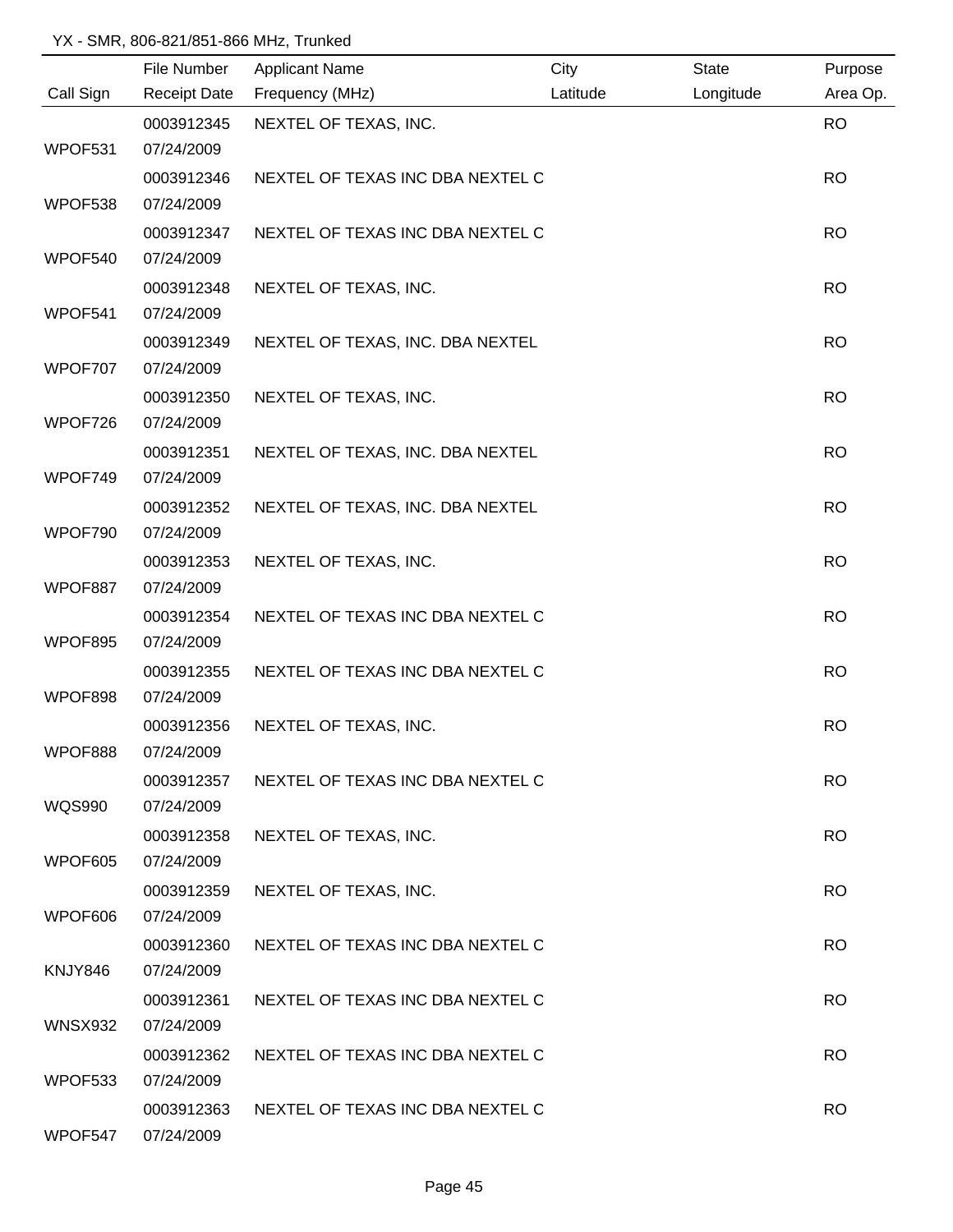|               | File Number              | <b>Applicant Name</b>            | City     | <b>State</b> | Purpose   |
|---------------|--------------------------|----------------------------------|----------|--------------|-----------|
| Call Sign     | <b>Receipt Date</b>      | Frequency (MHz)                  | Latitude | Longitude    | Area Op.  |
|               | 0003912345               | NEXTEL OF TEXAS, INC.            |          |              | <b>RO</b> |
| WPOF531       | 07/24/2009               |                                  |          |              |           |
|               | 0003912346               | NEXTEL OF TEXAS INC DBA NEXTEL C |          |              | <b>RO</b> |
| WPOF538       | 07/24/2009               |                                  |          |              |           |
|               | 0003912347               | NEXTEL OF TEXAS INC DBA NEXTEL C |          |              | <b>RO</b> |
| WPOF540       | 07/24/2009               |                                  |          |              |           |
|               | 0003912348               | NEXTEL OF TEXAS, INC.            |          |              | <b>RO</b> |
| WPOF541       | 07/24/2009               |                                  |          |              |           |
|               | 0003912349               | NEXTEL OF TEXAS, INC. DBA NEXTEL |          |              | <b>RO</b> |
| WPOF707       | 07/24/2009               |                                  |          |              |           |
|               | 0003912350               | NEXTEL OF TEXAS, INC.            |          |              | <b>RO</b> |
| WPOF726       | 07/24/2009               |                                  |          |              |           |
|               | 0003912351               | NEXTEL OF TEXAS, INC. DBA NEXTEL |          |              | <b>RO</b> |
| WPOF749       | 07/24/2009               |                                  |          |              |           |
|               | 0003912352               | NEXTEL OF TEXAS, INC. DBA NEXTEL |          |              | <b>RO</b> |
| WPOF790       | 07/24/2009               |                                  |          |              |           |
|               | 0003912353               | NEXTEL OF TEXAS, INC.            |          |              | <b>RO</b> |
| WPOF887       | 07/24/2009               |                                  |          |              |           |
|               | 0003912354               | NEXTEL OF TEXAS INC DBA NEXTEL C |          |              | <b>RO</b> |
| WPOF895       | 07/24/2009               |                                  |          |              |           |
|               | 0003912355               | NEXTEL OF TEXAS INC DBA NEXTEL C |          |              | <b>RO</b> |
| WPOF898       | 07/24/2009               |                                  |          |              |           |
|               | 0003912356               | NEXTEL OF TEXAS, INC.            |          |              | <b>RO</b> |
| WPOF888       | 07/24/2009               |                                  |          |              |           |
| <b>WQS990</b> | 0003912357<br>07/24/2009 | NEXTEL OF TEXAS INC DBA NEXTEL C |          |              | <b>RO</b> |
|               |                          |                                  |          |              |           |
| WPOF605       | 0003912358<br>07/24/2009 | NEXTEL OF TEXAS, INC.            |          |              | <b>RO</b> |
|               | 0003912359               | NEXTEL OF TEXAS, INC.            |          |              | <b>RO</b> |
| WPOF606       | 07/24/2009               |                                  |          |              |           |
|               | 0003912360               | NEXTEL OF TEXAS INC DBA NEXTEL C |          |              | <b>RO</b> |
| KNJY846       | 07/24/2009               |                                  |          |              |           |
|               | 0003912361               | NEXTEL OF TEXAS INC DBA NEXTEL C |          |              | <b>RO</b> |
| WNSX932       | 07/24/2009               |                                  |          |              |           |
|               | 0003912362               | NEXTEL OF TEXAS INC DBA NEXTEL C |          |              | <b>RO</b> |
| WPOF533       | 07/24/2009               |                                  |          |              |           |
|               | 0003912363               | NEXTEL OF TEXAS INC DBA NEXTEL C |          |              | <b>RO</b> |
| WPOF547       | 07/24/2009               |                                  |          |              |           |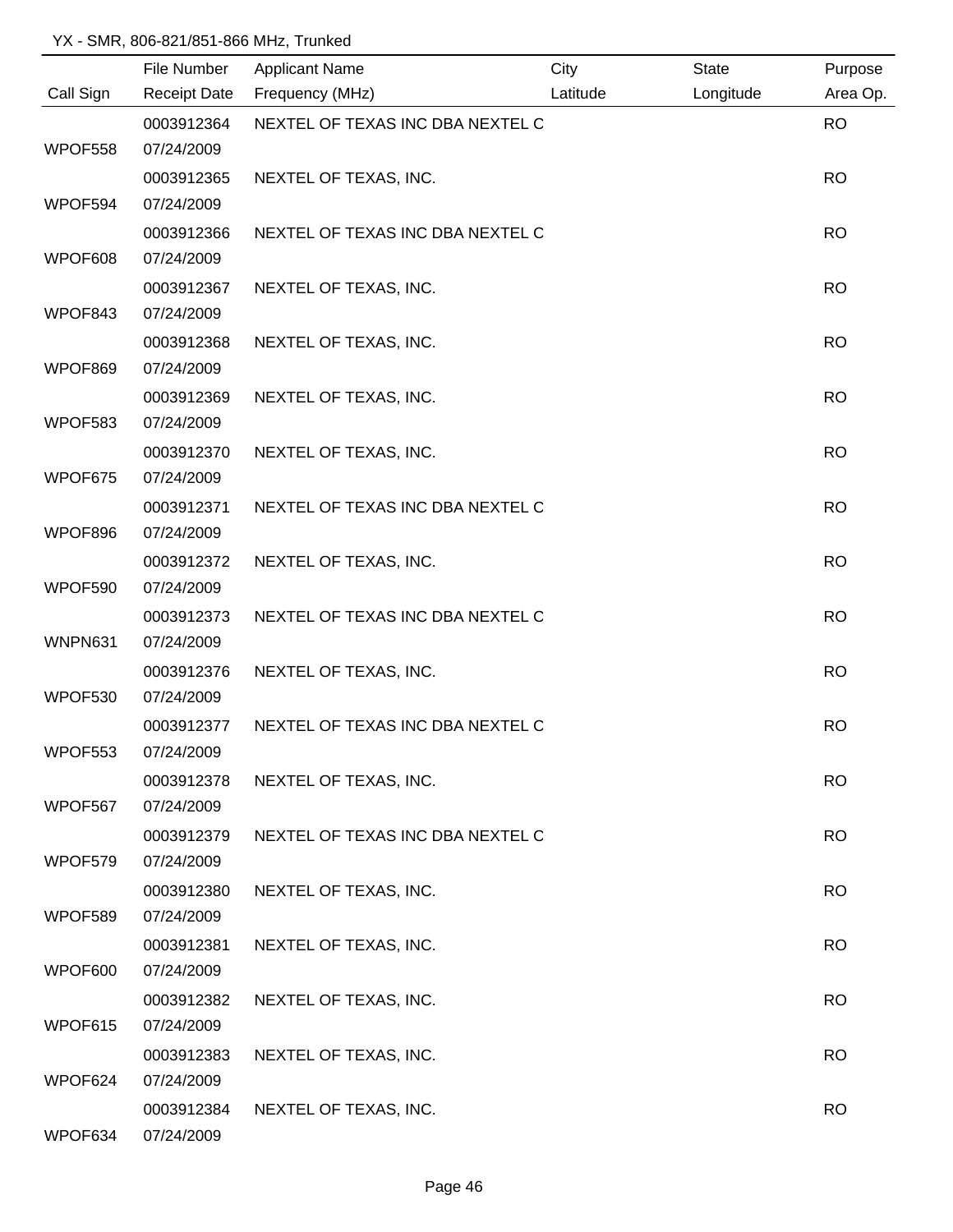|                | File Number              | <b>Applicant Name</b>            | City     | State     | Purpose   |
|----------------|--------------------------|----------------------------------|----------|-----------|-----------|
| Call Sign      | <b>Receipt Date</b>      | Frequency (MHz)                  | Latitude | Longitude | Area Op.  |
|                | 0003912364               | NEXTEL OF TEXAS INC DBA NEXTEL C |          |           | <b>RO</b> |
| WPOF558        | 07/24/2009               |                                  |          |           |           |
|                | 0003912365               | NEXTEL OF TEXAS, INC.            |          |           | <b>RO</b> |
| WPOF594        | 07/24/2009               |                                  |          |           |           |
|                | 0003912366               | NEXTEL OF TEXAS INC DBA NEXTEL C |          |           | <b>RO</b> |
| WPOF608        | 07/24/2009               |                                  |          |           |           |
|                | 0003912367               | NEXTEL OF TEXAS, INC.            |          |           | <b>RO</b> |
| WPOF843        | 07/24/2009               |                                  |          |           |           |
|                | 0003912368               | NEXTEL OF TEXAS, INC.            |          |           | <b>RO</b> |
| WPOF869        | 07/24/2009               |                                  |          |           |           |
|                | 0003912369               | NEXTEL OF TEXAS, INC.            |          |           | <b>RO</b> |
| WPOF583        | 07/24/2009               |                                  |          |           |           |
|                | 0003912370               | NEXTEL OF TEXAS, INC.            |          |           | <b>RO</b> |
| WPOF675        | 07/24/2009               |                                  |          |           |           |
|                | 0003912371               | NEXTEL OF TEXAS INC DBA NEXTEL C |          |           | <b>RO</b> |
| WPOF896        | 07/24/2009               |                                  |          |           |           |
|                | 0003912372               | NEXTEL OF TEXAS, INC.            |          |           | <b>RO</b> |
| WPOF590        | 07/24/2009               |                                  |          |           |           |
|                | 0003912373               | NEXTEL OF TEXAS INC DBA NEXTEL C |          |           | <b>RO</b> |
| <b>WNPN631</b> | 07/24/2009               |                                  |          |           |           |
| WPOF530        | 0003912376               | NEXTEL OF TEXAS, INC.            |          |           | <b>RO</b> |
|                | 07/24/2009               |                                  |          |           |           |
| WPOF553        | 0003912377<br>07/24/2009 | NEXTEL OF TEXAS INC DBA NEXTEL C |          |           | <b>RO</b> |
|                |                          |                                  |          |           |           |
| WPOF567        | 0003912378<br>07/24/2009 | NEXTEL OF TEXAS, INC.            |          |           | <b>RO</b> |
|                | 0003912379               | NEXTEL OF TEXAS INC DBA NEXTEL C |          |           | <b>RO</b> |
| WPOF579        | 07/24/2009               |                                  |          |           |           |
|                | 0003912380               | NEXTEL OF TEXAS, INC.            |          |           | <b>RO</b> |
| WPOF589        | 07/24/2009               |                                  |          |           |           |
|                | 0003912381               | NEXTEL OF TEXAS, INC.            |          |           | <b>RO</b> |
| WPOF600        | 07/24/2009               |                                  |          |           |           |
|                | 0003912382               | NEXTEL OF TEXAS, INC.            |          |           | <b>RO</b> |
| WPOF615        | 07/24/2009               |                                  |          |           |           |
|                | 0003912383               | NEXTEL OF TEXAS, INC.            |          |           | <b>RO</b> |
| WPOF624        | 07/24/2009               |                                  |          |           |           |
|                | 0003912384               | NEXTEL OF TEXAS, INC.            |          |           | <b>RO</b> |
| WPOF634        | 07/24/2009               |                                  |          |           |           |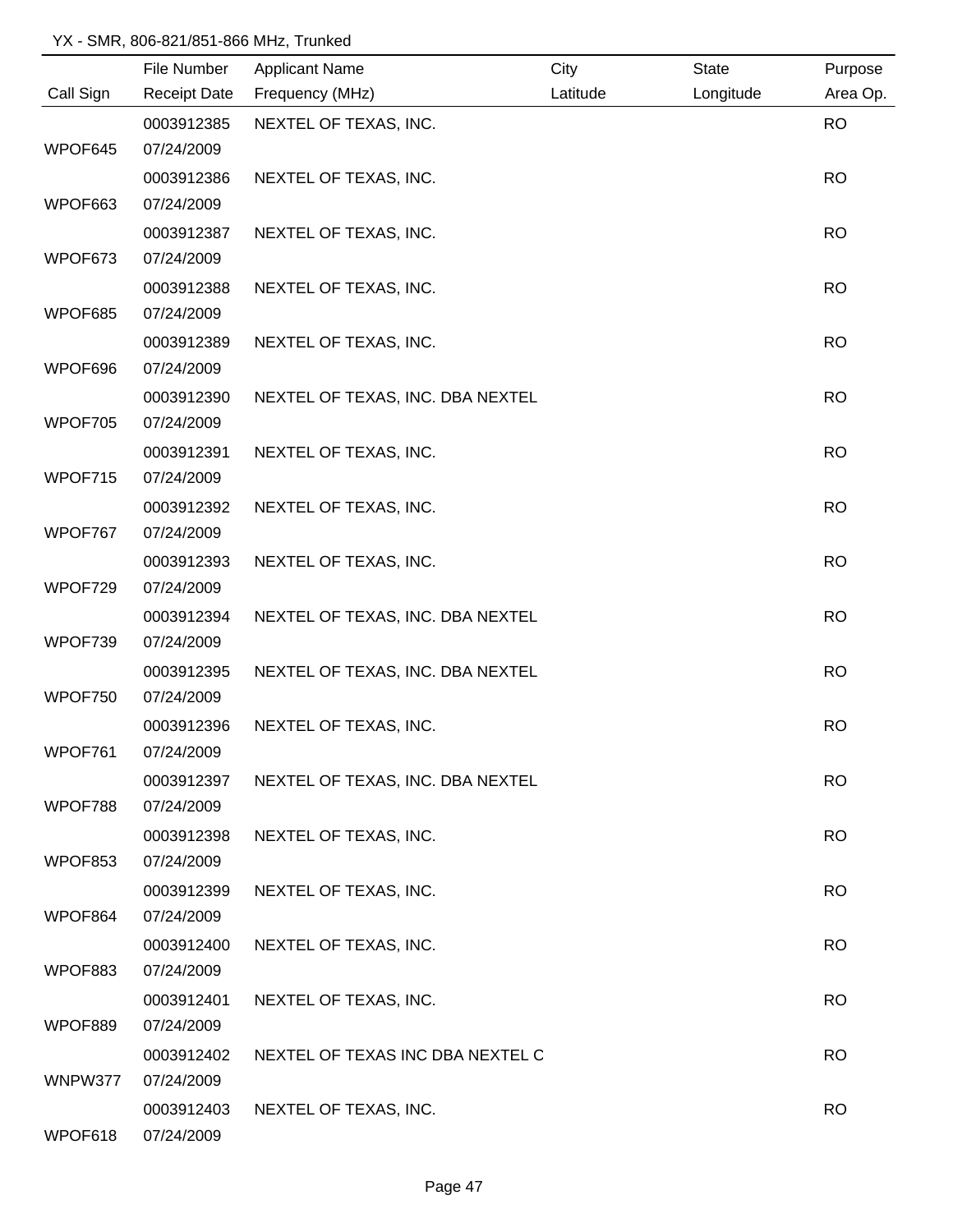|           | File Number         | <b>Applicant Name</b>            | City     | <b>State</b> | Purpose   |
|-----------|---------------------|----------------------------------|----------|--------------|-----------|
| Call Sign | <b>Receipt Date</b> | Frequency (MHz)                  | Latitude | Longitude    | Area Op.  |
|           | 0003912385          | NEXTEL OF TEXAS, INC.            |          |              | <b>RO</b> |
| WPOF645   | 07/24/2009          |                                  |          |              |           |
|           | 0003912386          | NEXTEL OF TEXAS, INC.            |          |              | <b>RO</b> |
| WPOF663   | 07/24/2009          |                                  |          |              |           |
|           | 0003912387          | NEXTEL OF TEXAS, INC.            |          |              | <b>RO</b> |
| WPOF673   | 07/24/2009          |                                  |          |              |           |
|           | 0003912388          | NEXTEL OF TEXAS, INC.            |          |              | <b>RO</b> |
| WPOF685   | 07/24/2009          |                                  |          |              |           |
|           | 0003912389          | NEXTEL OF TEXAS, INC.            |          |              | <b>RO</b> |
| WPOF696   | 07/24/2009          |                                  |          |              |           |
|           | 0003912390          | NEXTEL OF TEXAS, INC. DBA NEXTEL |          |              | <b>RO</b> |
| WPOF705   | 07/24/2009          |                                  |          |              |           |
|           | 0003912391          | NEXTEL OF TEXAS, INC.            |          |              | <b>RO</b> |
| WPOF715   | 07/24/2009          |                                  |          |              |           |
|           | 0003912392          | NEXTEL OF TEXAS, INC.            |          |              | <b>RO</b> |
| WPOF767   | 07/24/2009          |                                  |          |              |           |
|           | 0003912393          | NEXTEL OF TEXAS, INC.            |          |              | <b>RO</b> |
| WPOF729   | 07/24/2009          |                                  |          |              |           |
|           | 0003912394          | NEXTEL OF TEXAS, INC. DBA NEXTEL |          |              | <b>RO</b> |
| WPOF739   | 07/24/2009          |                                  |          |              |           |
|           | 0003912395          | NEXTEL OF TEXAS, INC. DBA NEXTEL |          |              | <b>RO</b> |
| WPOF750   | 07/24/2009          |                                  |          |              |           |
|           | 0003912396          | NEXTEL OF TEXAS, INC.            |          |              | <b>RO</b> |
| WPOF761   | 07/24/2009          |                                  |          |              |           |
|           | 0003912397          | NEXTEL OF TEXAS, INC. DBA NEXTEL |          |              | <b>RO</b> |
| WPOF788   | 07/24/2009          |                                  |          |              |           |
|           | 0003912398          | NEXTEL OF TEXAS, INC.            |          |              | <b>RO</b> |
| WPOF853   | 07/24/2009          |                                  |          |              |           |
|           | 0003912399          | NEXTEL OF TEXAS, INC.            |          |              | <b>RO</b> |
| WPOF864   | 07/24/2009          |                                  |          |              |           |
|           | 0003912400          | NEXTEL OF TEXAS, INC.            |          |              | <b>RO</b> |
| WPOF883   | 07/24/2009          |                                  |          |              |           |
|           | 0003912401          | NEXTEL OF TEXAS, INC.            |          |              | <b>RO</b> |
| WPOF889   | 07/24/2009          |                                  |          |              |           |
|           | 0003912402          | NEXTEL OF TEXAS INC DBA NEXTEL C |          |              | <b>RO</b> |
| WNPW377   | 07/24/2009          |                                  |          |              |           |
|           | 0003912403          | NEXTEL OF TEXAS, INC.            |          |              | <b>RO</b> |
| WPOF618   | 07/24/2009          |                                  |          |              |           |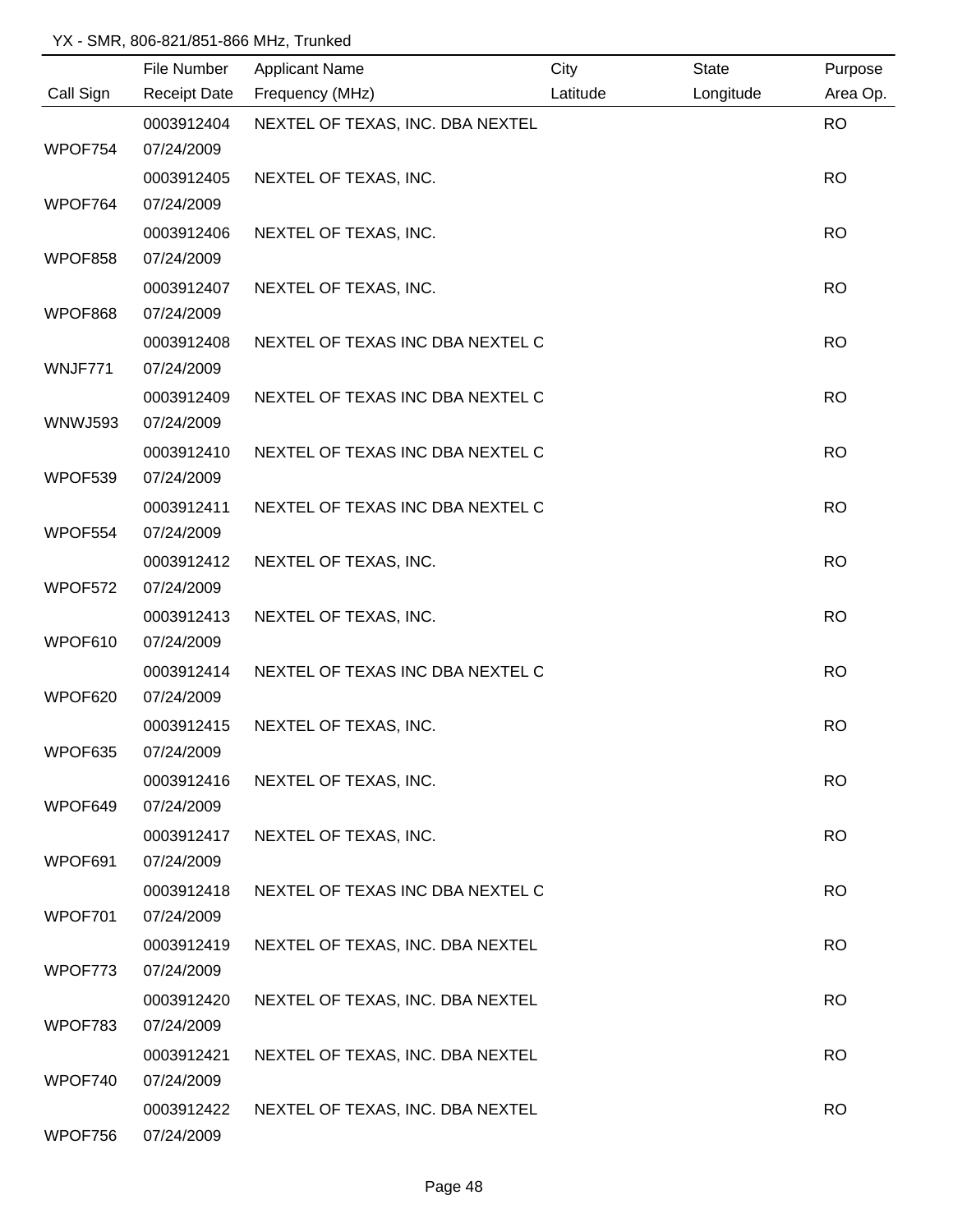|                | File Number         | <b>Applicant Name</b>            | City     | <b>State</b> | Purpose   |
|----------------|---------------------|----------------------------------|----------|--------------|-----------|
| Call Sign      | <b>Receipt Date</b> | Frequency (MHz)                  | Latitude | Longitude    | Area Op.  |
|                | 0003912404          | NEXTEL OF TEXAS, INC. DBA NEXTEL |          |              | <b>RO</b> |
| WPOF754        | 07/24/2009          |                                  |          |              |           |
|                | 0003912405          | NEXTEL OF TEXAS, INC.            |          |              | <b>RO</b> |
| WPOF764        | 07/24/2009          |                                  |          |              |           |
|                | 0003912406          | NEXTEL OF TEXAS, INC.            |          |              | <b>RO</b> |
| WPOF858        | 07/24/2009          |                                  |          |              |           |
|                | 0003912407          | NEXTEL OF TEXAS, INC.            |          |              | <b>RO</b> |
| WPOF868        | 07/24/2009          |                                  |          |              |           |
|                | 0003912408          | NEXTEL OF TEXAS INC DBA NEXTEL C |          |              | <b>RO</b> |
| WNJF771        | 07/24/2009          |                                  |          |              |           |
|                | 0003912409          | NEXTEL OF TEXAS INC DBA NEXTEL C |          |              | <b>RO</b> |
| <b>WNWJ593</b> | 07/24/2009          |                                  |          |              |           |
|                | 0003912410          | NEXTEL OF TEXAS INC DBA NEXTEL C |          |              | <b>RO</b> |
| WPOF539        | 07/24/2009          |                                  |          |              |           |
|                | 0003912411          | NEXTEL OF TEXAS INC DBA NEXTEL C |          |              | <b>RO</b> |
| WPOF554        | 07/24/2009          |                                  |          |              |           |
|                | 0003912412          | NEXTEL OF TEXAS, INC.            |          |              | <b>RO</b> |
| WPOF572        | 07/24/2009          |                                  |          |              |           |
|                | 0003912413          | NEXTEL OF TEXAS, INC.            |          |              | <b>RO</b> |
| WPOF610        | 07/24/2009          |                                  |          |              |           |
|                | 0003912414          | NEXTEL OF TEXAS INC DBA NEXTEL C |          |              | <b>RO</b> |
| WPOF620        | 07/24/2009          |                                  |          |              |           |
|                | 0003912415          | NEXTEL OF TEXAS, INC.            |          |              | <b>RO</b> |
| WPOF635        | 07/24/2009          |                                  |          |              |           |
|                | 0003912416          | NEXTEL OF TEXAS, INC.            |          |              | <b>RO</b> |
| WPOF649        | 07/24/2009          |                                  |          |              |           |
|                | 0003912417          | NEXTEL OF TEXAS, INC.            |          |              | <b>RO</b> |
| WPOF691        | 07/24/2009          |                                  |          |              |           |
|                | 0003912418          | NEXTEL OF TEXAS INC DBA NEXTEL C |          |              | <b>RO</b> |
| WPOF701        | 07/24/2009          |                                  |          |              |           |
|                | 0003912419          | NEXTEL OF TEXAS, INC. DBA NEXTEL |          |              | <b>RO</b> |
| WPOF773        | 07/24/2009          |                                  |          |              |           |
|                | 0003912420          | NEXTEL OF TEXAS, INC. DBA NEXTEL |          |              | <b>RO</b> |
| WPOF783        | 07/24/2009          |                                  |          |              |           |
|                | 0003912421          | NEXTEL OF TEXAS, INC. DBA NEXTEL |          |              | <b>RO</b> |
| WPOF740        | 07/24/2009          |                                  |          |              |           |
|                | 0003912422          | NEXTEL OF TEXAS, INC. DBA NEXTEL |          |              | <b>RO</b> |
| WPOF756        | 07/24/2009          |                                  |          |              |           |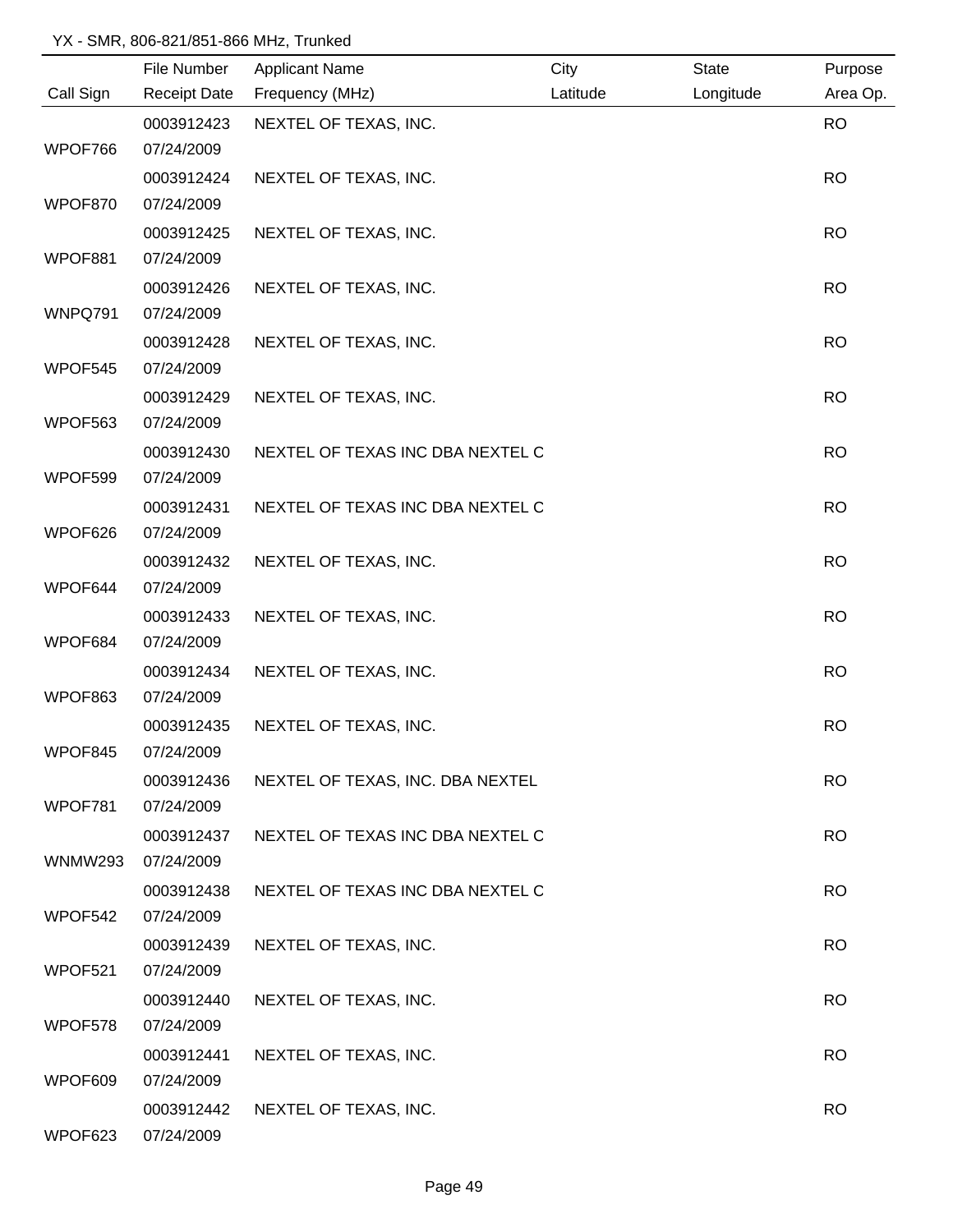|                | File Number         | <b>Applicant Name</b>            | City     | <b>State</b> | Purpose   |
|----------------|---------------------|----------------------------------|----------|--------------|-----------|
| Call Sign      | <b>Receipt Date</b> | Frequency (MHz)                  | Latitude | Longitude    | Area Op.  |
|                | 0003912423          | NEXTEL OF TEXAS, INC.            |          |              | <b>RO</b> |
| WPOF766        | 07/24/2009          |                                  |          |              |           |
|                | 0003912424          | NEXTEL OF TEXAS, INC.            |          |              | <b>RO</b> |
| WPOF870        | 07/24/2009          |                                  |          |              |           |
|                | 0003912425          | NEXTEL OF TEXAS, INC.            |          |              | <b>RO</b> |
| WPOF881        | 07/24/2009          |                                  |          |              |           |
|                | 0003912426          | NEXTEL OF TEXAS, INC.            |          |              | <b>RO</b> |
| WNPQ791        | 07/24/2009          |                                  |          |              |           |
|                | 0003912428          | NEXTEL OF TEXAS, INC.            |          |              | <b>RO</b> |
| WPOF545        | 07/24/2009          |                                  |          |              |           |
|                | 0003912429          | NEXTEL OF TEXAS, INC.            |          |              | <b>RO</b> |
| WPOF563        | 07/24/2009          |                                  |          |              |           |
|                | 0003912430          | NEXTEL OF TEXAS INC DBA NEXTEL C |          |              | <b>RO</b> |
| WPOF599        | 07/24/2009          |                                  |          |              |           |
|                | 0003912431          | NEXTEL OF TEXAS INC DBA NEXTEL C |          |              | <b>RO</b> |
| WPOF626        | 07/24/2009          |                                  |          |              |           |
|                | 0003912432          | NEXTEL OF TEXAS, INC.            |          |              | <b>RO</b> |
| WPOF644        | 07/24/2009          |                                  |          |              |           |
|                | 0003912433          | NEXTEL OF TEXAS, INC.            |          |              | <b>RO</b> |
| WPOF684        | 07/24/2009          |                                  |          |              |           |
|                | 0003912434          | NEXTEL OF TEXAS, INC.            |          |              | <b>RO</b> |
| WPOF863        | 07/24/2009          |                                  |          |              |           |
|                | 0003912435          | NEXTEL OF TEXAS, INC.            |          |              | <b>RO</b> |
| WPOF845        | 07/24/2009          |                                  |          |              |           |
|                | 0003912436          | NEXTEL OF TEXAS, INC. DBA NEXTEL |          |              | <b>RO</b> |
| WPOF781        | 07/24/2009          |                                  |          |              |           |
|                | 0003912437          | NEXTEL OF TEXAS INC DBA NEXTEL C |          |              | <b>RO</b> |
| <b>WNMW293</b> | 07/24/2009          |                                  |          |              |           |
|                | 0003912438          | NEXTEL OF TEXAS INC DBA NEXTEL C |          |              | <b>RO</b> |
| WPOF542        | 07/24/2009          |                                  |          |              |           |
|                | 0003912439          | NEXTEL OF TEXAS, INC.            |          |              | <b>RO</b> |
| WPOF521        | 07/24/2009          |                                  |          |              |           |
|                | 0003912440          | NEXTEL OF TEXAS, INC.            |          |              | <b>RO</b> |
| WPOF578        | 07/24/2009          |                                  |          |              |           |
|                | 0003912441          | NEXTEL OF TEXAS, INC.            |          |              | <b>RO</b> |
| WPOF609        | 07/24/2009          |                                  |          |              |           |
|                | 0003912442          | NEXTEL OF TEXAS, INC.            |          |              | <b>RO</b> |
| WPOF623        | 07/24/2009          |                                  |          |              |           |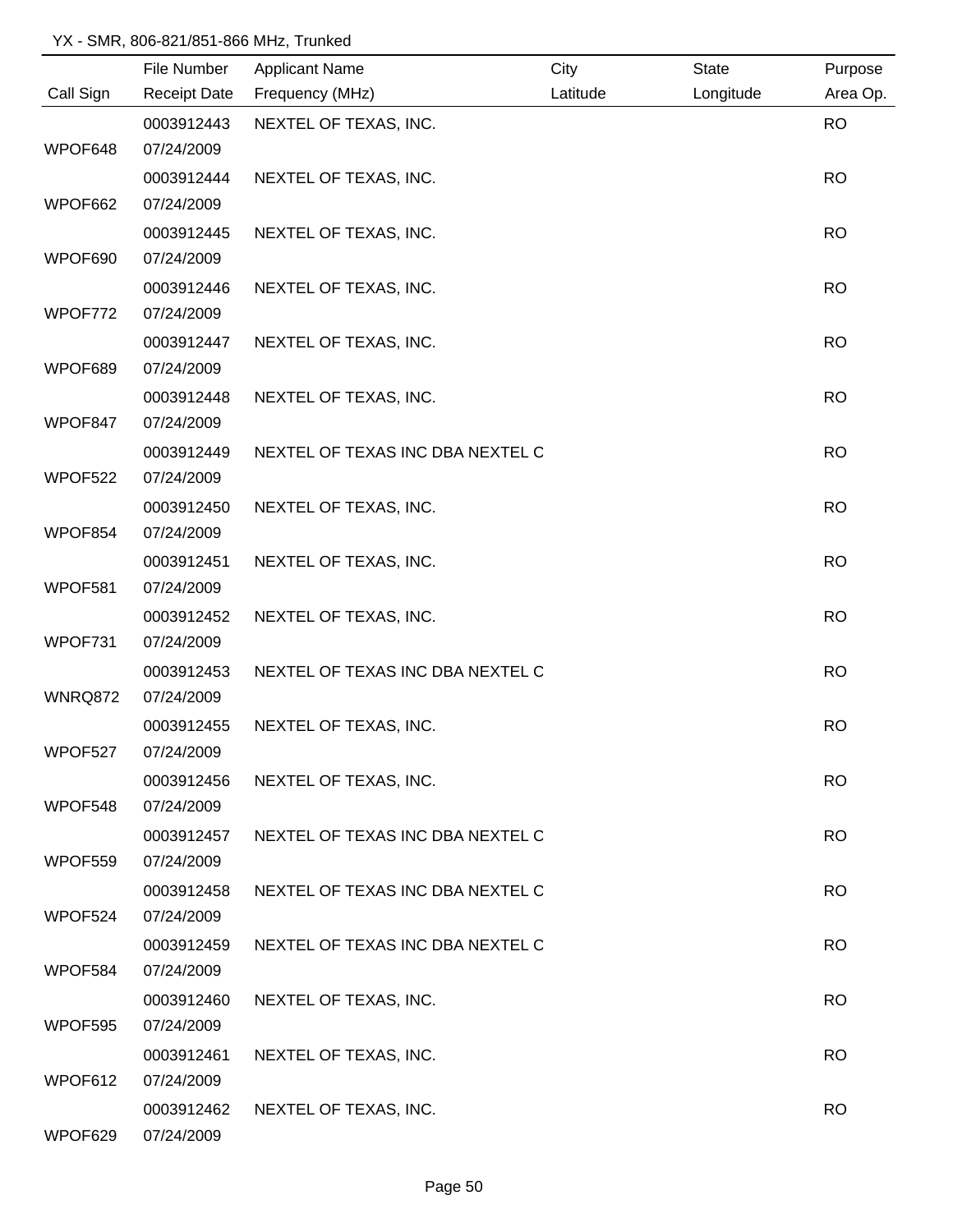|                | File Number         | <b>Applicant Name</b>            | City     | <b>State</b> | Purpose   |
|----------------|---------------------|----------------------------------|----------|--------------|-----------|
| Call Sign      | <b>Receipt Date</b> | Frequency (MHz)                  | Latitude | Longitude    | Area Op.  |
|                | 0003912443          | NEXTEL OF TEXAS, INC.            |          |              | <b>RO</b> |
| WPOF648        | 07/24/2009          |                                  |          |              |           |
|                | 0003912444          | NEXTEL OF TEXAS, INC.            |          |              | <b>RO</b> |
| WPOF662        | 07/24/2009          |                                  |          |              |           |
|                | 0003912445          | NEXTEL OF TEXAS, INC.            |          |              | <b>RO</b> |
| WPOF690        | 07/24/2009          |                                  |          |              |           |
|                | 0003912446          | NEXTEL OF TEXAS, INC.            |          |              | <b>RO</b> |
| WPOF772        | 07/24/2009          |                                  |          |              |           |
|                | 0003912447          | NEXTEL OF TEXAS, INC.            |          |              | <b>RO</b> |
| WPOF689        | 07/24/2009          |                                  |          |              |           |
|                | 0003912448          | NEXTEL OF TEXAS, INC.            |          |              | <b>RO</b> |
| WPOF847        | 07/24/2009          |                                  |          |              |           |
|                | 0003912449          | NEXTEL OF TEXAS INC DBA NEXTEL C |          |              | <b>RO</b> |
| WPOF522        | 07/24/2009          |                                  |          |              |           |
|                | 0003912450          | NEXTEL OF TEXAS, INC.            |          |              | <b>RO</b> |
| WPOF854        | 07/24/2009          |                                  |          |              |           |
|                | 0003912451          | NEXTEL OF TEXAS, INC.            |          |              | <b>RO</b> |
| WPOF581        | 07/24/2009          |                                  |          |              |           |
|                | 0003912452          | NEXTEL OF TEXAS, INC.            |          |              | <b>RO</b> |
| WPOF731        | 07/24/2009          |                                  |          |              |           |
|                | 0003912453          | NEXTEL OF TEXAS INC DBA NEXTEL C |          |              | <b>RO</b> |
| <b>WNRQ872</b> | 07/24/2009          |                                  |          |              |           |
|                | 0003912455          | NEXTEL OF TEXAS, INC.            |          |              | <b>RO</b> |
| WPOF527        | 07/24/2009          |                                  |          |              |           |
|                | 0003912456          | NEXTEL OF TEXAS, INC.            |          |              | <b>RO</b> |
| WPOF548        | 07/24/2009          |                                  |          |              |           |
|                | 0003912457          | NEXTEL OF TEXAS INC DBA NEXTEL C |          |              | <b>RO</b> |
| WPOF559        | 07/24/2009          |                                  |          |              |           |
|                | 0003912458          | NEXTEL OF TEXAS INC DBA NEXTEL C |          |              | <b>RO</b> |
| WPOF524        | 07/24/2009          |                                  |          |              |           |
|                | 0003912459          | NEXTEL OF TEXAS INC DBA NEXTEL C |          |              | <b>RO</b> |
| WPOF584        | 07/24/2009          |                                  |          |              |           |
|                | 0003912460          | NEXTEL OF TEXAS, INC.            |          |              | <b>RO</b> |
| WPOF595        | 07/24/2009          |                                  |          |              |           |
|                | 0003912461          | NEXTEL OF TEXAS, INC.            |          |              | <b>RO</b> |
| WPOF612        | 07/24/2009          |                                  |          |              |           |
|                | 0003912462          | NEXTEL OF TEXAS, INC.            |          |              | <b>RO</b> |
| WPOF629        | 07/24/2009          |                                  |          |              |           |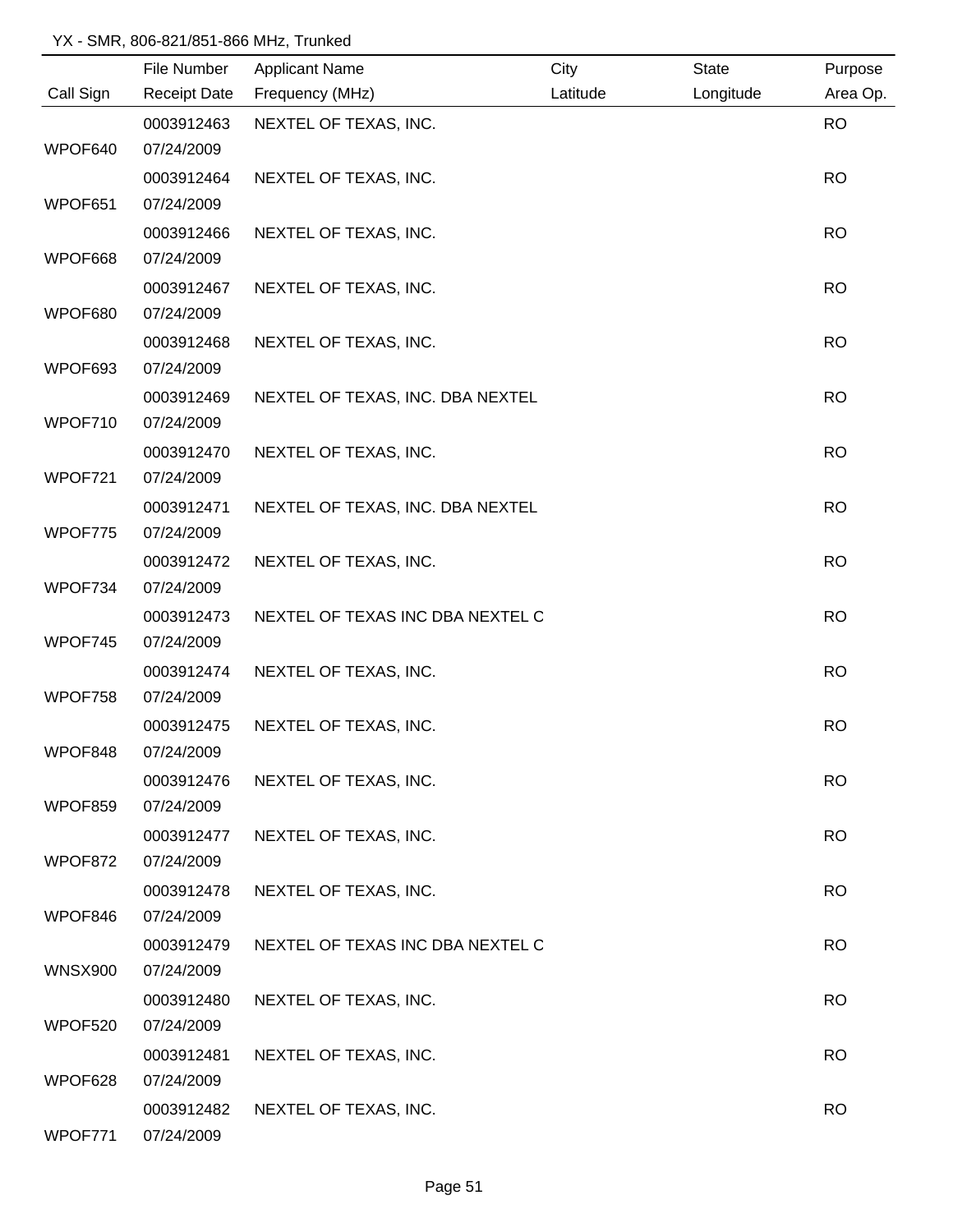|                | File Number         | <b>Applicant Name</b>            | City     | State     | Purpose   |
|----------------|---------------------|----------------------------------|----------|-----------|-----------|
| Call Sign      | <b>Receipt Date</b> | Frequency (MHz)                  | Latitude | Longitude | Area Op.  |
|                | 0003912463          | NEXTEL OF TEXAS, INC.            |          |           | <b>RO</b> |
| WPOF640        | 07/24/2009          |                                  |          |           |           |
|                | 0003912464          | NEXTEL OF TEXAS, INC.            |          |           | <b>RO</b> |
| WPOF651        | 07/24/2009          |                                  |          |           |           |
|                | 0003912466          | NEXTEL OF TEXAS, INC.            |          |           | <b>RO</b> |
| WPOF668        | 07/24/2009          |                                  |          |           |           |
|                | 0003912467          | NEXTEL OF TEXAS, INC.            |          |           | <b>RO</b> |
| WPOF680        | 07/24/2009          |                                  |          |           |           |
|                | 0003912468          | NEXTEL OF TEXAS, INC.            |          |           | <b>RO</b> |
| WPOF693        | 07/24/2009          |                                  |          |           |           |
|                | 0003912469          | NEXTEL OF TEXAS, INC. DBA NEXTEL |          |           | <b>RO</b> |
| WPOF710        | 07/24/2009          |                                  |          |           |           |
|                | 0003912470          | NEXTEL OF TEXAS, INC.            |          |           | <b>RO</b> |
| WPOF721        | 07/24/2009          |                                  |          |           |           |
|                | 0003912471          | NEXTEL OF TEXAS, INC. DBA NEXTEL |          |           | <b>RO</b> |
| WPOF775        | 07/24/2009          |                                  |          |           |           |
|                | 0003912472          | NEXTEL OF TEXAS, INC.            |          |           | <b>RO</b> |
| WPOF734        | 07/24/2009          |                                  |          |           |           |
|                | 0003912473          | NEXTEL OF TEXAS INC DBA NEXTEL C |          |           | <b>RO</b> |
| WPOF745        | 07/24/2009          |                                  |          |           |           |
|                | 0003912474          | NEXTEL OF TEXAS, INC.            |          |           | <b>RO</b> |
| WPOF758        | 07/24/2009          |                                  |          |           |           |
|                | 0003912475          | NEXTEL OF TEXAS, INC.            |          |           | <b>RO</b> |
| WPOF848        | 07/24/2009          |                                  |          |           |           |
|                | 0003912476          | NEXTEL OF TEXAS, INC.            |          |           | <b>RO</b> |
| WPOF859        | 07/24/2009          |                                  |          |           |           |
|                | 0003912477          | NEXTEL OF TEXAS, INC.            |          |           | <b>RO</b> |
| WPOF872        | 07/24/2009          |                                  |          |           |           |
|                | 0003912478          | NEXTEL OF TEXAS, INC.            |          |           | <b>RO</b> |
| WPOF846        | 07/24/2009          |                                  |          |           |           |
|                | 0003912479          | NEXTEL OF TEXAS INC DBA NEXTEL C |          |           | <b>RO</b> |
| <b>WNSX900</b> | 07/24/2009          |                                  |          |           |           |
|                | 0003912480          | NEXTEL OF TEXAS, INC.            |          |           | <b>RO</b> |
| WPOF520        | 07/24/2009          |                                  |          |           |           |
|                | 0003912481          | NEXTEL OF TEXAS, INC.            |          |           | <b>RO</b> |
| WPOF628        | 07/24/2009          |                                  |          |           |           |
|                | 0003912482          | NEXTEL OF TEXAS, INC.            |          |           | <b>RO</b> |
| WPOF771        | 07/24/2009          |                                  |          |           |           |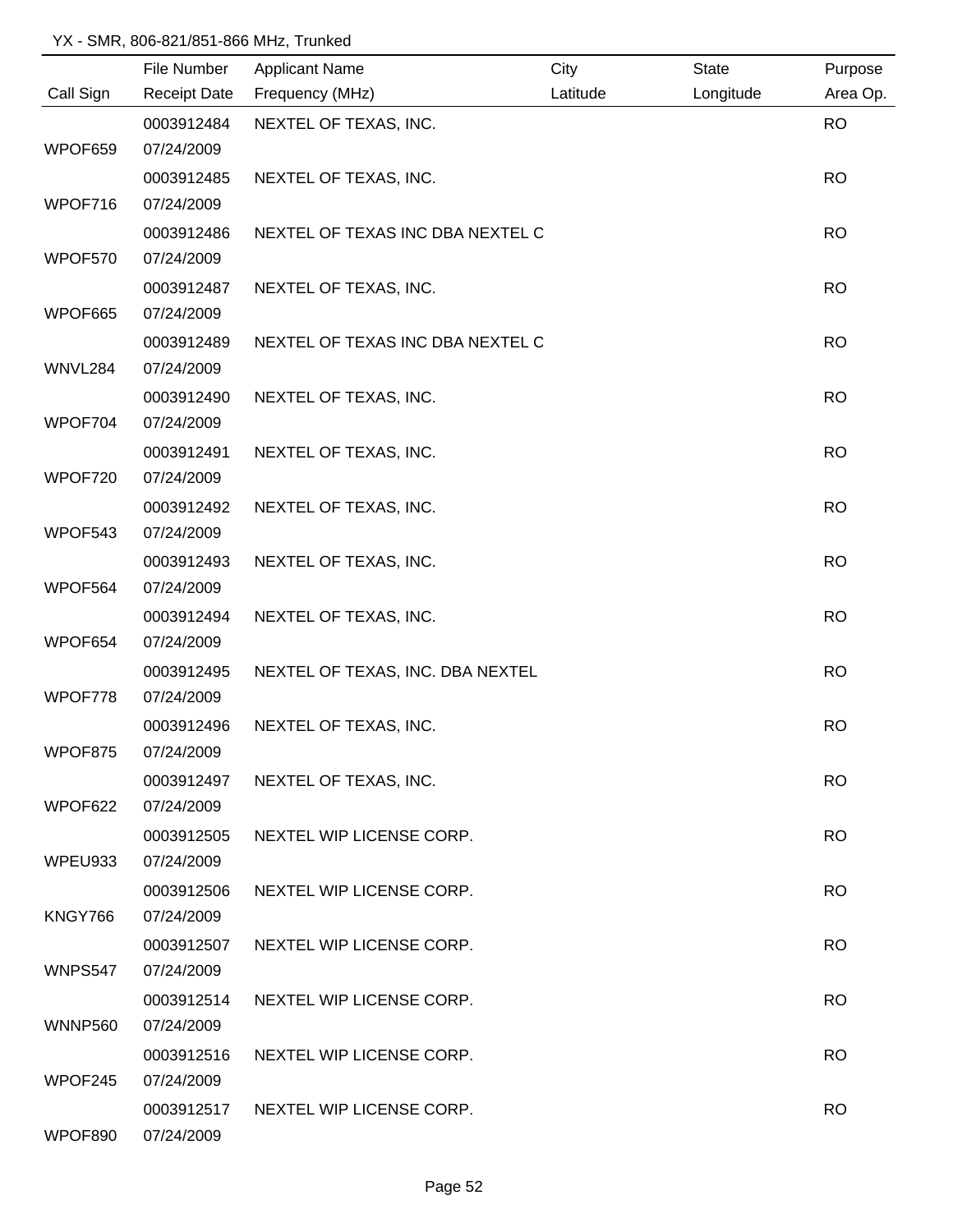|                | File Number         | <b>Applicant Name</b>            | City     | State     | Purpose   |
|----------------|---------------------|----------------------------------|----------|-----------|-----------|
| Call Sign      | <b>Receipt Date</b> | Frequency (MHz)                  | Latitude | Longitude | Area Op.  |
|                | 0003912484          | NEXTEL OF TEXAS, INC.            |          |           | <b>RO</b> |
| WPOF659        | 07/24/2009          |                                  |          |           |           |
|                | 0003912485          | NEXTEL OF TEXAS, INC.            |          |           | <b>RO</b> |
| WPOF716        | 07/24/2009          |                                  |          |           |           |
|                | 0003912486          | NEXTEL OF TEXAS INC DBA NEXTEL C |          |           | <b>RO</b> |
| WPOF570        | 07/24/2009          |                                  |          |           |           |
|                | 0003912487          | NEXTEL OF TEXAS, INC.            |          |           | <b>RO</b> |
| WPOF665        | 07/24/2009          |                                  |          |           |           |
|                | 0003912489          | NEXTEL OF TEXAS INC DBA NEXTEL C |          |           | <b>RO</b> |
| WNVL284        | 07/24/2009          |                                  |          |           |           |
|                | 0003912490          | NEXTEL OF TEXAS, INC.            |          |           | <b>RO</b> |
| WPOF704        | 07/24/2009          |                                  |          |           |           |
|                | 0003912491          | NEXTEL OF TEXAS, INC.            |          |           | <b>RO</b> |
| WPOF720        | 07/24/2009          |                                  |          |           |           |
|                | 0003912492          | NEXTEL OF TEXAS, INC.            |          |           | <b>RO</b> |
| WPOF543        | 07/24/2009          |                                  |          |           |           |
|                | 0003912493          | NEXTEL OF TEXAS, INC.            |          |           | <b>RO</b> |
| WPOF564        | 07/24/2009          |                                  |          |           |           |
|                | 0003912494          | NEXTEL OF TEXAS, INC.            |          |           | <b>RO</b> |
| WPOF654        | 07/24/2009          |                                  |          |           |           |
|                | 0003912495          | NEXTEL OF TEXAS, INC. DBA NEXTEL |          |           | <b>RO</b> |
| WPOF778        | 07/24/2009          |                                  |          |           |           |
|                | 0003912496          | NEXTEL OF TEXAS, INC.            |          |           | <b>RO</b> |
| WPOF875        | 07/24/2009          |                                  |          |           |           |
|                | 0003912497          | NEXTEL OF TEXAS, INC.            |          |           | <b>RO</b> |
| WPOF622        | 07/24/2009          |                                  |          |           |           |
|                | 0003912505          | NEXTEL WIP LICENSE CORP.         |          |           | <b>RO</b> |
| WPEU933        | 07/24/2009          |                                  |          |           |           |
|                | 0003912506          | NEXTEL WIP LICENSE CORP.         |          |           | <b>RO</b> |
| KNGY766        | 07/24/2009          |                                  |          |           |           |
|                | 0003912507          | NEXTEL WIP LICENSE CORP.         |          |           | <b>RO</b> |
| WNPS547        | 07/24/2009          |                                  |          |           |           |
|                | 0003912514          | NEXTEL WIP LICENSE CORP.         |          |           | <b>RO</b> |
| <b>WNNP560</b> | 07/24/2009          |                                  |          |           |           |
|                | 0003912516          | NEXTEL WIP LICENSE CORP.         |          |           | <b>RO</b> |
| WPOF245        | 07/24/2009          |                                  |          |           |           |
|                | 0003912517          | NEXTEL WIP LICENSE CORP.         |          |           | <b>RO</b> |
| WPOF890        | 07/24/2009          |                                  |          |           |           |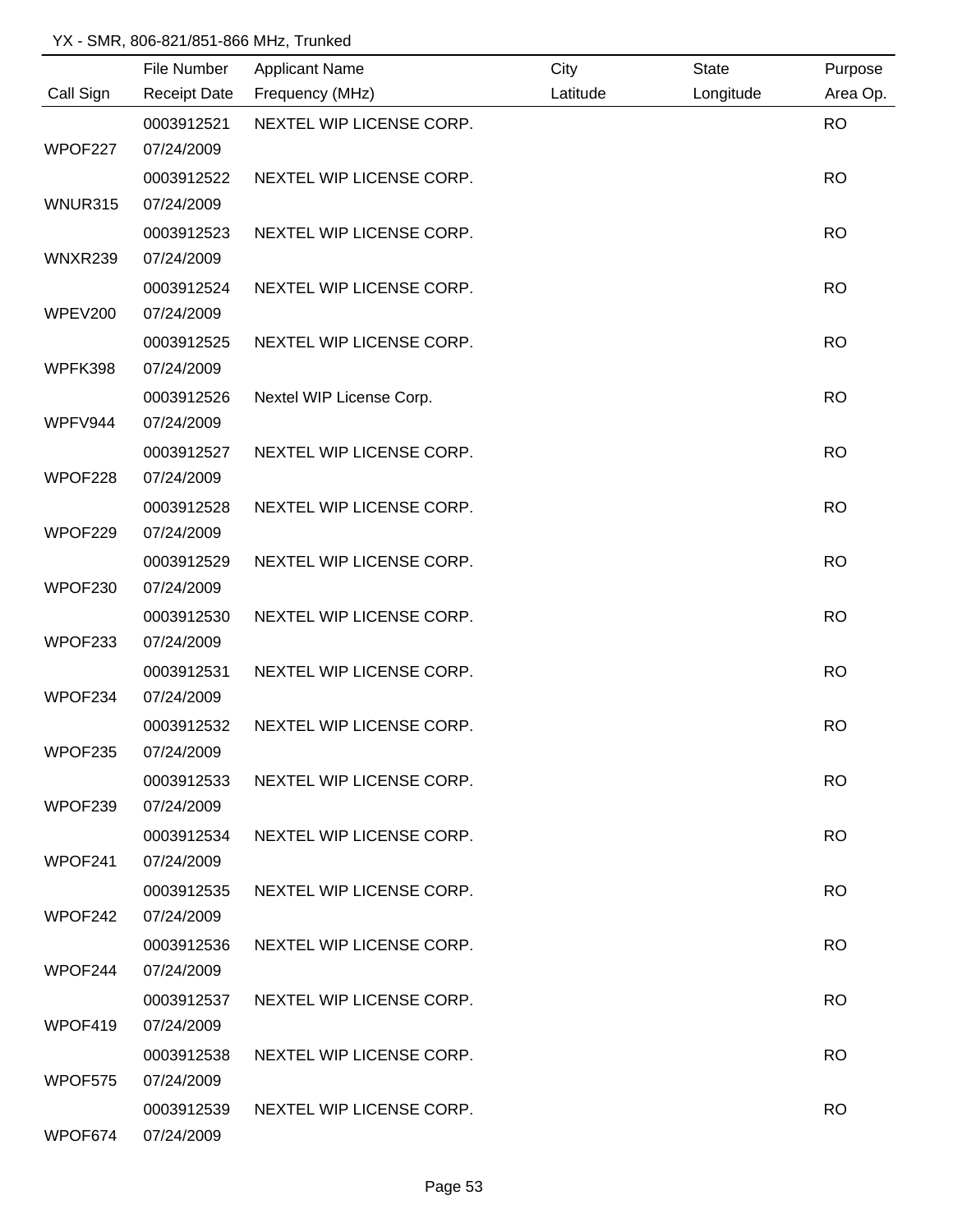|                | File Number         | <b>Applicant Name</b>    | City     | State     | Purpose   |
|----------------|---------------------|--------------------------|----------|-----------|-----------|
| Call Sign      | <b>Receipt Date</b> | Frequency (MHz)          | Latitude | Longitude | Area Op.  |
|                | 0003912521          | NEXTEL WIP LICENSE CORP. |          |           | <b>RO</b> |
| WPOF227        | 07/24/2009          |                          |          |           |           |
|                | 0003912522          | NEXTEL WIP LICENSE CORP. |          |           | <b>RO</b> |
| WNUR315        | 07/24/2009          |                          |          |           |           |
|                | 0003912523          | NEXTEL WIP LICENSE CORP. |          |           | <b>RO</b> |
| WNXR239        | 07/24/2009          |                          |          |           |           |
|                | 0003912524          | NEXTEL WIP LICENSE CORP. |          |           | <b>RO</b> |
| <b>WPEV200</b> | 07/24/2009          |                          |          |           |           |
|                | 0003912525          | NEXTEL WIP LICENSE CORP. |          |           | <b>RO</b> |
| WPFK398        | 07/24/2009          |                          |          |           |           |
|                | 0003912526          | Nextel WIP License Corp. |          |           | <b>RO</b> |
| WPFV944        | 07/24/2009          |                          |          |           |           |
|                | 0003912527          | NEXTEL WIP LICENSE CORP. |          |           | <b>RO</b> |
| WPOF228        | 07/24/2009          |                          |          |           |           |
|                | 0003912528          | NEXTEL WIP LICENSE CORP. |          |           | <b>RO</b> |
| WPOF229        | 07/24/2009          |                          |          |           |           |
|                | 0003912529          | NEXTEL WIP LICENSE CORP. |          |           | <b>RO</b> |
| WPOF230        | 07/24/2009          |                          |          |           |           |
|                | 0003912530          | NEXTEL WIP LICENSE CORP. |          |           | <b>RO</b> |
| WPOF233        | 07/24/2009          |                          |          |           |           |
|                | 0003912531          | NEXTEL WIP LICENSE CORP. |          |           | <b>RO</b> |
| WPOF234        | 07/24/2009          |                          |          |           |           |
|                | 0003912532          | NEXTEL WIP LICENSE CORP. |          |           | <b>RO</b> |
| WPOF235        | 07/24/2009          |                          |          |           |           |
|                | 0003912533          | NEXTEL WIP LICENSE CORP. |          |           | <b>RO</b> |
| WPOF239        | 07/24/2009          |                          |          |           |           |
|                | 0003912534          | NEXTEL WIP LICENSE CORP. |          |           | <b>RO</b> |
| WPOF241        | 07/24/2009          |                          |          |           |           |
|                | 0003912535          | NEXTEL WIP LICENSE CORP. |          |           | <b>RO</b> |
| WPOF242        | 07/24/2009          |                          |          |           |           |
|                | 0003912536          | NEXTEL WIP LICENSE CORP. |          |           | <b>RO</b> |
| WPOF244        | 07/24/2009          |                          |          |           |           |
|                | 0003912537          | NEXTEL WIP LICENSE CORP. |          |           | <b>RO</b> |
| WPOF419        | 07/24/2009          |                          |          |           |           |
|                | 0003912538          | NEXTEL WIP LICENSE CORP. |          |           | <b>RO</b> |
| WPOF575        | 07/24/2009          |                          |          |           |           |
|                | 0003912539          | NEXTEL WIP LICENSE CORP. |          |           | <b>RO</b> |
| WPOF674        | 07/24/2009          |                          |          |           |           |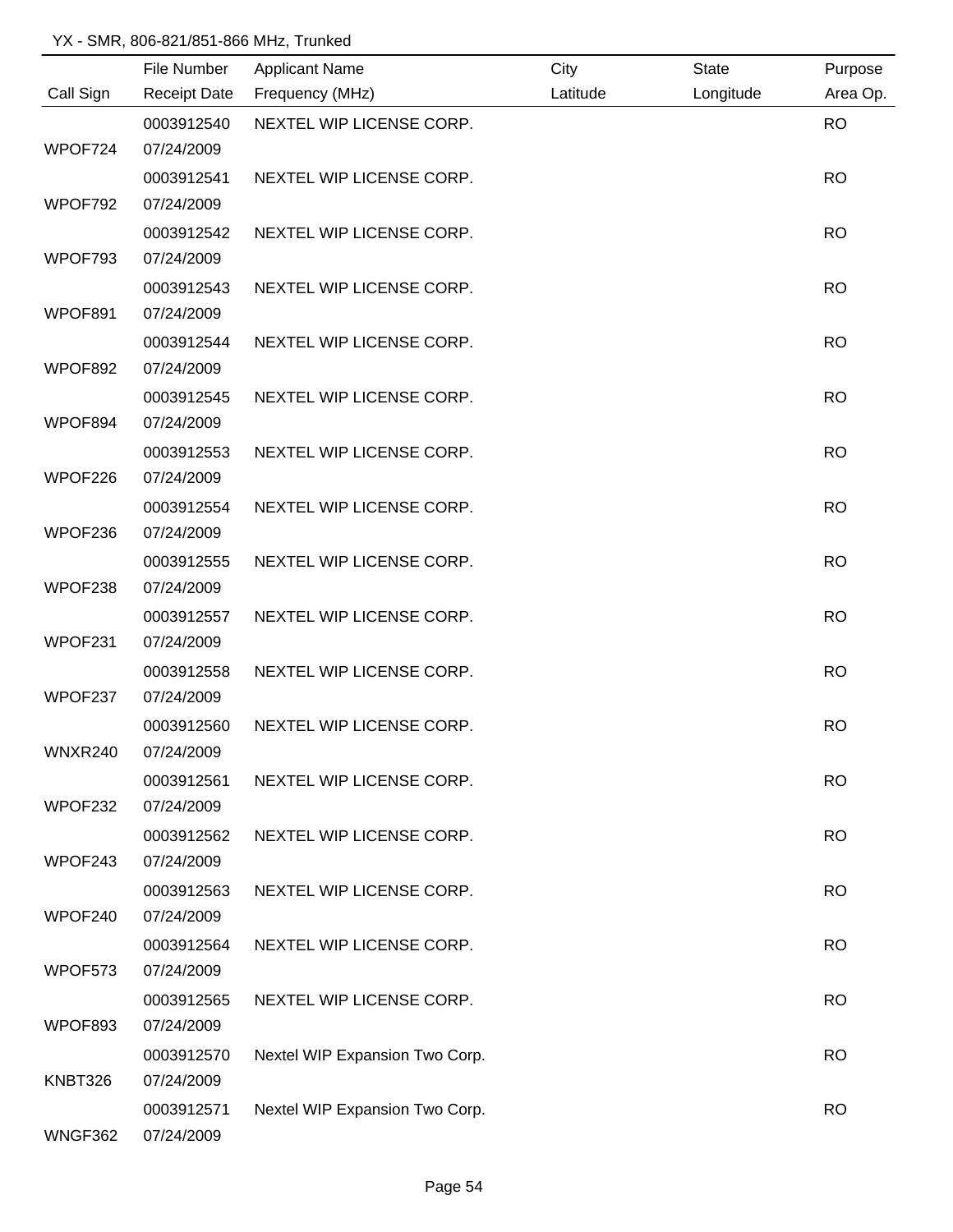|           | File Number         | <b>Applicant Name</b>          | City     | State     | Purpose   |
|-----------|---------------------|--------------------------------|----------|-----------|-----------|
| Call Sign | <b>Receipt Date</b> | Frequency (MHz)                | Latitude | Longitude | Area Op.  |
|           | 0003912540          | NEXTEL WIP LICENSE CORP.       |          |           | <b>RO</b> |
| WPOF724   | 07/24/2009          |                                |          |           |           |
|           | 0003912541          | NEXTEL WIP LICENSE CORP.       |          |           | <b>RO</b> |
| WPOF792   | 07/24/2009          |                                |          |           |           |
|           | 0003912542          | NEXTEL WIP LICENSE CORP.       |          |           | <b>RO</b> |
| WPOF793   | 07/24/2009          |                                |          |           |           |
|           | 0003912543          | NEXTEL WIP LICENSE CORP.       |          |           | <b>RO</b> |
| WPOF891   | 07/24/2009          |                                |          |           |           |
|           | 0003912544          | NEXTEL WIP LICENSE CORP.       |          |           | <b>RO</b> |
| WPOF892   | 07/24/2009          |                                |          |           |           |
|           | 0003912545          | NEXTEL WIP LICENSE CORP.       |          |           | <b>RO</b> |
| WPOF894   | 07/24/2009          |                                |          |           |           |
|           | 0003912553          | NEXTEL WIP LICENSE CORP.       |          |           | <b>RO</b> |
| WPOF226   | 07/24/2009          |                                |          |           |           |
|           | 0003912554          | NEXTEL WIP LICENSE CORP.       |          |           | <b>RO</b> |
| WPOF236   | 07/24/2009          |                                |          |           |           |
|           | 0003912555          | NEXTEL WIP LICENSE CORP.       |          |           | <b>RO</b> |
| WPOF238   | 07/24/2009          |                                |          |           |           |
|           | 0003912557          | NEXTEL WIP LICENSE CORP.       |          |           | <b>RO</b> |
| WPOF231   | 07/24/2009          |                                |          |           |           |
|           | 0003912558          | NEXTEL WIP LICENSE CORP.       |          |           | <b>RO</b> |
| WPOF237   | 07/24/2009          |                                |          |           |           |
|           | 0003912560          | NEXTEL WIP LICENSE CORP.       |          |           | <b>RO</b> |
| WNXR240   | 07/24/2009          |                                |          |           |           |
|           | 0003912561          | NEXTEL WIP LICENSE CORP.       |          |           | <b>RO</b> |
| WPOF232   | 07/24/2009          |                                |          |           |           |
|           | 0003912562          | NEXTEL WIP LICENSE CORP.       |          |           | <b>RO</b> |
| WPOF243   | 07/24/2009          |                                |          |           |           |
|           | 0003912563          | NEXTEL WIP LICENSE CORP.       |          |           | <b>RO</b> |
| WPOF240   | 07/24/2009          |                                |          |           |           |
|           | 0003912564          | NEXTEL WIP LICENSE CORP.       |          |           | <b>RO</b> |
| WPOF573   | 07/24/2009          |                                |          |           |           |
|           | 0003912565          | NEXTEL WIP LICENSE CORP.       |          |           | <b>RO</b> |
| WPOF893   | 07/24/2009          |                                |          |           |           |
|           | 0003912570          | Nextel WIP Expansion Two Corp. |          |           | <b>RO</b> |
| KNBT326   | 07/24/2009          |                                |          |           |           |
|           | 0003912571          | Nextel WIP Expansion Two Corp. |          |           | <b>RO</b> |
| WNGF362   | 07/24/2009          |                                |          |           |           |